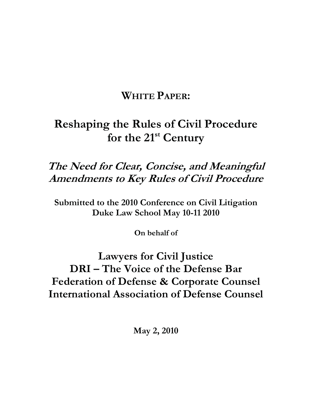## **WHITE PAPER:**

# **Reshaping the Rules of Civil Procedure**  for the 21<sup>st</sup> Century

## **The Need for Clear, Concise, and Meaningful Amendments to Key Rules of Civil Procedure**

**Submitted to the 2010 Conference on Civil Litigation Duke Law School May 10-11 2010** 

**On behalf of** 

## **Lawyers for Civil Justice DRI – The Voice of the Defense Bar Federation of Defense & Corporate Counsel International Association of Defense Counsel**

**May 2, 2010**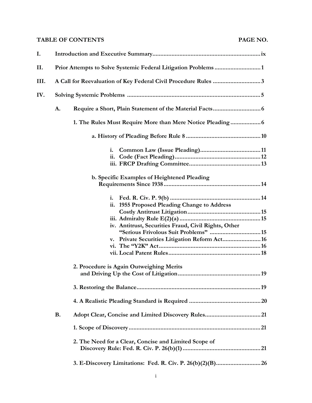## **TABLE OF CONTENTS PAGE NO.**

| I.   |           |                                                                                                                                                                                                                                                   |  |  |
|------|-----------|---------------------------------------------------------------------------------------------------------------------------------------------------------------------------------------------------------------------------------------------------|--|--|
| Н.   |           |                                                                                                                                                                                                                                                   |  |  |
| III. |           | A Call for Reevaluation of Key Federal Civil Procedure Rules 3                                                                                                                                                                                    |  |  |
| IV.  |           |                                                                                                                                                                                                                                                   |  |  |
|      | A.        |                                                                                                                                                                                                                                                   |  |  |
|      |           |                                                                                                                                                                                                                                                   |  |  |
|      |           |                                                                                                                                                                                                                                                   |  |  |
|      |           | i.                                                                                                                                                                                                                                                |  |  |
|      |           | b. Specific Examples of Heightened Pleading                                                                                                                                                                                                       |  |  |
|      |           | i.<br>ii. 1955 Proposed Pleading Change to Address<br>iv. Antitrust, Securities Fraud, Civil Rights, Other<br>"Serious Frivolous Suit Problems"  15<br>v. Private Securities Litigation Reform Act 16<br>2. Procedure is Again Outweighing Merits |  |  |
|      |           |                                                                                                                                                                                                                                                   |  |  |
|      |           |                                                                                                                                                                                                                                                   |  |  |
|      |           |                                                                                                                                                                                                                                                   |  |  |
|      | <b>B.</b> |                                                                                                                                                                                                                                                   |  |  |
|      |           |                                                                                                                                                                                                                                                   |  |  |
|      |           | 2. The Need for a Clear, Concise and Limited Scope of                                                                                                                                                                                             |  |  |
|      |           |                                                                                                                                                                                                                                                   |  |  |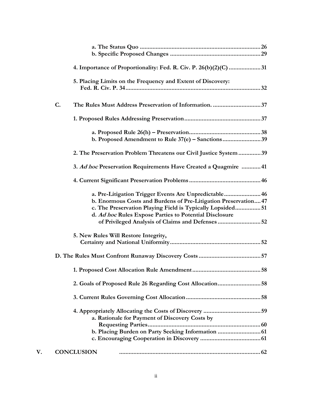|    |                   | 4. Importance of Proportionality: Fed. R. Civ. P. 26(b)(2)(C) 31                                                                                                                                                                                                                                     |  |
|----|-------------------|------------------------------------------------------------------------------------------------------------------------------------------------------------------------------------------------------------------------------------------------------------------------------------------------------|--|
|    |                   | 5. Placing Limits on the Frequency and Extent of Discovery:                                                                                                                                                                                                                                          |  |
|    | C.                | The Rules Must Address Preservation of Information. 37                                                                                                                                                                                                                                               |  |
|    |                   |                                                                                                                                                                                                                                                                                                      |  |
|    |                   | b. Proposed Amendment to Rule 37(e) - Sanctions39                                                                                                                                                                                                                                                    |  |
|    |                   | 2. The Preservation Problem Threatens our Civil Justice System  39                                                                                                                                                                                                                                   |  |
|    |                   | 3. Ad hoc Preservation Requirements Have Created a Quagmire  41                                                                                                                                                                                                                                      |  |
|    |                   |                                                                                                                                                                                                                                                                                                      |  |
|    |                   | a. Pre-Litigation Trigger Events Are Unpredictable 46<br>b. Enormous Costs and Burdens of Pre-Litigation Preservation 47<br>c. The Preservation Playing Field is Typically Lopsided 51<br>d. Ad hoc Rules Expose Parties to Potential Disclosure<br>of Privileged Analysis of Claims and Defenses 52 |  |
|    |                   | 5. New Rules Will Restore Integrity,                                                                                                                                                                                                                                                                 |  |
|    |                   |                                                                                                                                                                                                                                                                                                      |  |
|    |                   | 1. Proposed Cost Allocation Rule Amendment                                                                                                                                                                                                                                                           |  |
|    |                   |                                                                                                                                                                                                                                                                                                      |  |
|    |                   |                                                                                                                                                                                                                                                                                                      |  |
|    |                   | a. Rationale for Payment of Discovery Costs by                                                                                                                                                                                                                                                       |  |
| V. | <b>CONCLUSION</b> |                                                                                                                                                                                                                                                                                                      |  |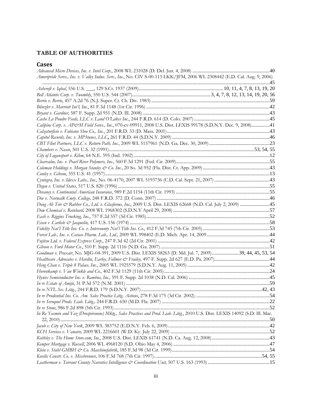## **TABLE OF AUTHORITIES**

## **Cases**

| Ameripride Servs., Inc. v. Valley Indus. Serv., Inc., No. CIV S-00-113 LKK/JFM, 2006 WL 2308442 (E.D. Cal. Aug. 9, 2006)       |  |
|--------------------------------------------------------------------------------------------------------------------------------|--|
|                                                                                                                                |  |
|                                                                                                                                |  |
|                                                                                                                                |  |
|                                                                                                                                |  |
|                                                                                                                                |  |
|                                                                                                                                |  |
|                                                                                                                                |  |
| Calipine Corp. v. AP&M Field Servs., Inc., 070-cv-09911, 2008 U.S. Dist. LEXIS 99178 (S.D.N.Y. Dec. 9, 2008)41                 |  |
|                                                                                                                                |  |
|                                                                                                                                |  |
|                                                                                                                                |  |
|                                                                                                                                |  |
|                                                                                                                                |  |
|                                                                                                                                |  |
|                                                                                                                                |  |
|                                                                                                                                |  |
|                                                                                                                                |  |
|                                                                                                                                |  |
|                                                                                                                                |  |
|                                                                                                                                |  |
| Dong Ah Tire & Rubber Co., Ltd. v. Glasforms, Inc., 2009 U.S. Dist. LEXIS 62668 (N.D. Cal. July 2, 2009) 45                    |  |
|                                                                                                                                |  |
|                                                                                                                                |  |
|                                                                                                                                |  |
|                                                                                                                                |  |
|                                                                                                                                |  |
|                                                                                                                                |  |
|                                                                                                                                |  |
| Goodman v. Praxair, No. MJG-04-391, 2009 U.S. Dist. LEXIS 58263 (D. Md. Jul. 7, 2009)39, 44, 45, 53, 54                        |  |
|                                                                                                                                |  |
|                                                                                                                                |  |
|                                                                                                                                |  |
|                                                                                                                                |  |
|                                                                                                                                |  |
|                                                                                                                                |  |
|                                                                                                                                |  |
|                                                                                                                                |  |
|                                                                                                                                |  |
| In Re Yasmin and Yaz (Drospirenone) Mktg., Sales Practices and Prod. Liab. Litig., 2010 U.S. Dist. LEXIS 14092 (S.D. Ill. Mar. |  |
|                                                                                                                                |  |
|                                                                                                                                |  |
|                                                                                                                                |  |
|                                                                                                                                |  |
|                                                                                                                                |  |
|                                                                                                                                |  |
|                                                                                                                                |  |
|                                                                                                                                |  |
|                                                                                                                                |  |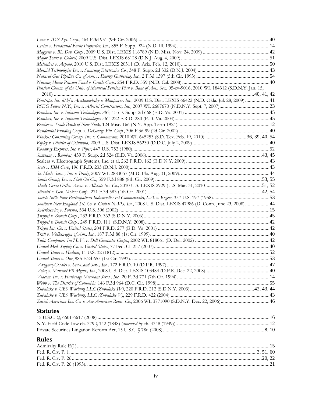| <b>Rules</b>                                                                                                          |  |
|-----------------------------------------------------------------------------------------------------------------------|--|
|                                                                                                                       |  |
|                                                                                                                       |  |
| <b>Statutes</b>                                                                                                       |  |
|                                                                                                                       |  |
| Zurich American Ins. Co. v. Ace American Reins. Co., 2006 WL 3771090 (S.D.N.Y. Dec. 22, 2006)46                       |  |
|                                                                                                                       |  |
|                                                                                                                       |  |
|                                                                                                                       |  |
|                                                                                                                       |  |
|                                                                                                                       |  |
|                                                                                                                       |  |
|                                                                                                                       |  |
|                                                                                                                       |  |
|                                                                                                                       |  |
|                                                                                                                       |  |
|                                                                                                                       |  |
|                                                                                                                       |  |
|                                                                                                                       |  |
|                                                                                                                       |  |
| Southern New England Tel. Co. v. Global NAPS, Inc., 2008 U.S. Dist. LEXIS 47986 (D. Conn. June 23, 2008)44            |  |
|                                                                                                                       |  |
|                                                                                                                       |  |
|                                                                                                                       |  |
|                                                                                                                       |  |
|                                                                                                                       |  |
|                                                                                                                       |  |
|                                                                                                                       |  |
|                                                                                                                       |  |
|                                                                                                                       |  |
|                                                                                                                       |  |
| Rimkus Consulting Group, Inc. v. Cammarata, 2010 WL 645253 (S.D. Tex. Feb. 19, 2010)36, 39, 40, 54                    |  |
|                                                                                                                       |  |
|                                                                                                                       |  |
|                                                                                                                       |  |
|                                                                                                                       |  |
| Pinstripe, Inc. d/b/a Acctknowledge v. Manpower, Inc., 2009 U.S. Dist. LEXIS 66422 (N.D. Okla. Jul. 28, 2009) 41      |  |
|                                                                                                                       |  |
| Pension Comm. of the Univ. of Montreal Pension Plan v. Banc of Am Sec., 05-cv-9016, 2010 WL 184312 (S.D.N.Y. Jan. 15, |  |
|                                                                                                                       |  |
|                                                                                                                       |  |
|                                                                                                                       |  |
|                                                                                                                       |  |
|                                                                                                                       |  |
|                                                                                                                       |  |
|                                                                                                                       |  |
|                                                                                                                       |  |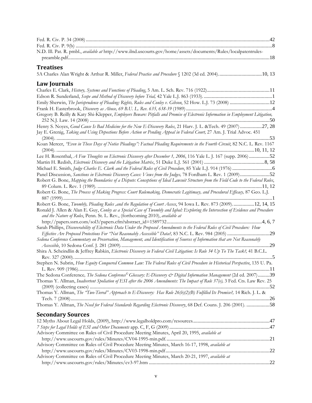| N.D. Ill. Pat. R. pmbl., available at http://www.ilnd.uscourts.gov/home/assets/documents/Rules/localpatentrules-                      |  |
|---------------------------------------------------------------------------------------------------------------------------------------|--|
|                                                                                                                                       |  |
|                                                                                                                                       |  |
| <b>Treatises</b>                                                                                                                      |  |
| 5A Charles Alan Wright & Arthur R. Miller, Federal Practice and Procedure § 1202 (3d ed. 2004)10, 13                                  |  |
|                                                                                                                                       |  |
| <b>Law Journals</b>                                                                                                                   |  |
|                                                                                                                                       |  |
|                                                                                                                                       |  |
| Emily Sherwin, The Jurisprudence of Pleading: Rights, Rules and Conley v. Gibson, 52 How. L.J. 73 (2008)  12                          |  |
|                                                                                                                                       |  |
| Gregory B. Reilly & Katy Shi-Klepper, Employers Beware: Pitfalls and Promise of Electronic Information in Employment Litigation,      |  |
|                                                                                                                                       |  |
| Henry S. Noyes, Good Cause Is Bad Medicine for the New E-Discovery Rules, 21 Harv. J. L. &Tech. 49 (2007) 27, 28                      |  |
| Jay E. Grenig, Taking and Using Depostions Before Action or Pending Appeal in Federal Court, 27 Am. J. Trial Advoc. 451               |  |
|                                                                                                                                       |  |
| Koan Mercer, "Even in These Days of Notice Pleadings": Factual Pleading Requirements in the Fourth Circuit, 82 N.C. L. Rev. 1167      |  |
|                                                                                                                                       |  |
| Lee H. Rosenthal, A Few Thoughts on Electronic Discovery after December 1, 2006, 116 Yale L. J. 167 (supp. 2006) 52                   |  |
|                                                                                                                                       |  |
|                                                                                                                                       |  |
| Panel Discussion, Sanctions in Electronic Discovery Cases: Views from the Judges, 78 Fordham L. Rev. 1 (2009)52                       |  |
| Robert G. Bone, Mapping the Boundaries of a Dispute: Conceptions of Ideal Lawsuit Structure from the Field Code to the Federal Rules, |  |
|                                                                                                                                       |  |
| Robert G. Bone, The Process of Making Progress: Court Rulemaking, Democratic Legitimacy, and Procedural Efficacy, 87 Geo. L.J.        |  |
|                                                                                                                                       |  |
| Robert G. Bone, Twombly, Pleading Rules ,and the Regulation of Court Access, 94 Iowa L. Rev. 873 (2009)12, 14, 15                     |  |
| Ronald J. Allen & Alan E. Guy, Conley as a Special Case of Twombly and Iqbal: Exploring the Intersection of Evidence and Procedure    |  |
| and the Nature of Rules, Penn. St. L. Rev., (forthcoming 2010), available at                                                          |  |
|                                                                                                                                       |  |
| Sarah Phillips, Discoverability of Electronic Data Under the Proposed Amendments to the Federal Rules of Civil Procedure: How         |  |
| Effective Are Proposed Protections For "Not Reasonably Accessible" Data?, 83 N.C. L. Rev. 984 (2005) 29                               |  |
| Sedona Conference Commentary on Preservation, Management, and Identification of Sources of Information that are Not Reasonably        |  |
|                                                                                                                                       |  |
| Shira A. Scheindlin & Jeffrey Rabkin, Electronic Discovery in Federal Civil Litigation: Is Rule 34 Up To The Task?, 41 B.C.L.         |  |
|                                                                                                                                       |  |
| Stephen N. Subrin, How Equity Conquered Common Law: The Federal Rules of Civil Procedure in Historical Perspective, 135 U. Pa.        |  |
|                                                                                                                                       |  |
| The Sedona Conference, The Sedona Conference <sup>®</sup> Glossary: E-Discovery & Digital Information Management (2d ed. 2007)39      |  |
| Thomas Y. Allman, Inadvertent Spoliation of ESI after the 2006 Amendments: The Impact of Rule 37(e), 3 Fed. Cts. Law Rev. 25          |  |
|                                                                                                                                       |  |
| Thomas Y. Allman, The "Two-Tiered" Approach to E-Discovery: Has Rule 26(b)(2)(B) Fulfilled Its Promise?, 14 Rich. J. L. &             |  |
|                                                                                                                                       |  |
| Thomas Y. Allman, The Need for Federal Standards Regarding Electronic Discovery, 68 Def. Couns. J. 206 (2001). 58                     |  |
|                                                                                                                                       |  |
| <b>Secondary Sources</b>                                                                                                              |  |
|                                                                                                                                       |  |
|                                                                                                                                       |  |
| Advisory Committee on Rules of Civil Procedure Meeting Minutes, April 20, 1995, available at                                          |  |
|                                                                                                                                       |  |
| Advisory Committee on Rules of Civil Procedure Meeting Minutes, March 16-17, 1998, available at                                       |  |
|                                                                                                                                       |  |
| Advisory Committee on Rules of Civil Procedure Meeting Minutes, March 20-21, 1997, available at                                       |  |
|                                                                                                                                       |  |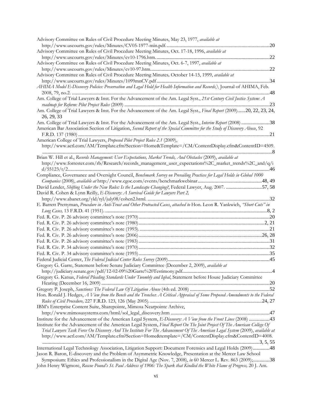| Advisory Committee on Rules of Civil Procedure Meeting Minutes, May 23, 1977, available at                                     |
|--------------------------------------------------------------------------------------------------------------------------------|
|                                                                                                                                |
| Advisory Committee on Rules of Civil Procedure Meeting Minutes, Oct. 17-18, 1996, available at                                 |
|                                                                                                                                |
| Advisory Committee on Rules of Civil Procedure Meeting Minutes, Oct. 6-7, 1997, available at                                   |
|                                                                                                                                |
| Advisory Committee on Rules of Civil Procedure Meeting Minutes, October 14-15, 1999, available at                              |
|                                                                                                                                |
| AHIMA Model E-Discovery Policies: Preservation and Legal Hold for Health Information and Records, Journal of AHIMA, Feb.       |
|                                                                                                                                |
| Am. College of Trial Lawyers & Inst. For the Advancement of the Am. Legal Syst., 21st Century Civil Justice System: A          |
|                                                                                                                                |
| Am. College of Trial Lawyers & Inst. For the Advancement of the Am. Legal Syst., Final Report (2009)20, 22, 23, 24,            |
| 26, 29, 33                                                                                                                     |
| Am. College of Trial Lawyers & Inst. For the Advancement of the Am. Legal Syst., Interim Report (2008) 38                      |
| American Bar Association Section of Litigation, Second Report of the Special Committee for the Study of Discovery Abuse, 92    |
|                                                                                                                                |
| American College of Trial Lawyers, Proposed Pilot Project Rules 2.1 (2009),                                                    |
| http://www.actl.com/AM/Template.cfm?Section=Home&Template=/CM/ContentDisplay.cfm&ContentID=4509.                               |
|                                                                                                                                |
| Brian W. Hill et al., Records Management: User Expectations, Market Trends, And Obstacles (2009), available at                 |
| http://www.forrester.com/rb/Research/records_management_user_expectations%2C_market_trends%2C_and/q/i                          |
|                                                                                                                                |
| Compliance, Governance and Oversight Council, Benchmark Survey on Prevailing Practices for Legal Holds in Global 1000          |
|                                                                                                                                |
| David Lender, Shifting Under the New Rules: Is the Landscape Changing?, Federal Lawyer, Aug. 2007. 57, 58                      |
| David R. Cohen & Lynn Reilly, E-Discovery: A Survival Guide for Lawyers Part 2,                                                |
|                                                                                                                                |
| E. Barrett Prettyman, Procedure in Anti-Trust and Other Protracted Cases, attached to Hon. Leon R. Yankwich, "Short Cuts" in   |
|                                                                                                                                |
|                                                                                                                                |
|                                                                                                                                |
|                                                                                                                                |
|                                                                                                                                |
|                                                                                                                                |
|                                                                                                                                |
|                                                                                                                                |
|                                                                                                                                |
| Gregory G. Garre, Statement before Senate Judiciary Committee (December 2, 2009), available at                                 |
|                                                                                                                                |
| Gregory G. Katsas, Federal Pleading Standards Under Twombly and Iqbal, Statement before House Judiciary Committee              |
|                                                                                                                                |
|                                                                                                                                |
| Hon. Ronald J. Hedges, A View from the Bench and the Trenches: A Critical Appraisal of Some Proposed Amendments to the Federal |
|                                                                                                                                |
| IBM's Enterprise Content Suite, Sharepointe, Mimosa Nearpointe Archive,                                                        |
|                                                                                                                                |
| Institute for the Advancement of the American Legal System, E-Discovery: A View from the Front Lines (2008) 43                 |
| Institute for the Advancement of the American Legal System, Final Report On The Joint Project Of The American College Of       |
| Trial Lawyers Task Force On Discovery And The Institute For The Advancement Of The American Legal System (2009), available at  |
| http://www.actl.com/AM/Template.cfm?Section=Home&template=/CM/ContentDisplay.cfm&ContentID=4008.                               |
|                                                                                                                                |
| International Legal Technology Association, Litigation Support: Document Forensics and Legal Holds (2009)48                    |
| Jason R. Baron, E-discovery and the Problem of Asymmetric Knowledge, Presentation at the Mercer Law School                     |
| Symposium: Ethics and Professionalism in the Digital Age (Nov. 7, 2008), in 60 Mercer L. Rev. 863 (2009);38                    |
| John Henry Wigmore, Roscoe Pound's St. Paul Address of 1906: The Spark that Kindled the White Flame of Progress, 20 J. Am.     |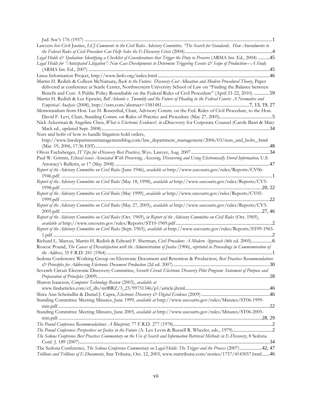| Lawyers for Civil Justice, LCJ Comments to the Civil Rules Advisory Committee, "The Search for Standards. How Amendments to                                                                                                                                                                                                                                |
|------------------------------------------------------------------------------------------------------------------------------------------------------------------------------------------------------------------------------------------------------------------------------------------------------------------------------------------------------------|
| Legal Holds & Spoliation: Identifying a Checklist of Considerations that Trigger the Duty to Preserve (ARMA Int. Ed., 2004) 45                                                                                                                                                                                                                             |
| Legal Holds for "Anticipated Litigation": New Case Developments to Determine Triggering Events & Scope of Production—A Study                                                                                                                                                                                                                               |
|                                                                                                                                                                                                                                                                                                                                                            |
| Martin H. Redish & Colleen McNamara, Back to the Future: Discovery Cost Allocation and Modern Procedural Theory, Paper<br>delivered at conference at Searle Center, Northwestern University School of Law on "Finding the Balance between<br>Benefit and Cost: A Public Policy Roundtable on the Federal Rules of Civil Procedure" (April 21-22, 2010). 59 |
| Martin H. Redish & Lee Epstein, Bell Atlantic v. Twombly and the Future of Pleading in the Federal Courts: A Normative and                                                                                                                                                                                                                                 |
| Memorandum from Hon. Lee H. Rosenthal, Chair, Advisory Comm. on the Fed. Rules of Civil Procedure, to the Hon.                                                                                                                                                                                                                                             |
| Nick Ackerman & Angeline Chen, What is Electronic Evidence?, in eDiscovery for Corporate Counsel (Carole Basri & Mary                                                                                                                                                                                                                                      |
|                                                                                                                                                                                                                                                                                                                                                            |
| Nuts and bolts of how to handle litigation hold orders,                                                                                                                                                                                                                                                                                                    |
| $\textit{http://www.lawdepartmentmanagement} \textit{blog.com/law\_department\_management/2006/03/nuts\_and\_bolts\_.html}$                                                                                                                                                                                                                                |
|                                                                                                                                                                                                                                                                                                                                                            |
| Paul W. Grimm, Ethical issues Associated With Preserving, Accessing, Discovering and Using Electronically Stored Information, U.S.                                                                                                                                                                                                                         |
| Report of the Advisory Committee on Civil Rules (June 1946), available at http://www.uscourts.gov/rules/Reports/CV06-                                                                                                                                                                                                                                      |
| Report of the Advisory Committee on Civil Rules (May 18, 1998), available at http://www.uscourts.gov/rules/Reports/CV5-                                                                                                                                                                                                                                    |
| Report of the Advisory Committee on Civil Rules (May 1999), available at http://www.uscourts.gov/rules/Reports/CV05-                                                                                                                                                                                                                                       |
| Report of the Advisory Committee on Civil Rules (May 27, 2005), available at http://www.uscourts.gov/rules/Reports/CV5-                                                                                                                                                                                                                                    |
| Report of the Advisory Committee on Civil Rules (Oct. 1969), in Report of the Advisory Committee on Civil Rules (Oct. 1969),                                                                                                                                                                                                                               |
|                                                                                                                                                                                                                                                                                                                                                            |
| Report of the Advisory Committee on Civil Rules (Sept. 1965), available at http://www.uscourts.gov/rules/Reports/ST09-1965-                                                                                                                                                                                                                                |
| Richard L. Marcus, Martin H. Redish & Edward F. Sherman, Civil Procedure: A Modern Approach (4th ed. 2005)6                                                                                                                                                                                                                                                |
| Roscoe Pound, The Causes of Dissatisfaction with the Administration of Justice (1906), reprinted in Proceedings in Commemoration of                                                                                                                                                                                                                        |
| Sedona Conference Working Group on Electronic Document and Retention & Production, Best Practices Recommendations<br>& Principles for Addressing Electronic Document Production (2d ed. 2007)<br>30                                                                                                                                                        |
| Seventh Circuit Electronic Discovery Committee, Seventh Circuit Electronic Discovery Pilot Program: Statement of Purpose and                                                                                                                                                                                                                               |
| Sharon Isaacson, Computer Technology Review (2003), available at                                                                                                                                                                                                                                                                                           |
|                                                                                                                                                                                                                                                                                                                                                            |
|                                                                                                                                                                                                                                                                                                                                                            |
| Standing Committee Meeting Minutes, June 1999, available at http://www.uscourts.gov/rules/Minutes/ST06-1999-                                                                                                                                                                                                                                               |
| Standing Committee Meeting Minutes, June 2005, available at http://www.uscourts.gov/rules/Minutes/ST06-2005-                                                                                                                                                                                                                                               |
|                                                                                                                                                                                                                                                                                                                                                            |
| The Pound Conference: Perspectives on Justice in the Future (A. Leo Levin & Russell R. Wheeler, eds., 1979)2                                                                                                                                                                                                                                               |
| The Sedona Conference Best Practices Commentary on the Use of Search and Information Retrieval Methods in E-Discovery, 8 Sedona                                                                                                                                                                                                                            |
| The Sedona Conference, The Sedona Conference Commentary on Legal Holds: The Trigger and the Process (2007) 42, 47                                                                                                                                                                                                                                          |
| Trillions and Trillions of E-Documents, Star Tribune, Oct. 12, 2003, www.startribune.com/stories/1757/4143057.html46                                                                                                                                                                                                                                       |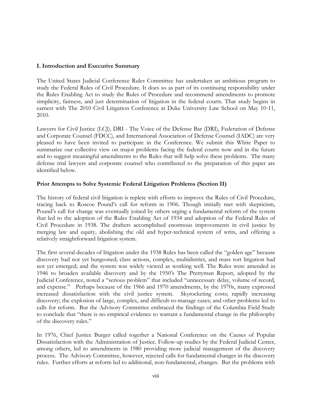## **I. Introduction and Executive Summary**

The United States Judicial Conference Rules Committee has undertaken an ambitious program to study the Federal Rules of Civil Procedure. It does so as part of its continuing responsibility under the Rules Enabling Act to study the Rules of Procedure and recommend amendments to promote simplicity, fairness, and just determination of litigation in the federal courts. That study begins in earnest with The 2010 Civil Litigation Conference at Duke University Law School on May 10-11, 2010.

Lawyers for Civil Justice (LCJ), DRI - The Voice of the Defense Bar (DRI), Federation of Defense and Corporate Counsel (FDCC), and International Association of Defense Counsel (IADC) are very pleased to have been invited to participate in the Conference. We submit this White Paper to summarize our collective view on major problems facing the federal courts now and in the future and to suggest meaningful amendments to the Rules that will help solve these problems. The many defense trial lawyers and corporate counsel who contributed to the preparation of this paper are identified below.

#### **Prior Attempts to Solve Systemic Federal Litigation Problems (Section II)**

The history of federal civil litigation is replete with efforts to improve the Rules of Civil Procedure, tracing back to Roscoe Pound's call for reform in 1906. Though initially met with skepticism, Pound's call for change was eventually joined by others urging a fundamental reform of the system that led to the adoption of the Rules Enabling Act of 1934 and adoption of the Federal Rules of Civil Procedure in 1938. The drafters accomplished enormous improvements in civil justice by merging law and equity, abolishing the old and hyper-technical system of writs, and offering a relatively straightforward litigation system.

The first several decades of litigation under the 1938 Rules has been called the "golden age" because discovery had not yet burgeoned; class actions, complex, multidistrict, and mass tort litigation had not yet emerged; and the system was widely viewed as working well. The Rules were amended in 1946 to broaden available discovery and by the 1950's The Prettyman Report, adopted by the Judicial Conference, noted a "serious problem" that included "unnecessary delay, volume of record, and expense." Perhaps because of the 1966 and 1970 amendments, by the 1970s, many expressed increased dissatisfaction with the civil justice system. Skyrocketing costs; rapidly increasing discovery; the explosion of large, complex, and difficult-to-manage cases; and other problems led to calls for reform. But the Advisory Committee embraced the findings of the Columbia Field Study to conclude that "there is no empirical evidence to warrant a fundamental change in the philosophy of the discovery rules."

In 1976, Chief Justice Burger called together a National Conference on the Causes of Popular Dissatisfaction with the Administration of Justice. Follow-up studies by the Federal Judicial Center, among others, led to amendments in 1980 providing more judicial management of the discovery process. The Advisory Committee, however, rejected calls for fundamental changes in the discovery rules. Further efforts at reform led to additional, non-fundamental, changes. But the problems with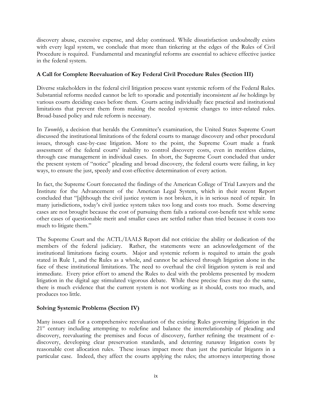discovery abuse, excessive expense, and delay continued. While dissatisfaction undoubtedly exists with every legal system, we conclude that more than tinkering at the edges of the Rules of Civil Procedure is required. Fundamental and meaningful reforms are essential to achieve effective justice in the federal system.

## **A Call for Complete Reevaluation of Key Federal Civil Procedure Rules (Section III)**

Diverse stakeholders in the federal civil litigation process want systemic reform of the Federal Rules. Substantial reforms needed cannot be left to sporadic and potentially inconsistent *ad hoc* holdings by various courts deciding cases before them. Courts acting individually face practical and institutional limitations that prevent them from making the needed systemic changes to inter-related rules. Broad-based policy and rule reform is necessary.

In *Twombly*, a decision that heralds the Committee's examination, the United States Supreme Court discussed the institutional limitations of the federal courts to manage discovery and other procedural issues, through case-by-case litigation. More to the point, the Supreme Court made a frank assessment of the federal courts' inability to control discovery costs, even in meritless claims, through case management in individual cases. In short, the Supreme Court concluded that under the present system of "notice" pleading and broad discovery, the federal courts were failing, in key ways, to ensure the just, speedy and cost-effective determination of every action.

In fact, the Supreme Court forecasted the findings of the American College of Trial Lawyers and the Institute for the Advancement of the American Legal System, which in their recent Report concluded that "[a]lthough the civil justice system is not broken, it is in serious need of repair. In many jurisdictions, today's civil justice system takes too long and costs too much. Some deserving cases are not brought because the cost of pursuing them fails a rational cost-benefit test while some other cases of questionable merit and smaller cases are settled rather than tried because it costs too much to litigate them."

The Supreme Court and the ACTL/IAALS Report did not criticize the ability or dedication of the members of the federal judiciary. Rather, the statements were an acknowledgement of the institutional limitations facing courts. Major and systemic reform is required to attain the goals stated in Rule 1, and the Rules as a whole, and cannot be achieved through litigation alone in the face of these institutional limitations. The need to overhaul the civil litigation system is real and immediate. Every prior effort to amend the Rules to deal with the problems presented by modern litigation in the digital age stimulated vigorous debate. While these precise fixes may do the same, there is much evidence that the current system is not working as it should, costs too much, and produces too little.

## **Solving Systemic Problems (Section IV)**

 Many issues call for a comprehensive reevaluation of the existing Rules governing litigation in the 21<sup>st</sup> century including attempting to redefine and balance the interrelationship of pleading and discovery, reevaluating the premises and focus of discovery, further refining the treatment of ediscovery, developing clear preservation standards, and deterring runaway litigation costs by reasonable cost allocation rules. These issues impact more than just the particular litigants in a particular case. Indeed, they affect the courts applying the rules; the attorneys interpreting those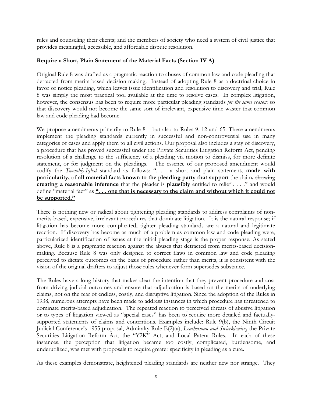rules and counseling their clients; and the members of society who need a system of civil justice that provides meaningful, accessible, and affordable dispute resolution.

## **Require a Short, Plain Statement of the Material Facts (Section IV A)**

Original Rule 8 was drafted as a pragmatic reaction to abuses of common law and code pleading that detracted from merits-based decision-making. Instead of adopting Rule 8 as a doctrinal choice in favor of notice pleading, which leaves issue identification and resolution to discovery and trial, Rule 8 was simply the most practical tool available at the time to resolve cases. In complex litigation, however, the consensus has been to require more particular pleading standards *for the same reason*: so that discovery would not become the same sort of irrelevant, expensive time waster that common law and code pleading had become.

We propose amendments primarily to Rule 8 – but also to Rules 9, 12 and 65. These amendments implement the pleading standards currently in successful and non-controversial use in many categories of cases and apply them to all civil actions. Our proposal also includes a stay of discovery, a procedure that has proved successful under the Private Securities Litigation Reform Act, pending resolution of a challenge to the sufficiency of a pleading via motion to dismiss, for more definite statement, or for judgment on the pleadings. The essence of our proposed amendment would codify the *Twombly-Iqbal* standard as follows: ". . . a short and plain statement**, made with particularity,** of **all material facts known to the pleading party that support** the claim**,** showing **creating a reasonable inference** that the pleader is **plausibly** entitled to relief . . . ." and would define "material fact" as **". . . one that is necessary to the claim and without which it could not be supported."**

There is nothing new or radical about tightening pleading standards to address complaints of nonmerits-based, expensive, irrelevant procedures that dominate litigation. It is the natural response; if litigation has become more complicated, tighter pleading standards are a natural and legitimate reaction. If discovery has become as much of a problem as common law and code pleading were, particularized identification of issues at the initial pleading stage is the proper response. As stated above, Rule 8 is a pragmatic reaction against the abuses that detracted from merits-based decisionmaking. Because Rule 8 was only designed to correct flaws in common law and code pleading perceived to dictate outcomes on the basis of procedure rather than merits, it is consistent with the vision of the original drafters to adjust those rules whenever form supersedes substance.

The Rules have a long history that makes clear the intention that they prevent procedure and cost from driving judicial outcomes and ensure that adjudication is based on the merits of underlying claims, not on the fear of endless, costly, and disruptive litigation. Since the adoption of the Rules in 1938, numerous attempts have been made to address instances in which procedure has threatened to dominate merits-based adjudication. The repeated reaction to perceived threats of abusive litigation or to types of litigation viewed as "special cases" has been to require more detailed and factuallysupported statements of claims and contentions. Examples include: Rule 9(b), the Ninth Circuit Judicial Conference's 1955 proposal, Admiralty Rule E(2)(a), *Leatherman and Swierkiewicz,* the Private Securities Litigation Reform Act, the "Y2K" Act, and Local Patent Rules.In each of these instances, the perception that litigation became too costly, complicated, burdensome, and underutilized, was met with proposals to require greater specificity in pleading as a cure.

As these examples demonstrate, heightened pleading standards are neither new nor strange. They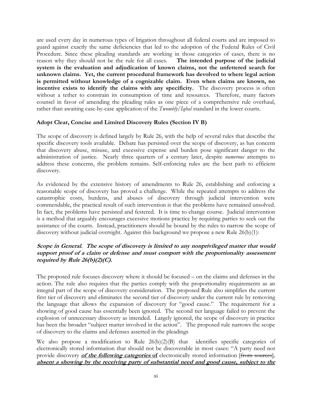are used every day in numerous types of litigation throughout all federal courts and are imposed to guard against exactly the same deficiencies that led to the adoption of the Federal Rules of Civil Procedure. Since these pleading standards are working in those categories of cases, there is no reason why they should not be the rule for all cases. **The intended purpose of the judicial system is the evaluation and adjudication of known claims, not the unfettered search for unknown claims. Yet, the current procedural framework has devolved to where legal action is permitted without knowledge of a cognizable claim. Even when claims are known, no incentive exists to identify the claims with any specificity.** The discovery process is often without a tether to constrain its consumption of time and resources. Therefore, many factors counsel in favor of amending the pleading rules as one piece of a comprehensive rule overhaul, rather than awaiting case-by-case application of the *Twombly/Iqbal* standard in the lower courts.

## **Adopt Clear, Concise and Limited Discovery Rules (Section IV B)**

The scope of discovery is defined largely by Rule 26, with the help of several rules that describe the specific discovery tools available. Debate has persisted over the scope of discovery, as has concern that discovery abuse, misuse, and excessive expense and burden pose significant danger to the administration of justice. Nearly three quarters of a century later, despite *numerous* attempts to address these concerns, the problem remains. Self-enforcing rules are the best path to efficient discovery.

As evidenced by the extensive history of amendments to Rule 26, establishing and enforcing a reasonable scope of discovery has proved a challenge. While the repeated attempts to address the catastrophic costs, burdens, and abuses of discovery through judicial intervention were commendable, the practical result of such intervention is that the problems have remained unsolved. In fact, the problems have persisted and festered. It is time to change course. Judicial intervention is a method that arguably encourages excessive motions practice by requiring parties to seek out the assistance of the courts. Instead, practitioners should be bound by the rules to narrow the scope of discovery without judicial oversight. Against this background we propose a new Rule 26(b)(1):

## **Scope in General. The scope of discovery is limited to any nonprivileged matter that would support proof of a claim or defense and must comport with the proportionality assessment required by Rule 26(b)(2)(C).**

The proposed rule focuses discovery where it should be focused – on the claims and defenses in the action. The rule also requires that the parties comply with the proportionality requirements as an integral part of the scope of discovery consideration. The proposed Rule also simplifies the current first tier of discovery and eliminates the second tier of discovery under the current rule by removing the language that allows the expansion of discovery for "good cause." The requirement for a showing of good cause has essentially been ignored. The second tier language failed to prevent the explosion of unnecessary discovery as intended. Largely ignored, the scope of discovery in practice has been the broader "subject matter involved in the action". The proposed rule narrows the scope of discovery to the claims and defenses asserted in the pleadings

We also propose a modification to Rule 26(b)(2)(B) that identifies specific categories of electronically stored information that should not be discoverable in most cases: "A party need not provide discovery **of the following categories of** electronically stored information [from sources]*,* **absent a showing by the receiving party of substantial need and good cause, subject to the**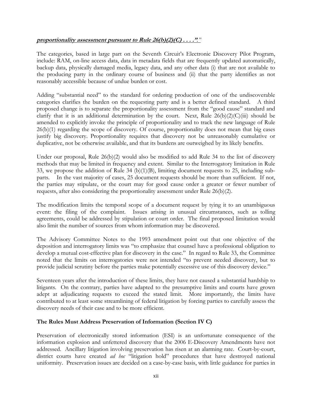## **proportionality assessment pursuant to Rule 26(b)(2)(C) . . . ."***."*

The categories, based in large part on the Seventh Circuit's Electronic Discovery Pilot Program, include: RAM, on-line access data, data in metadata fields that are frequently updated automatically, backup data, physically damaged media, legacy data, and any other data (i) that are not available to the producing party in the ordinary course of business and (ii) that the party identifies as not reasonably accessible because of undue burden or cost.

Adding "substantial need" to the standard for ordering production of one of the undiscoverable categories clarifies the burden on the requesting party and is a better defined standard. A third proposed change is to separate the proportionality assessment from the "good cause" standard and clarify that it is an additional determination by the court. Next, Rule  $26(b)(2)(C)(iii)$  should be amended to explicitly invoke the principle of proportionality and to track the new language of Rule 26(b)(1) regarding the scope of discovery. Of course, proportionality does not mean that big cases justify big discovery. Proportionality requires that discovery not be unreasonably cumulative or duplicative, not be otherwise available, and that its burdens are outweighed by its likely benefits.

Under our proposal, Rule 26(b)(2) would also be modified to add Rule 34 to the list of discovery methods that may be limited in frequency and extent. Similar to the Interrogatory limitation in Rule 33, we propose the addition of Rule 34 (b)(1)(B), limiting document requests to 25, including subparts. In the vast majority of cases, 25 document requests should be more than sufficient. If not, the parties may stipulate, or the court may for good cause order a greater or fewer number of requests, after also considering the proportionality assessment under Rule 26(b)(2).

The modification limits the temporal scope of a document request by tying it to an unambiguous event: the filing of the complaint. Issues arising in unusual circumstances, such as tolling agreements, could be addressed by stipulation or court order. The final proposed limitation would also limit the number of sources from whom information may be discovered.

The Advisory Committee Notes to the 1993 amendment point out that one objective of the deposition and interrogatory limits was "to emphasize that counsel have a professional obligation to develop a mutual cost-effective plan for discovery in the case." In regard to Rule 33, the Committee noted that the limits on interrogatories were not intended "to prevent needed discovery, but to provide judicial scrutiny before the parties make potentially excessive use of this discovery device."

Seventeen years after the introduction of these limits, they have not caused a substantial hardship to litigants. On the contrary, parties have adapted to the presumptive limits and courts have grown adept at adjudicating requests to exceed the stated limit. More importantly, the limits have contributed to at least some streamlining of federal litigation by forcing parties to carefully assess the discovery needs of their case and to be more efficient.

## **The Rules Must Address Preservation of Information (Section IV C)**

Preservation of electronically stored information (ESI) is an unfortunate consequence of the information explosion and unfettered discovery that the 2006 E-Discovery Amendments have not addressed. Ancillary litigation involving preservation has risen at an alarming rate. Court-by-court, district courts have created *ad hoc* "litigation hold" procedures that have destroyed national uniformity. Preservation issues are decided on a case-by-case basis, with little guidance for parties in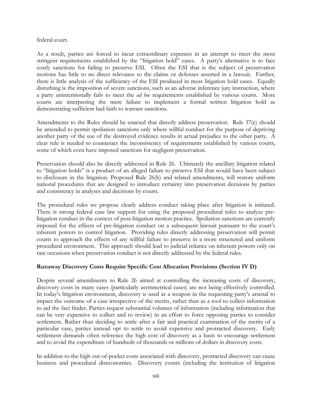#### federal court.

As a result, parties are forced to incur extraordinary expenses in an attempt to meet the most stringent requirements established by the "litigation hold" cases. A party's alternative is to face costly sanctions for failing to preserve ESI. Often the ESI that is the subject of preservation motions has little to no direct relevance to the claims or defenses asserted in a lawsuit. Further, there is little analysis of the sufficiency of the ESI produced in most litigation hold cases. Equally disturbing is the imposition of severe sanctions, such as an adverse inference jury instruction, where a party unintentionally fails to meet the *ad hoc* requirements established by various courts. More courts are interpreting the mere failure to implement a formal written litigation hold as demonstrating sufficient bad faith to warrant sanctions.

Amendments to the Rules should be enacted that directly address preservation. Rule 37(e) should be amended to permit spoliation sanctions only where willful conduct for the purpose of depriving another party of the use of the destroyed evidence results in actual prejudice to the other party. A clear rule is needed to counteract the inconsistency of requirements established by various courts, some of which even have imposed sanctions for negligent preservation.

Preservation should also be directly addressed in Rule 26. Ultimately the ancillary litigation related to "litigation holds" is a product of an alleged failure to preserve ESI that would have been subject to disclosure in the litigation. Proposed Rule 26(h) and related amendments, will restore uniform national procedures that are designed to introduce certainty into preservation decisions by parties and consistency in analyses and decisions by courts.

The procedural rules we propose clearly address conduct taking place after litigation is initiated. There is strong federal case law support for using the proposed procedural rules to analyze prelitigation conduct in the context of post-litigation motion practice. Spoliation sanctions are currently imposed for the effects of pre-litigation conduct on a subsequent lawsuit pursuant to the court's inherent powers to control litigation. Providing rules directly addressing preservation will permit courts to approach the effects of any willful failure to preserve in a more structured and uniform procedural environment. This approach should lead to judicial reliance on inherent powers only on rare occasions when preservation conduct is not directly addressed by the federal rules.

## **Runaway Discovery Costs Require Specific Cost Allocation Provisions (Section IV D)**

Despite several amendments to Rule 26 aimed at controlling the increasing costs of discovery, discovery costs in many cases (particularly asymmetrical cases) are not being effectively controlled. In today's litigation environment, discovery is used as a weapon in the requesting party's arsenal to impact the outcome of a case irrespective of the merits, rather than as a tool to collect information to aid the fact finder. Parties request substantial volumes of information (including information that can be very expensive to collect and to review) in an effort to force opposing parties to consider settlement. Rather than deciding to settle after a fair and practical examination of the merits of a particular case, parties instead opt to settle to avoid expensive and protracted discovery. Early settlement demands often reference the high cost of discovery as a basis to encourage settlement and to avoid the expenditure of hundreds of thousands or millions of dollars in discovery costs.

In addition to the high out-of-pocket costs associated with discovery, protracted discovery can cause business and procedural diseconomies. Discovery events (including the institution of litigation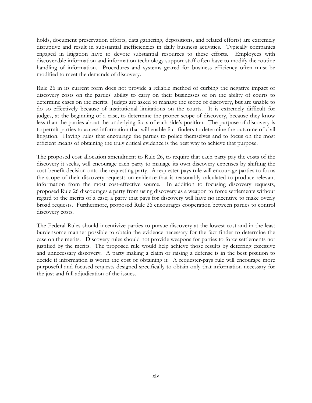holds, document preservation efforts, data gathering, depositions, and related efforts) are extremely disruptive and result in substantial inefficiencies in daily business activities. Typically companies engaged in litigation have to devote substantial resources to these efforts. Employees with discoverable information and information technology support staff often have to modify the routine handling of information. Procedures and systems geared for business efficiency often must be modified to meet the demands of discovery.

Rule 26 in its current form does not provide a reliable method of curbing the negative impact of discovery costs on the parties' ability to carry on their businesses or on the ability of courts to determine cases on the merits. Judges are asked to manage the scope of discovery, but are unable to do so effectively because of institutional limitations on the courts. It is extremely difficult for judges, at the beginning of a case, to determine the proper scope of discovery, because they know less than the parties about the underlying facts of each side's position. The purpose of discovery is to permit parties to access information that will enable fact finders to determine the outcome of civil litigation. Having rules that encourage the parties to police themselves and to focus on the most efficient means of obtaining the truly critical evidence is the best way to achieve that purpose.

The proposed cost allocation amendment to Rule 26, to require that each party pay the costs of the discovery it seeks, will encourage each party to manage its own discovery expenses by shifting the cost-benefit decision onto the requesting party. A requester-pays rule will encourage parties to focus the scope of their discovery requests on evidence that is reasonably calculated to produce relevant information from the most cost-effective source. In addition to focusing discovery requests, proposed Rule 26 discourages a party from using discovery as a weapon to force settlements without regard to the merits of a case; a party that pays for discovery will have no incentive to make overly broad requests. Furthermore, proposed Rule 26 encourages cooperation between parties to control discovery costs.

The Federal Rules should incentivize parties to pursue discovery at the lowest cost and in the least burdensome manner possible to obtain the evidence necessary for the fact finder to determine the case on the merits. Discovery rules should not provide weapons for parties to force settlements not justified by the merits. The proposed rule would help achieve those results by deterring excessive and unnecessary discovery. A party making a claim or raising a defense is in the best position to decide if information is worth the cost of obtaining it. A requester-pays rule will encourage more purposeful and focused requests designed specifically to obtain only that information necessary for the just and full adjudication of the issues.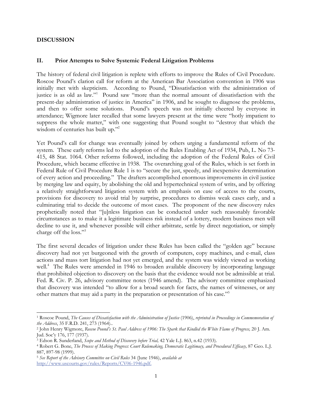## **DISCUSSION**

 $\overline{\phantom{a}}$ 

#### **II. Prior Attempts to Solve Systemic Federal Litigation Problems**

The history of federal civil litigation is replete with efforts to improve the Rules of Civil Procedure. Roscoe Pound's clarion call for reform at the American Bar Association convention in 1906 was initially met with skepticism. According to Pound, "Dissatisfaction with the administration of justice is as old as law."1 Pound saw "more than the normal amount of dissatisfaction with the present-day administration of justice in America" in 1906, and he sought to diagnose the problems, and then to offer some solutions. Pound's speech was not initially cheered by everyone in attendance; Wigmore later recalled that some lawyers present at the time were "hotly impatient to suppress the whole matter," with one suggesting that Pound sought to "destroy that which the wisdom of centuries has built up."<sup>2</sup>

Yet Pound's call for change was eventually joined by others urging a fundamental reform of the system. These early reforms led to the adoption of the Rules Enabling Act of 1934, Pub, L. No 73- 415, 48 Stat. 1064. Other reforms followed, including the adoption of the Federal Rules of Civil Procedure, which became effective in 1938. The overarching goal of the Rules, which is set forth in Federal Rule of Civil Procedure Rule 1 is to "secure the just, speedy, and inexpensive determination of every action and proceeding." The drafters accomplished enormous improvements in civil justice by merging law and equity, by abolishing the old and hypertechnical system of writs, and by offering a relatively straightforward litigation system with an emphasis on ease of access to the courts, provisions for discovery to avoid trial by surprise, procedures to dismiss weak cases early, and a culminating trial to decide the outcome of most cases. The proponent of the new discovery rules prophetically noted that "[u]nless litigation can be conducted under such reasonably favorable circumstances as to make it a legitimate business risk instead of a lottery, modern business men will decline to use it, and whenever possible will either arbitrate, settle by direct negotiation, or simply charge off the loss."<sup>3</sup>

The first several decades of litigation under these Rules has been called the "golden age" because discovery had not yet burgeoned with the growth of computers, copy machines, and e-mail, class actions and mass tort litigation had not yet emerged, and the system was widely viewed as working well.<sup>4</sup> The Rules were amended in 1946 to broaden available discovery by incorporating language that prohibited objection to discovery on the basis that the evidence would not be admissible at trial. Fed. R. Civ. P. 26, advisory committee notes (1946 amend). The advisory committee emphasized that discovery was intended "to allow for a broad search for facts, the names of witnesses, or any other matters that may aid a party in the preparation or presentation of his case."5

<sup>1</sup> Roscoe Pound, *The Causes of Dissatisfaction with the Administration of Justice* (1906), *reprinted in Proceedings in Commemoration of the Address*, 35 F.R.D. 241, 273 (1964)..

<sup>2</sup> John Henry Wigmore, *Roscoe Pound's St. Paul Address of 1906: The Spark that Kindled the White Flame of Progress,* 20 J. Am. Jud. Soc'y 176, 177 (1937).

<sup>3</sup> Edson R. Sunderland, *Scope and Method of Discovery before Trial,* 42 Yale L.J. 863, n.42 (1933).

<sup>4</sup> Robert G. Bone, *The Process of Making Progress: Court Rulemaking, Democratic Legitimacy, and Procedural Efficacy,* 87 Geo. L.J. 887, 897-98 (1999).

<sup>5</sup> *See Report of the Advisory Committee on Civil Rules* 34 (June 1946), *available at*  http://www.uscourts.gov/rules/Reports/CV06-1946.pdf.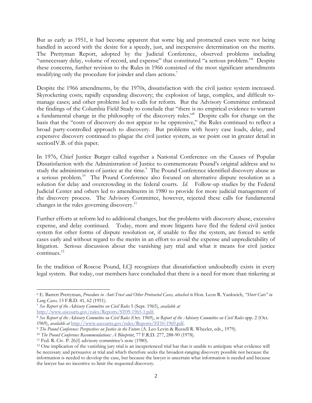But as early as 1951, it had become apparent that some big and protracted cases were not being handled in accord with the desire for a speedy, just, and inexpensive determination on the merits. The Prettyman Report, adopted by the Judicial Conference, observed problems including "unnecessary delay, volume of record, and expense" that constituted "a serious problem." Despite these concerns, further revision to the Rules in 1966 consisted of the most significant amendments modifying only the procedure for joinder and class actions.<sup>7</sup>

Despite the 1966 amendments, by the 1970s, dissatisfaction with the civil justice system increased. Skyrocketing costs; rapidly expanding discovery; the explosion of large, complex, and difficult tomanage cases; and other problems led to calls for reform. But the Advisory Committee embraced the findings of the Columbia Field Study to conclude that "there is no empirical evidence to warrant a fundamental change in the philosophy of the discovery rules."8 Despite calls for change on the basis that the "costs of discovery do not appear to be oppressive," the Rules continued to reflect a broad party-controlled approach to discovery. But problems with heavy case loads, delay, and expensive discovery continued to plague the civil justice system, as we point out in greater detail in sectionIV.B. of this paper.

In 1976, Chief Justice Burger called together a National Conference on the Causes of Popular Dissatisfaction with the Administration of Justice to commemorate Pound's original address and to study the administration of justice at the time.<sup>9</sup> The Pound Conference identified discovery abuse as a serious problem.<sup>10</sup> The Pound Conference also focused on alternative dispute resolution as a solution for delay and overcrowding in the federal courts. *Id.* Follow-up studies by the Federal Judicial Center and others led to amendments in 1980 to provide for more judicial management of the discovery process. The Advisory Committee, however, rejected these calls for fundamental changes in the rules governing discovery.<sup>11</sup>

Further efforts at reform led to additional changes, but the problems with discovery abuse, excessive expense, and delay continued. Today, more and more litigants have fled the federal civil justice system for other forms of dispute resolution or, if unable to flee the system, are forced to settle cases early and without regard to the merits in an effort to avoid the expense and unpredictability of litigation. Serious discussion about the vanishing jury trial and what it means for civil justice continues.12

In the tradition of Roscoe Pound, LCJ recognizes that dissatisfaction undoubtedly exists in every legal system. But today, our members have concluded that there is a need for more than tinkering at

 $\overline{\phantom{a}}$ 

<sup>6</sup> E. Barrett Prettyman, *Procedure in Anti-Trust and Other Protracted Cases, attached to* Hon. Leon R. Yankwich, *"Short Cuts" in Long Cases,* 13 F.R.D. 41, 62 (1951).

<sup>7</sup> *See Report of the Advisory Committee on Civil Rules* 5 (Sept. 1965), *available at*  http://www.uscourts.gov/rules/Reports/ST09-1965-1.pdf.

<sup>8</sup> *See Report of the Advisory Committee on Civil Rules* (Oct. 1969), *in Report of the Advisory Committee on Civil Rules* app. 2 (Oct. 1969), *available at* http://www.uscourts.gov/rules/Reports/ST10-1969.pdf.

<sup>9</sup> *The Pound Conference: Perspectives on Justice in the Future* (A. Leo Levin & Russell R. Wheeler, eds., 1979).

<sup>10</sup> *The Pound Conference Recommendations: A Blueprint*, 77 F.R.D. 277, 288-90 (1978).

<sup>11</sup> Fed. R. Civ. P. 26(f) advisory committee's note (1980).

<sup>&</sup>lt;sup>12</sup> One implication of the vanishing jury trial is an inexperienced trial bar that is unable to anticipate what evidence will be necessary and persuasive at trial and which therefore seeks the broadest-ranging discovery possible not because the information is needed to develop the case, but because the lawyer is uncertain what information is needed and because the lawyer has no incentive to limit the requested discovery.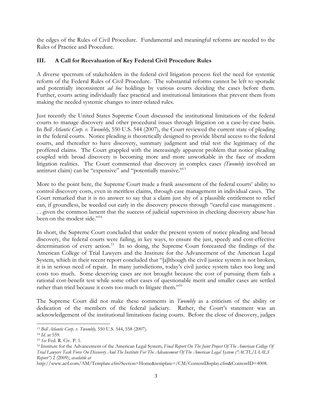the edges of the Rules of Civil Procedure. Fundamental and meaningful reforms are needed to the Rules of Practice and Procedure.

## **III. A Call for Reevaluation of Key Federal Civil Procedure Rules**

A diverse spectrum of stakeholders in the federal civil litigation process feel the need for systemic reform of the Federal Rules of Civil Procedure. The substantial reforms cannot be left to sporadic and potentially inconsistent *ad hoc* holdings by various courts deciding the cases before them. Further, courts acting individually face practical and institutional limitations that prevent them from making the needed systemic changes to inter-related rules.

Just recently the United States Supreme Court discussed the institutional limitations of the federal courts to manage discovery and other procedural issues through litigation on a case-by-case basis. In *Bell Atlantic Corp. v. Twombly,* 550 U.S. 544 (2007), the Court reviewed the current state of pleading in the federal courts. Notice pleading is theoretically designed to provide liberal access to the federal courts, and thereafter to have discovery, summary judgment and trial test the legitimacy of the proffered claims. The Court grappled with the increasingly apparent problem that notice pleading coupled with broad discovery is becoming more and more unworkable in the face of modern litigation realities. The Court commented that discovery in complex cases *(Twombly* involved an antitrust claim) can be "expensive" and "potentially massive."<sup>13</sup>

More to the point here, the Supreme Court made a frank assessment of the federal courts' ability to control discovery costs, even in meritless claims, through case management in individual cases. The Court remarked that it is no answer to say that a claim just shy of a plausible entitlement to relief can, if groundless, be weeded out early in the discovery process through "careful case management . . . given the common lament that the success of judicial supervision in checking discovery abuse has been on the modest side."<sup>14</sup>

In short, the Supreme Court concluded that under the present system of notice pleading and broad discovery, the federal courts were failing, in key ways, to ensure the just, speedy and cost-effective determination of every action.<sup>15</sup> In so doing, the Supreme Court forecasted the findings of the American College of Trial Lawyers and the Institute for the Advancement of the American Legal System, which in their recent report concluded that "[a]lthough the civil justice system is not broken, it is in serious need of repair. In many jurisdictions, today's civil justice system takes too long and costs too much. Some deserving cases are not brought because the cost of pursuing them fails a rational cost-benefit test while some other cases of questionable merit and smaller cases are settled rather than tried because it costs too much to litigate them."<sup>16</sup>

The Supreme Court did not make these comments in *Twombly* as a criticism of the ability or dedication of the members of the federal judiciary. Rather, the Court's statement was an acknowledgement of the institutional limitations facing courts. Before the close of discovery, judges

 $\overline{\phantom{a}}$ <sup>13</sup> *Bell Atlantic Corp. v. Twombly,* 550 U.S. 544, 558 (2007).

<sup>14</sup> *Id.* at 559.

<sup>15</sup> *See* Fed. R. Civ. P. 1.

<sup>16</sup> Institute for the Advancement of the American Legal System, *Final Report On The Joint Project Of The American College Of Trial Lawyers Task Force On Discovery And The Institute For The Advancement Of The American Legal System ("ACTL/IAALS Report")* 2 (2009), *available at* 

http://www.actl.com/AM/Template.cfm?Section=Home&template=/CM/ContentDisplay.cfm&ContentID=4008.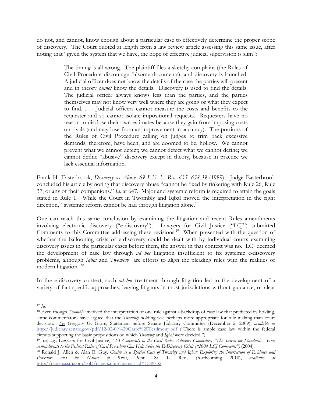do not, and cannot, know enough about a particular case to effectively determine the proper scope of discovery. The Court quoted at length from a law review article assessing this same issue, after noting that "given the system that we have, the hope of effective judicial supervision is slim":

> The timing is all wrong. The plaintiff files a sketchy complaint (the Rules of Civil Procedure discourage fulsome documents), and discovery is launched. A judicial officer does not know the details of the case the parties will present and in theory *cannot* know the details. Discovery is used to find the details. The judicial officer always knows less than the parties, and the parties themselves may not know very well where they are going or what they expect to find. . . . Judicial officers cannot measure the costs and benefits to the requester and so cannot isolate impositional requests. Requesters have no reason to disclose their own estimates because they gain from imposing costs on rivals (and may lose from an improvement in accuracy). The portions of the Rules of Civil Procedure calling on judges to trim back excessive demands, therefore, have been, and are doomed to be, hollow. We cannot prevent what we cannot detect; we cannot detect what we cannot define; we cannot define "abusive" discovery except in theory, because in practice we lack essential information.

Frank H. Easterbrook, *Discovery as Abuse, 69 B.U. L. Rev. 635, 638-39* (1989). Judge Easterbrook concluded his article by noting that discovery abuse "cannot be fixed by tinkering with Rule 26, Rule 37, or any of their companions." *Id.* at 647. Major and systemic reform is required to attain the goals stated in Rule 1. While the Court in Twombly and Iqbal moved the interpretation in the right direction,<sup>17</sup> systemic reform cannot be had through litigation alone.<sup>18</sup>

One can reach this same conclusion by examining the litigation and recent Rules amendments involving electronic discovery ("e-discovery"). Lawyers for Civil Justice ("LCJ") submitted Comments to this Committee addressing these revisions.<sup>19</sup> When presented with the question of whether the ballooning crisis of e-discovery could be dealt with by individual courts examining discovery issues in the particular cases before them, the answer in that context was no. LCJ deemed the development of case law through *ad hoc* litigation insufficient to fix systemic e-discovery problems, although *Iqbal* and *Twombly* are efforts to align the pleading rules with the realities of modern litigation. 20

In the e-discovery context, such *ad hoc* treatment through litigation led to the development of a variety of fact-specific approaches, leaving litigants in most jurisdictions without guidance, or clear

 $\overline{\phantom{a}}$ <sup>17</sup> *Id.*

<sup>&</sup>lt;sup>18</sup> Even though *Twombly* involved the interpretation of one rule against a backdrop of case law that predicted its holding, some commentators have argued that the *Twombly* holding was perhaps more appropriate for rule making than court decision. *See* Gregory G. Garre, Statement before Senate Judiciary Committee (December 2, 2009), *available at* http://judiciary.senate.gov/pdf/12-02-09%20Garre%20Testimony.pdf ("There is ample case law within the federal circuits supporting the basic propositions on which *Twombly* and *Iqbal* were decided.")

<sup>19</sup> *See, e.g.,* Lawyers for Civil Justice, *LCJ Comments to the Civil Rules Advisory Committee, "The Search for Standards. How Amendments to the Federal Rules of Civil Procedure Can Help Solve the E-Discovery Crisis ("2004 LCJ Comments")* (2004)*.*

<sup>20</sup> Ronald J. Allen & Alan E. Guy*, Conley as a Special Case of Twombly and Iqbal: Exploring the Intersection of Evidence and Procedure and the Nature of Rules*, Penn. St. L. Rev., (forthcoming 2010), *available at* http://papers.ssrn.com/sol3/papers.cfm?abstract\_id=1589732.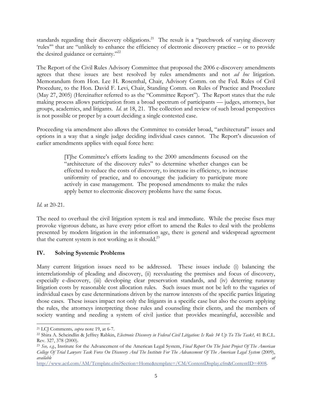standards regarding their discovery obligations.<sup>21</sup> The result is a "patchwork of varying discovery 'rules'" that are "unlikely to enhance the efficiency of electronic discovery practice – or to provide the desired guidance or certainty."<sup>22</sup>

The Report of the Civil Rules Advisory Committee that proposed the 2006 e-discovery amendments agrees that these issues are best resolved by rules amendments and not *ad hoc* litigation. Memorandum from Hon. Lee H. Rosenthal, Chair, Advisory Comm. on the Fed. Rules of Civil Procedure, to the Hon. David F. Levi, Chair, Standing Comm. on Rules of Practice and Procedure (May 27, 2005) (Hereinafter referred to as the "Committee Report"). The Report states that the rule making process allows participation from a broad spectrum of participants — judges, attorneys, bar groups, academics, and litigants. *Id.* at 18, 21. The collection and review of such broad perspectives is not possible or proper by a court deciding a single contested case.

Proceeding via amendment also allows the Committee to consider broad, "architectural" issues and options in a way that a single judge deciding individual cases cannot. The Report's discussion of earlier amendments applies with equal force here:

> [T]he Committee's efforts leading to the 2000 amendments focused on the "architecture of the discovery rules" to determine whether changes can be effected to reduce the costs of discovery, to increase its efficiency, to increase uniformity of practice, and to encourage the judiciary to participate more actively in case management. The proposed amendments to make the rules apply better to electronic discovery problems have the same focus.

*Id.* at 20-21.

 The need to overhaul the civil litigation system is real and immediate. While the precise fixes may provoke vigorous debate, as have every prior effort to amend the Rules to deal with the problems presented by modern litigation in the information age, there is general and widespread agreement that the current system is not working as it should.<sup>23</sup>

## **IV. Solving Systemic Problems**

Many current litigation issues need to be addressed. These issues include (i) balancing the interrelationship of pleading and discovery, (ii) reevaluating the premises and focus of discovery, especially e-discovery, (iii) developing clear preservation standards, and (iv) deterring runaway litigation costs by reasonable cost allocation rules. Such issues must not be left to the vagaries of individual cases by case determinations driven by the narrow interests of the specific parties litigating those cases. These issues impact not only the litigants in a specific case but also the courts applying the rules, the attorneys interpreting those rules and counseling their clients, and the members of society wanting and needing a system of civil justice that provides meaningful, accessible and

http://www.actl.com/AM/Template.cfm?Section=Home&template=/CM/ContentDisplay.cfm&ContentID=4008.

 $\overline{\phantom{a}}$ 21 LCJ Comments*, supra* note 19, at 6-7.

<sup>&</sup>lt;sup>22</sup> Shira A. Scheindlin & Jeffrey Rabkin, *Electronic Discovery in Federal Civil Litigation: Is Rule 34 Up To The Task?*, 41 B.C.L. Rev. 327, 378 (2000).

<sup>23</sup> *See, e.g.*, Institute for the Advancement of the American Legal System, *Final Report On The Joint Project Of The American College Of Trial Lawyers Task Force On Discovery And The Institute For The Advancement Of The American Legal System* (2009), *available at*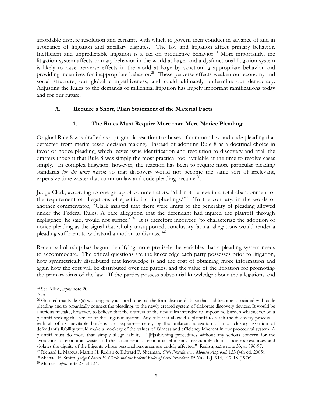affordable dispute resolution and certainty with which to govern their conduct in advance of and in avoidance of litigation and ancillary disputes. The law and litigation affect primary behavior. Inefficient and unpredictable litigation is a tax on productive behavior.<sup>24</sup> More importantly, the litigation system affects primary behavior in the world at large, and a dysfunctional litigation system is likely to have perverse effects in the world at large by sanctioning appropriate behavior and providing incentives for inappropriate behavior.<sup>25</sup> These perverse effects weaken our economy and social structure, our global competitiveness, and could ultimately undermine our democracy. Adjusting the Rules to the demands of millennial litigation has hugely important ramifications today and for our future.

## **A. Require a Short, Plain Statement of the Material Facts**

## **1. The Rules Must Require More than Mere Notice Pleading**

Original Rule 8 was drafted as a pragmatic reaction to abuses of common law and code pleading that detracted from merits-based decision-making. Instead of adopting Rule 8 as a doctrinal choice in favor of notice pleading, which leaves issue identification and resolution to discovery and trial, the drafters thought that Rule 8 was simply the most practical tool available at the time to resolve cases simply. In complex litigation, however, the reaction has been to require more particular pleading standards *for the same reason*: so that discovery would not become the same sort of irrelevant, expensive time waster that common law and code pleading became.<sup>26</sup>.

Judge Clark, according to one group of commentators, "did not believe in a total abandonment of the requirement of allegations of specific fact in pleadings."<sup>27</sup> To the contrary, in the words of another commentator, "Clark insisted that there were limits to the generality of pleading allowed under the Federal Rules. A bare allegation that the defendant had injured the plaintiff through negligence, he said, would not suffice.<sup>228</sup> It is therefore incorrect "to characterize the adoption of notice pleading as the signal that wholly unsupported, conclusory factual allegations would render a pleading sufficient to withstand a motion to dismiss."29

Recent scholarship has begun identifying more precisely the variables that a pleading system needs to accommodate. The critical questions are the knowledge each party possesses prior to litigation, how symmetrically distributed that knowledge is and the cost of obtaining more information and again how the cost will be distributed over the parties; and the value of the litigation for promoting the primary aims of the law. If the parties possess substantial knowledge about the allegations and

l

<sup>24</sup> See Allen, *supra* note 20.

<sup>25</sup> *Id.*

<sup>&</sup>lt;sup>26</sup> Granted that Rule 8(a) was originally adopted to avoid the formalism and abuse that had become associated with code pleading and to organically connect the pleadings to the newly created system of elaborate discovery devices. It would be a serious mistake, however, to believe that the drafters of the new rules intended to impose no burden whatsoever on a plaintiff seeking the benefit of the litigation system. Any rule that allowed a plaintiff to reach the discovery process with all of its inevitable burdens and expense—merely by the unilateral allegation of a conclusory assertion of defendant's liability would make a mockery of the values of fairness and efficiency inherent in our procedural system. A plaintiff must do more than simply allege liability. "[F]ashioning procedures without any serious concern for the avoidance of economic waste and the attainment of economic efficiency inexcusably drains society's resources and violates the dignity of the litigants whose personal resources are unduly affected." Redish, *supra* note 33, at 596-97.

<sup>27</sup> Richard L. Marcus, Martin H. Redish & Edward F. Sherman, *Civil Procedure: A Modern Approach* 133 (4th ed. 2005).

<sup>28</sup> Michael E. Smith, *Judge Charles E. Clark and the Federal Rules of Civil Procedure*, 85 Yale L.J. 914, 917-18 (1976).

<sup>29</sup> Marcus, *supra* note 27, at 134.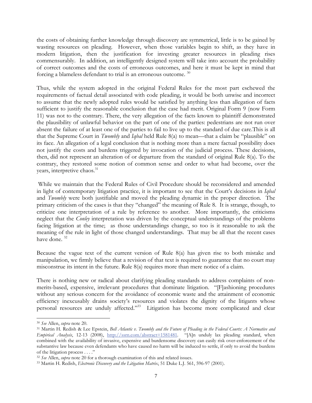the costs of obtaining further knowledge through discovery are symmetrical, little is to be gained by wasting resources on pleading. However, when those variables begin to shift, as they have in modern litigation, then the justification for investing greater resources in pleading rises commensurably. In addition, an intelligently designed system will take into account the probability of correct outcomes and the costs of erroneous outcomes, and here it must be kept in mind that forcing a blameless defendant to trial is an erroneous outcome. 30

Thus, while the system adopted in the original Federal Rules for the most part eschewed the requirements of factual detail associated with code pleading, it would be both unwise and incorrect to assume that the newly adopted rules would be satisfied by anything less than allegation of facts sufficient to justify the reasonable conclusion that the case had merit. Original Form 9 (now Form 11) was not to the contrary. There, the very allegation of the facts known to plaintiff demonstrated the plausibility of unlawful behavior on the part of one of the parties: pedestrians are not run over absent the failure of at least one of the parties to fail to live up to the standard of due care.This is all that the Supreme Court in *Twombly* and *Iqbal* held Rule 8(a) to mean—that a claim be "plausible" on its face. An allegation of a legal conclusion that is nothing more than a mere factual possibility does not justify the costs and burdens triggered by invocation of the judicial process. These decisions, then, did not represent an alteration of or departure from the standard of original Rule 8(a). To the contrary, they restored some notion of common sense and order to what had become, over the years, interpretive chaos.<sup>31</sup>

 While we maintain that the Federal Rules of Civil Procedure should be reconsidered and amended in light of contemporary litigation practice, it is important to see that the Court's decisions in *Iqbal* and *Twombly* were both justifiable and moved the pleading dynamic in the proper direction. The primary criticism of the cases is that they "changed" the meaning of Rule 8. It is strange, though, to criticize one interpretation of a rule by reference to another. More importantly, the criticisms neglect that the *Conley* interpretation was driven by the conceptual understandings of the problems facing litigation at the time; as those understandings change, so too is it reasonable to ask the meaning of the rule in light of those changed understandings. That may be all that the recent cases have done. 32

Because the vague text of the current version of Rule 8(a) has given rise to both mistake and manipulation, we firmly believe that a revision of that text is required to guarantee that no court may misconstrue its intent in the future. Rule 8(a) requires more than mere notice of a claim.

There is nothing new or radical about clarifying pleading standards to address complaints of nonmerits-based, expensive, irrelevant procedures that dominate litigation. "[F]ashioning procedures without any serious concern for the avoidance of economic waste and the attainment of economic efficiency inexcusably drains society's resources and violates the dignity of the litigants whose personal resources are unduly affected."33 Litigation has become more complicated and clear

l

<sup>30</sup> *See* Allen, *supra* note 20.

<sup>31</sup> Martin H. Redish & Lee Epstein, *Bell Atlantic v. Twombly and the Future of Pleading in the Federal Courts: A Normative and Empirical Analysis*, 12-13 (2008), http://ssrn.com/abstract=1581481. "[A]n unduly lax pleading standard, when combined with the availability of invasive, expensive and burdensome discovery can easily risk over-enforcement of the substantive law because even defendants who have caused no harm will be induced to settle, if only to avoid the burdens of the litigation process . . . ."

<sup>32</sup> *See* Allen, *supra* note 20 for a thorough examination of this and related issues. 33 Martin H. Redish, *Electronic Discovery and the Litigation Matrix*, 51 Duke L.J. 561, 596-97 (2001).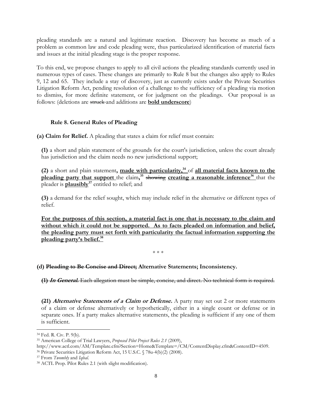pleading standards are a natural and legitimate reaction. Discovery has become as much of a problem as common law and code pleading were, thus particularized identification of material facts and issues at the initial pleading stage is the proper response.

To this end, we propose changes to apply to all civil actions the pleading standards currently used in numerous types of cases. These changes are primarily to Rule 8 but the changes also apply to Rules 9, 12 and 65. They include a stay of discovery, just as currently exists under the Private Securities Litigation Reform Act, pending resolution of a challenge to the sufficiency of a pleading via motion to dismiss, for more definite statement, or for judgment on the pleadings. Our proposal is as follows: (deletions are struck and additions are **bold underscore**)

## **Rule 8. General Rules of Pleading**

**(a) Claim for Relief.** A pleading that states a claim for relief must contain:

**(1)** a short and plain statement of the grounds for the court's jurisdiction, unless the court already has jurisdiction and the claim needs no new jurisdictional support;

**(2)** a short and plain statement, made with particularity,<sup>34</sup> of all material facts known to the **pleading party that support** the claim,<sup>35</sup> showing creating a reasonable inference<sup>36</sup> that the pleader is **plausibly**<sup>37</sup> entitled to relief; and

**(3)** a demand for the relief sought, which may include relief in the alternative or different types of relief.

**For the purposes of this section, a material fact is one that is necessary to the claim and without which it could not be supported. As to facts pleaded on information and belief, the pleading party must set forth with particularity the factual information supporting the pleading party's belief.38**

\* \* \*

## **(d) Pleading to Be Concise and Direct; Alternative Statements; Inconsistency.**

**(1) In General.** Each allegation must be simple, concise, and direct. No technical form is required.

**(21) Alternative Statements of a Claim or Defense.** A party may set out 2 or more statements of a claim or defense alternatively or hypothetically, either in a single count or defense or in separate ones. If a party makes alternative statements, the pleading is sufficient if any one of them is sufficient.

37 From *Twombly* and *Iqbal*.

l <sup>34</sup> Fed. R. Civ. P. 9(b).

<sup>35</sup> American College of Trial Lawyers, *Proposed Pilot Project Rules 2.1* (2009),

http://www.actl.com/AM/Template.cfm?Section=Home&Template=/CM/ContentDisplay.cfm&ContentID=4509. 36 Private Securities Litigation Reform Act, 15 U.S.C. § 78u-4(b)(2) (2008).

<sup>38</sup> ACTL Prop. Pilot Rules 2.1 (with slight modification).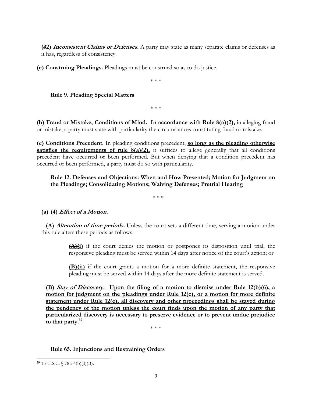**(32) Inconsistent Claims or Defenses.** A party may state as many separate claims or defenses as it has, regardless of consistency.

**(e) Construing Pleadings.** Pleadings must be construed so as to do justice.

\* \* \*

#### **Rule 9. Pleading Special Matters**

\* \* \*

**(b) Fraud or Mistake; Conditions of Mind. In accordance with Rule 8(a)(2),** in alleging fraud or mistake, a party must state with particularity the circumstances constituting fraud or mistake.

**(c) Conditions Precedent.** In pleading conditions precedent, **so long as the pleading otherwise satisfies the requirements of rule 8(a)(2)**, it suffices to allege generally that all conditions precedent have occurred or been performed. But when denying that a condition precedent has occurred or been performed, a party must do so with particularity.

## **Rule 12. Defenses and Objections: When and How Presented; Motion for Judgment on the Pleadings; Consolidating Motions; Waiving Defenses; Pretrial Hearing**

\* \* \*

**(a) (4) Effect of a Motion.** 

**(A) Alteration of time periods.** Unless the court sets a different time, serving a motion under this rule alters these periods as follows:

> **(A)(i)** if the court denies the motion or postpones its disposition until trial, the responsive pleading must be served within 14 days after notice of the court's action; or

> **(B)(ii)** if the court grants a motion for a more definite statement, the responsive pleading must be served within 14 days after the more definite statement is served.

**(B) Stay of Discovery. Upon the filing of a motion to dismiss under Rule 12(b)(6), a motion for judgment on the pleadings under Rule 12(c), or a motion for more definite statement under Rule 12(e), all discovery and other proceedings shall be stayed during the pendency of the motion unless the court finds upon the motion of any party that particularized discovery is necessary to preserve evidence or to prevent undue prejudice to that party.39** 

\* \* \*

#### **Rule 65. Injunctions and Restraining Orders**

 $\overline{\phantom{a}}$ 

**<sup>39</sup>** 15 U.S.C. § 78u-4(b)(3)(B).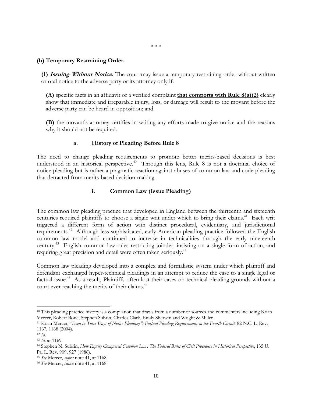#### **(b) Temporary Restraining Order.**

**(1) Issuing Without Notice.** The court may issue a temporary restraining order without written or oral notice to the adverse party or its attorney only if:

**(A)** specific facts in an affidavit or a verified complaint **that comports with Rule 8(a)(2)** clearly show that immediate and irreparable injury, loss, or damage will result to the movant before the adverse party can be heard in opposition; and

**(B)** the movant's attorney certifies in writing any efforts made to give notice and the reasons why it should not be required.

#### **a. History of Pleading Before Rule 8**

The need to change pleading requirements to promote better merits-based decisions is best understood in an historical perspective.<sup>40</sup> Through this lens, Rule 8 is not a doctrinal choice of notice pleading but is rather a pragmatic reaction against abuses of common law and code pleading that detracted from merits-based decision-making.

#### **i. Common Law (Issue Pleading)**

The common law pleading practice that developed in England between the thirteenth and sixteenth centuries required plaintiffs to choose a single writ under which to bring their claims.<sup>41</sup> Each writ triggered a different form of action with distinct procedural, evidentiary, and jurisdictional requirements.<sup>42</sup> Although less sophisticated, early American pleading practice followed the English common law model and continued to increase in technicalities through the early nineteenth century.43 English common law rules restricting joinder, insisting on a single form of action, and requiring great precision and detail were often taken seriously.<sup>44</sup>

Common law pleading developed into a complex and formalistic system under which plaintiff and defendant exchanged hyper-technical pleadings in an attempt to reduce the case to a single legal or factual issue.<sup>45</sup> As a result, Plaintiffs often lost their cases on technical pleading grounds without a court ever reaching the merits of their claims.<sup>46</sup>

l

<sup>40</sup> This pleading practice history is a compilation that draws from a number of sources and commenters including Koan Mercer, Robert Bone, Stephen Subrin, Charles Clark, Emily Sherwin and Wright & Miller.

<sup>&</sup>lt;sup>41</sup> Koan Mercer, "Even in These Days of Notice Pleadings": Factual Pleading Requirements in the Fourth Circuit, 82 N.C. L. Rev. 1167, 1168 (2004).

<sup>42</sup> *Id.*

<sup>43</sup> *Id.* at 1169.

<sup>44</sup> Stephen N. Subrin, *How Equity Conquered Common Law: The Federal Rules of Civil Procedure in Historical Perspective*, 135 U. Pa. L. Rev. 909, 927 (1986).

<sup>45</sup> *See* Mercer, *supra* note 41, at 1168.

<sup>46</sup> *See* Mercer, *supra* note 41, at 1168.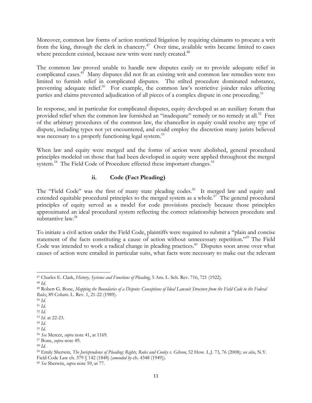Moreover, common law forms of action restricted litigation by requiring claimants to procure a writ from the king, through the clerk in chancery.<sup>47</sup> Over time, available writs became limited to cases where precedent existed, because new writs were rarely created.<sup>48</sup>

The common law proved unable to handle new disputes easily or to provide adequate relief in complicated cases.<sup>49</sup> Many disputes did not fit an existing writ and common law remedies were too limited to furnish relief in complicated disputes. The stilted procedure dominated substance, preventing adequate relief.<sup>50</sup> For example, the common law's restrictive joinder rules affecting parties and claims prevented adjudication of all pieces of a complex dispute in one proceeding.<sup>51</sup>

In response, and in particular for complicated disputes, equity developed as an auxiliary forum that provided relief when the common law furnished an "inadequate" remedy or no remedy at all.<sup>52</sup> Free of the arbitrary procedures of the common law, the chancellor in equity could resolve any type of dispute, including types not yet encountered, and could employ the discretion many jurists believed was necessary to a properly functioning legal system.<sup>53</sup>

When law and equity were merged and the forms of action were abolished, general procedural principles modeled on those that had been developed in equity were applied throughout the merged system.<sup>54</sup> The Field Code of Procedure effected these important changes.<sup>55</sup>

## **ii. Code (Fact Pleading)**

The "Field Code" was the first of many state pleading codes.<sup>56</sup> It merged law and equity and extended equitable procedural principles to the merged system as a whole.<sup>57</sup> The general procedural principles of equity served as a model for code provisions precisely because those principles approximated an ideal procedural system reflecting the correct relationship between procedure and substantive law.<sup>58</sup>

To initiate a civil action under the Field Code, plaintiffs were required to submit a "plain and concise statement of the facts constituting a cause of action without unnecessary repetition."<sup>59</sup> The Field Code was intended to work a radical change in pleading practices.<sup>60</sup> Disputes soon arose over what causes of action were entailed in particular suits, what facts were necessary to make out the relevant

l 47 Charles E. Clark, *History, Systems and Functions of Pleading*, 5 Am. L. Sch. Rev. 716, 721 (1922).

<sup>48</sup> *Id.*

<sup>49</sup> Robert G. Bone, *Mapping the Boundaries of a Dispute: Conceptions of Ideal Lawsuit Structure from the Field Code to the Federal Rules*, 89 Colum. L. Rev. 1, 21-22 (1989).

<sup>50</sup> *Id.*

<sup>51</sup> *Id.*

<sup>52</sup> *Id.*

<sup>53</sup> *Id.* at 22-23.

<sup>54</sup> *Id.*

<sup>55</sup> *Id.*

<sup>56</sup> *See* Mercer, *supra* note 41, at 1169.

<sup>57</sup> Bone, *supra* note 49.

<sup>58</sup> *Id.*

<sup>59</sup> Emily Sherwin, *The Jurisprudence of Pleading: Rights, Rules and Conley v. Gibson*, 52 How. L.J. 73, 76 (2008); *see also*, N.Y. Field Code Law ch. 379 § 142 (1848) (*amended by* ch. 4348 (1949)).

<sup>60</sup> *See* Sherwin, *supra* note 59, at 77.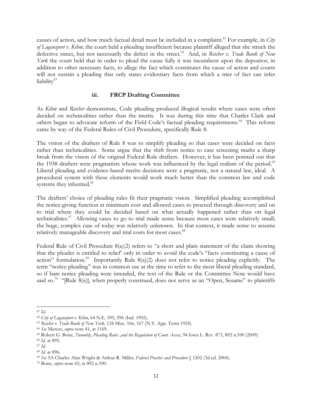causes of action, and how much factual detail must be included in a complaint.<sup>61</sup> For example, in *City of Logansport v. Kihm,* the court held a pleading insufficient because plaintiff alleged that she struck the defective street, but not necessarily the defect in the street.<sup>62</sup> And, in *Reicher v. Trade Bank of New York* the court held that in order to plead the cause fully it was incumbent upon the depositor, in addition to other necessary facts, to allege the fact which constitutes the cause of action and courts will not sustain a pleading that only states evidentiary facts from which a trier of fact can infer liability<sup>63</sup>

## **iii. FRCP Drafting Committee**

As *Kihm* and *Reicher* demonstrate, Code pleading produced illogical results where cases were often decided on technicalities rather than the merits. It was during this time that Charles Clark and others began to advocate reform of the Field Code's factual pleading requirements.<sup>64</sup> This reform came by way of the Federal Rules of Civil Procedure, specifically Rule 8.

The vision of the drafters of Rule 8 was to simplify pleading so that cases were decided on facts rather than technicalities. Some argue that the shift from notice to case screening marks a sharp break from the vision of the original Federal Rule drafters. However, it has been pointed out that the 1938 drafters were pragmatists whose work was influenced by the legal realism of the period.<sup>65</sup> Liberal pleading and evidence-based merits decisions were a pragmatic, not a natural law, ideal. A procedural system with these elements would work much better than the common law and code systems they inherited.<sup>66</sup>

The drafters' choice of pleading rules fit their pragmatic vision. Simplified pleading accomplished the notice-giving function at minimum cost and allowed cases to proceed through discovery and on to trial where they could be decided based on what actually happened rather than on legal technicalities.<sup>67</sup> Allowing cases to go to trial made sense because most cases were relatively small; the huge, complex case of today was relatively unknown. In that context, it made sense to assume relatively manageable discovery and trial costs for most cases.<sup>68</sup>

Federal Rule of Civil Procedure 8(a)(2) refers to "a short and plain statement of the claim showing that the pleader is entitled to relief' only in order to avoid the code's "facts constituting a cause of action" formulation.<sup>69</sup> Importantly Rule 8(a)(2) does not refer to notice pleading explicitly. The term "notice pleading" was in common use at the time to refer to the most liberal pleading standard, so if bare notice pleading were intended, the text of the Rule or the Committee Note would have said so.<sup>70</sup> "[Rule 8(a)], when properly construed, does not serve as an "Open, Sesame" to plaintiffs

l

<sup>61</sup> *Id.*

<sup>62</sup> *City of Logansport v. Kihm*, 64 N.E. 595, 596 (Ind. 1902).

<sup>63</sup> *Reicher v. Trade Bank of New York,* 124 Misc. 166, 167 (N.Y. App. Term 1924).

<sup>64</sup> *See* Mercer, *supra* note 41, at 1169.

<sup>65</sup> Robert G. Bone, *Twombly, Pleading Rules ,and the Regulation of Court Access*, 94 Iowa L. Rev. 873, 892 n.100 (2009).

<sup>66</sup> *Id.* at 895.

<sup>67</sup> *Id.*

<sup>68</sup> *Id.* at 896.

<sup>69</sup> *See* 5A Charles Alan Wright & Arthur R. Miller, *Federal Practice and Procedure* § 1202 (3d ed. 2004).

<sup>70</sup> Bone, *supra* note 65, at 892 n.100.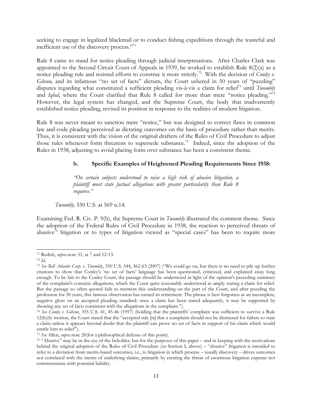seeking to engage in legalized blackmail or to conduct fishing expeditions through the wasteful and inefficient use of the discovery process."<sup>71</sup>

Rule 8 came to stand for notice pleading through judicial interpretations. After Charles Clark was appointed to the Second Circuit Court of Appeals in 1939, he worked to establish Rule 8(2)(a) as a notice pleading rule and resisted efforts to construe it more strictly.<sup>72</sup> With the decision of *Conley v*. Gibson, and its infamous "no set of facts" dictum, the Court ushered in 50 years of "puzzling" disputes regarding what constituted a sufficient pleading vis-à-vis a claim for relief<sup>73</sup> until *Twombly* and *Iqbal*, where the Court clarified that Rule 8 called for more than mere "notice pleading."<sup>74</sup> However, the legal system has changed, and the Supreme Court, the body that inadvertently established notice pleading, revised its position in response to the realities of modern litigation.

Rule 8 was never meant to sanction mere "notice," but was designed to correct flaws in common law and code pleading perceived as dictating outcomes on the basis of procedure rather than merits. Thus, it is consistent with the vision of the original drafters of the Rules of Civil Procedure to adjust those rules whenever form threatens to supersede substance.<sup>75</sup> Indeed, since the adoption of the Rules in 1938, adjusting to avoid placing form over substance has been a consistent theme.

## **b. Specific Examples of Heightened Pleading Requirements Since 1938:**

*"On certain subjects understood to raise a high risk of abusive litigation, a plaintiff must state factual allegations with greater particularity than Rule 8 requires."* 

 *Twombly,* 550 U.S. at 569 n.14.

Examining Fed. R. Civ. P. 9(b), the Supreme Court in *Twombly* illustrated the common theme. Since the adoption of the Federal Rules of Civil Procedure in 1938, the reaction to perceived threats of abusive<sup>76</sup> litigation or to types of litigation viewed as "special cases" has been to require more

l 71 Redish, *supra* note 31, at 7 and 12-13.

<sup>72</sup> *Id.*

<sup>73</sup> *See Bell Atlantic Corp. v. Twombly*, 550 U.S. 544, 562-63 (2007) ("We could go on, but there is no need to pile up further citations to show that Conley's 'no set of facts' language has been questioned, criticized, and explained away long enough. To be fair to the Conley Court, the passage should be understood in light of the opinion's preceding summary of the complaint's concrete allegations, which the Court quite reasonably understood as amply stating a claim for relief. But the passage so often quoted fails to mention this understanding on the part of the Court, and after puzzling the profession for 50 years, this famous observation has earned its retirement. The phrase is best forgotten as an incomplete, negative gloss on an accepted pleading standard: once a claim has been stated adequately, it may be supported by showing any set of facts consistent with the allegations in the complaint.").

<sup>74</sup> *See Conley v. Gibson*, 355 U.S. 41, 45-46 (1957) (holding that the plaintiffs' complaint was sufficient to survive a Rule 12(b)(6) motion, the Court stated that the "accepted rule [is] that a complaint should not be dismissed for failure to state a claim unless it appears beyond doubt that the plaintiff can prove no set of facts in support of his claim which would entitle him to relief").

<sup>75</sup> *See* Allen, *supra* note 20(for a philosophical defense of this point).

<sup>76 &</sup>quot;Abusive" may be in the eye of the beholder, but for the purposes of this paper – and in keeping with the motivations behind the original adoption of the Rules of Civil Procedure (*see* Section I, above) – "abusive" litigation is intended to refer to a deviation from merits-based outcomes; i.e., to litigation in which process – usually discovery – drives outcomes not correlated with the merits of underlying claims, primarily by creating the threat of enormous litigation expense not commensurate with potential liability.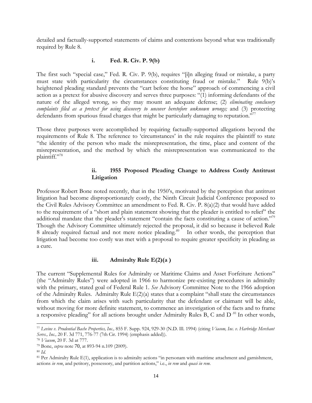detailed and factually-supported statements of claims and contentions beyond what was traditionally required by Rule 8.

## **i. Fed. R. Civ. P. 9(b)**

The first such "special case," Fed. R. Civ. P. 9(b), requires "[i]n alleging fraud or mistake, a party must state with particularity the circumstances constituting fraud or mistake." Rule 9(b)'s heightened pleading standard prevents the "cart before the horse" approach of commencing a civil action as a pretext for abusive discovery and serves three purposes: "(1) informing defendants of the nature of the alleged wrong, so they may mount an adequate defense; (2) *eliminating conclusory complaints filed as a pretext for using discovery to uncover heretofore unknown wrongs;* and (3) protecting defendants from spurious fraud charges that might be particularly damaging to reputation."<sup>77</sup>

Those three purposes were accomplished by requiring factually-supported allegations beyond the requirements of Rule 8. The reference to 'circumstances' in the rule requires the plaintiff to state "the identity of the person who made the misrepresentation, the time, place and content of the misrepresentation, and the method by which the misrepresentation was communicated to the plaintiff."78

## **ii. 1955 Proposed Pleading Change to Address Costly Antitrust Litigation**

Professor Robert Bone noted recently, that in the 1950's, motivated by the perception that antitrust litigation had become disproportionately costly, the Ninth Circuit Judicial Conference proposed to the Civil Rules Advisory Committee an amendment to Fed. R. Civ. P. 8(a)(2) that would have added to the requirement of a "short and plain statement showing that the pleader is entitled to relief" the additional mandate that the pleader's statement "contain the facts constituting a cause of action."<sup>79</sup> Though the Advisory Committee ultimately rejected the proposal, it did so because it believed Rule 8 already required factual and not mere notice pleading.<sup>80</sup> In other words, the perception that litigation had become too costly was met with a proposal to require greater specificity in pleading as a cure.

## **iii. Admiralty Rule E(2)(a )**

The current "Supplemental Rules for Admiralty or Maritime Claims and Asset Forfeiture Actions" (the "Admiralty Rules") were adopted in 1966 to harmonize pre-existing procedures in admiralty with the primary, stated goal of Federal Rule 1. *See* Advisory Committee Note to the 1966 adoption of the Admiralty Rules. Admiralty Rule  $E(2)(a)$  states that a complaint "shall state the circumstances" from which the claim arises with such particularity that the defendant or claimant will be able, without moving for more definite statement, to commence an investigation of the facts and to frame a responsive pleading" for all actions brought under Admiralty Rules B, C and  $D^{.81}$  In other words,

 $\overline{\phantom{a}}$ 

<sup>77</sup> *Levine v. Prudential Bache Properties, Inc.,* 855 F. Supp. 924, 929-30 (N.D. Ill. 1994) (citing *Viacom, Inc. v. Harbridge Merchant Servs., Inc.,* 20 F. 3d 771, 776-77 (7th Cir. 1994) (emphasis added)).

<sup>78</sup> *Viacom*, 20 F. 3d at 777.

<sup>79</sup> Bone, *supra* note 70, at 893-94 n.109 (2009).

<sup>80</sup> *Id.*

<sup>81</sup> Per Admiralty Rule E(1), application is to admiralty actions "in personam with maritime attachment and garnishment, actions *in rem*, and petitory, possessory, and partition actions," i.e., *in rem* and *quasi in rem*.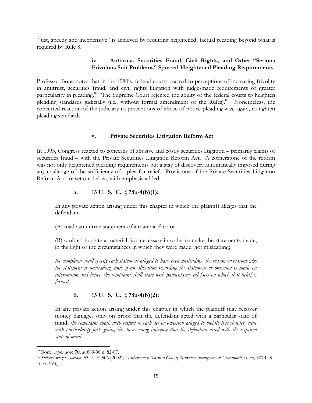"just, speedy and inexpensive" is achieved by requiring heightened, factual pleading beyond what is required by Rule 8.

## **iv. Antitrust, Securities Fraud, Civil Rights, and Other "Serious Frivolous Suit Problems" Spurred Heightened Pleading Requirements**

Professor Bone notes that in the 1980's, federal courts reacted to perceptions of increasing frivolity in antitrust, securities fraud, and civil rights litigation with judge-made requirements of greater particularity in pleading.<sup>82</sup> The Supreme Court rejected the ability of the federal courts to heighten pleading standards judicially (i.e., without formal amendment of the Rules).<sup>83</sup> Nonetheless, the concerted reaction of the judiciary to perceptions of abuse of notice pleading was, again, to tighten pleading standards.

## **v. Private Securities Litigation Reform Act**

In 1995, Congress reacted to concerns of abusive and costly securities litigation – primarily claims of securities fraud – with the Private Securities Litigation Reform Act. A cornerstone of the reform was not only heightened pleading requirements but a stay of discovery automatically imposed during any challenge of the sufficiency of a plea for relief. Provisions of the Private Securities Litigation Reform Act are set out below, with emphasis added:

## **a. 15 U. S. C.** § **78u-4(b)(1):**

In any private action arising under this chapter in which the plaintiff alleges that the defendant--

(A) made an untrue statement of a material fact; or

(B) omitted to state a material fact necessary in order to make the statements made, in the light of the circumstances in which they were made, not misleading;

*the complaint shall specify each statement alleged to have been misleading, the reason or reasons why the statement is misleading, and, if an allegation regarding the statement or omission is made on information and belief, the complaint shall state with particularity all facts on which that belief is formed.* 

## **b. 15 U. S. C.** § **78u-4(b)(2):**

In any private action arising under this chapter in which the plaintiff may recover money damages only on proof that the defendant acted with a particular state of mind, *the complaint shall, with respect to each act or omission alleged to violate this chapter, state*  with particularity facts giving rise to a strong inference that the defendant acted with the required *state of mind.* 

 $\overline{\phantom{a}}$ 

<sup>82</sup> Bone, *supra* note 70, at 889-90 n. 82-87.

<sup>83</sup> *Swierkiewicz v. Sorema*, 534 U.S. 506 (2002); *Leatherman v. Tarrant County Narcotics Intelligence & Coordination Unit,* 507 U.S. 163 (1993).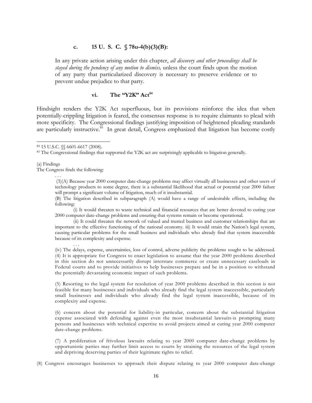#### **c. 15 U. S. C. § 78u-4(b)(3)(B):**

In any private action arising under this chapter, *all discovery and other proceedings shall be stayed during the pendency of any motion to dismiss,* unless the court finds upon the motion of any party that particularized discovery is necessary to preserve evidence or to prevent undue prejudice to that party.

#### vi. The "Y2K" Act<sup>84</sup>

Hindsight renders the Y2K Act superfluous, but its provisions reinforce the idea that when potentially-crippling litigation is feared, the consensus response is to require claimants to plead with more specificity. The Congressional findings justifying imposition of heightened pleading standards are particularly instructive.<sup>85</sup> In great detail, Congress emphasized that litigation has become costly

(a) Findings

. . .

 $\overline{a}$ 

The Congress finds the following:

. . .

(3)(A) Because year 2000 computer date-change problems may affect virtually all businesses and other users of technology products to some degree, there is a substantial likelihood that actual or potential year 2000 failure will prompt a significant volume of litigation, much of it insubstantial.

(B) The litigation described in subparagraph (A) would have a range of undesirable effects, including the following:

(i) It would threaten to waste technical and financial resources that are better devoted to curing year 2000 computer date-change problems and ensuring that systems remain or become operational.

(ii) It could threaten the network of valued and trusted business and customer relationships that are important to the effective functioning of the national economy. iii) It would strain the Nation's legal system, causing particular problems for the small business and individuals who already find that system inaccessible because of its complexity and expense.

(iv) The delays, expense, uncertainties, loss of control, adverse publicity the problems sought to be addressed. (4) It is appropriate for Congress to enact legislation to assume that the year 2000 problems described in this section do not unnecessarily disrupt interstate commerce or create unnecessary caseloads in Federal courts and to provide initiatives to help businesses prepare and be in a position to withstand the potentially devastating economic impact of such problems.

(5) Resorting to the legal system for resolution of year 2000 problems described in this section is not feasible for many businesses and individuals who already find the legal system inaccessible, particularly small businesses and individuals who already find the legal system inaccessible, because of its complexity and expense.

(6) concern about the potential for liability-in particular, concern about the substantial litigation expense associated with defending against even the most insubstantial lawsuits-is prompting many persons and businesses with technical expertise to avoid projects aimed at curing year 2000 computer date-change problems.

(7) A proliferation of frivolous lawsuits relating to year 2000 computer date-change problems by opportunistic parties may further limit access to courts by straining the resources of the legal system and depriving deserving parties of their legitimate rights to relief.

(8) Congress encourages businesses to approach their dispute relating to year 2000 computer date-change

<sup>84 15</sup> U.S.C. §§ 6601-6617 (2008).

<sup>&</sup>lt;sup>85</sup> The Congressional findings that supported the Y2K act are surprisingly applicable to litigation generally.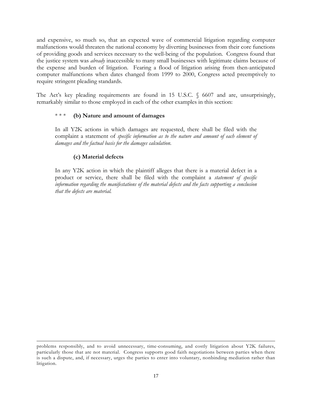and expensive, so much so, that an expected wave of commercial litigation regarding computer malfunctions would threaten the national economy by diverting businesses from their core functions of providing goods and services necessary to the well-being of the population. Congress found that the justice system was *already* inaccessible to many small businesses with legitimate claims because of the expense and burden of litigation. Fearing a flood of litigation arising from then-anticipated computer malfunctions when dates changed from 1999 to 2000, Congress acted preemptively to require stringent pleading standards.

The Act's key pleading requirements are found in 15 U.S.C. § 6607 and are, unsurprisingly, remarkably similar to those employed in each of the other examples in this section:

## \* \* \* **(b) Nature and amount of damages**

In all Y2K actions in which damages are requested, there shall be filed with the complaint a statement of *specific information as to the nature and amount of each element of damages and the factual basis for the damages calculation*.

## **(c) Material defects**

l

In any Y2K action in which the plaintiff alleges that there is a material defect in a product or service, there shall be filed with the complaint a *statement of specific information regarding the manifestations of the material defects and the facts supporting a conclusion that the defects are material.* 

problems responsibly, and to avoid unnecessary, time-consuming, and costly litigation about Y2K failures, particularly those that are not material. Congress supports good faith negotiations between parties when there is such a dispute, and, if necessary, urges the parties to enter into voluntary, nonbinding mediation rather than litigation.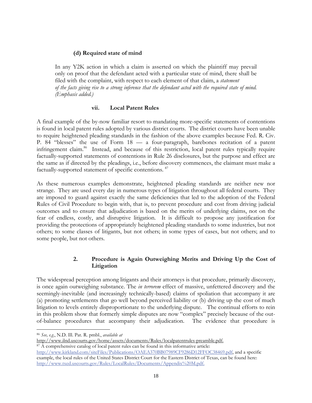## **(d) Required state of mind**

In any Y2K action in which a claim is asserted on which the plaintiff may prevail only on proof that the defendant acted with a particular state of mind, there shall be filed with the complaint, with respect to each element of that claim, a *statement of the facts giving rise to a strong inference that the defendant acted with the required state of mind. (Emphasis added.)*

## **vii. Local Patent Rules**

A final example of the by-now familiar resort to mandating more-specific statements of contentions is found in local patent rules adopted by various district courts. The district courts have been unable to require heightened pleading standards in the fashion of the above examples because Fed. R. Civ. P. 84 "blesses" the use of Form 18 — a four-paragraph, barebones recitation of a patent infringement claim.<sup>86</sup> Instead, and because of this restriction, local patent rules typically require factually-supported statements of contentions in Rule 26 disclosures, but the purpose and effect are the same as if directed by the pleadings, i.e., before discovery commences, the claimant must make a factually-supported statement of specific contentions.<sup>87</sup>

As these numerous examples demonstrate, heightened pleading standards are neither new nor strange. They are used every day in numerous types of litigation throughout all federal courts. They are imposed to guard against exactly the same deficiencies that led to the adoption of the Federal Rules of Civil Procedure to begin with, that is, to prevent procedure and cost from driving judicial outcomes and to ensure that adjudication is based on the merits of underlying claims, not on the fear of endless, costly, and disruptive litigation. It is difficult to propose any justification for providing the protections of appropriately heightened pleading standards to some industries, but not others; to some classes of litigants, but not others; in some types of cases, but not others; and to some people, but not others.

## **2. Procedure is Again Outweighing Merits and Driving Up the Cost of Litigation**

The widespread perception among litigants and their attorneys is that procedure, primarily discovery, is once again outweighing substance. The *in terrorem* effect of massive, unfettered discovery and the seemingly-inevitable (and increasingly technically-based) claims of spoliation that accompany it are (a) promoting settlements that go well beyond perceived liability or (b) driving up the cost of much litigation to levels entirely disproportionate to the underlying dispute. The continual efforts to rein in this problem show that formerly simple disputes are now "complex" precisely because of the outof-balance procedures that accompany their adjudication. The evidence that procedure is

l

<sup>86</sup> *See, e.g.*, N.D. Ill. Pat. R. pmbl., *available at*

http://www.ilnd.uscourts.gov/home/assets/documents/Rules/localpatentrules-preamble.pdf. 87 A comprehensive catalog of local patent rules can be found in this informative article:

http://www.kirkland.com/siteFiles/Publications/OAEA370BB07989CF9286D12FFOC38469.pdf, and a specific example, the local rules of the United States District Court for the Eastern District of Texas, can be found here: http://www.txed.uscourts.gov/Rules/LocalRules/Documents/Appendix%20M.pdf.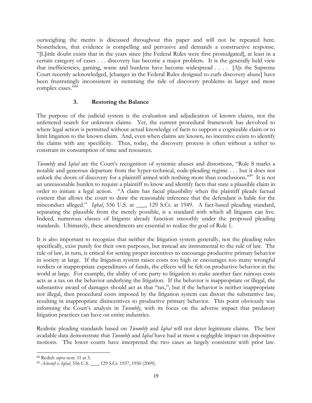outweighing the merits is discussed throughout this paper and will not be repeated here. Nonetheless, that evidence is compelling and pervasive and demands a constructive response. "[L]ittle doubt exists that in the years since [the Federal Rules were first promulgated], at least in a certain category of cases . . . discovery has become a major problem. It is the generally held view that inefficiencies, gaming, waste and burdens have become widespread . . . . [A]s the Supreme Court recently acknowledged, [changes in the Federal Rules designed to curb discovery abuse] have been frustratingly inconsistent in stemming the tide of discovery problems in larger and more complex cases."<sup>88</sup>

## **3. Restoring the Balance**

The purpose of the judicial system is the evaluation and adjudication of known claims, not the unfettered search for unknown claims. Yet, the current procedural framework has devolved to where legal action is permitted without actual knowledge of facts to support a cognizable claim or to limit litigation to the known claim. And, even when claims are known, no incentive exists to identify the claims with any specificity. Thus, today, the discovery process is often without a tether to constrain its consumption of time and resources.

*Twombly* and *Iqbal* are the Court's recognition of systemic abuses and distortions, "Rule 8 marks a notable and generous departure from the hyper-technical, code-pleading regime . . . but it does not unlock the doors of discovery for a plaintiff armed with nothing more than conclusions."<sup>89</sup> It is not an unreasonable burden to require a plaintiff to know and identify facts that state a plausible claim in order to initiate a legal action. "A claim has facial plausibility when the plaintiff pleads factual content that allows the court to draw the reasonable inference that the defendant is liable for the misconduct alleged." *Iqbal*, 556 U.S. at \_\_\_, 129 S.Ct. at 1949. A fact-based pleading standard, separating the plausible from the merely possible, is a standard with which all litigants can live. Indeed, numerous classes of litigants already function smoothly under the proposed pleading standards. Ultimately, these amendments are essential to realize the goal of Rule 1.

It is also important to recognize that neither the litigation system generally, nor the pleading rules specifically, exist purely for their own purposes, but instead are instrumental to the rule of law. The rule of law, in turn, is critical for setting proper incentives to encourage productive primary behavior in society at large. If the litigation system raises costs too high or encourages too many wrongful verdicts or inappropriate expenditures of funds, the effects will be felt on productive behavior in the world at large. For example, the ability of one party to litigation to make another face ruinous costs acts as a tax on the behavior underlying the litigation. If the behavior is inappropriate or illegal, the substantive award of damages should act as that "tax,"; but if the behavior is neither inappropriate nor illegal, then procedural costs imposed by the litigation system can distort the substantive law, resulting in inappropriate disincentives to productive primary behavior. This point obviously was informing the Court's analysis in *Twombly*, with its focus on the adverse impact that predatory litigation practices can have on entire industries.

Realistic pleading standards based on *Twombly* and *Iqbal* will not deter legitimate claims. The best available data demonstrate that *Twombly* and *Iqbal* have had at most a negligible impact on dispositive motions. The lower courts have interpreted the two cases as largely consistent with prior law.

l

<sup>88</sup> Redish *supra* note 31 at 5.

<sup>89</sup> *Ashcroft v. Iqbal*, 556 U.S. \_\_\_, 129 S.Ct. 1937, 1950 (2009).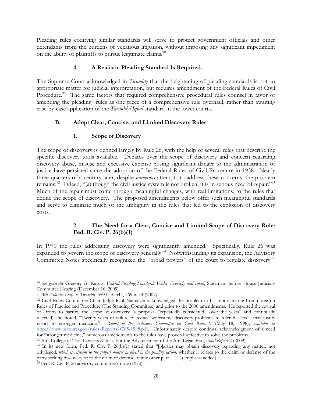Pleading rules codifying similar standards will serve to protect government officials and other defendants from the burdens of vexatious litigation, without imposing any significant impediment on the ability of plaintiffs to pursue legitimate claims.<sup>90</sup>

## **4. A Realistic Pleading Standard Is Required.**

The Supreme Court acknowledged in *Twombly* that the heightening of pleading standards is not an appropriate matter for judicial interpretation, but requires amendment of the Federal Rules of Civil Procedure.<sup>91</sup> The same factors that required comprehensive procedural rules counsel in favor of amending the pleading rules as one piece of a comprehensive rule overhaul, rather than awaiting case-by-case application of the *Twombly/Iqbal* standard in the lower courts.

## **B. Adopt Clear, Concise, and Limited Discovery Rules**

## **1. Scope of Discovery**

The scope of discovery is defined largely by Rule 26, with the help of several rules that describe the specific discovery tools available. Debates over the scope of discovery and concern regarding discovery abuse, misuse and excessive expense posing significant danger to the administration of justice have persisted since the adoption of the Federal Rules of Civil Procedure in 1938. Nearly three quarters of a century later, despite *numerous* attempts to address these concerns, the problem remains.<sup>92</sup> Indeed, "(a)lthough the civil justice system is not broken, it is in serious need of repair."<sup>93</sup> Much of the repair must come through meaningful changes, with real limitations, to the rules that define the scope of discovery. The proposed amendments below offer such meaningful standards and serve to eliminate much of the ambiguity in the rules that led to the explosion of discovery costs.

## **2. The Need for a Clear, Concise and Limited Scope of Discovery Rule: Fed. R. Civ. P. 26(b)(1)**

In 1970 the rules addressing discovery were significantly amended. Specifically, Rule 26 was expanded to govern the scope of discovery generally.<sup>94</sup> Notwithstanding its expansion, the Advisory Committee Notes specifically recognized the "broad powers" of the court to regulate discovery.<sup>95</sup>

 $\overline{\phantom{a}}$ <sup>90</sup> *See generally* Gregory G. Katsas, *Federal Pleading Standards Under Twombly and Iqbal*, Statement before House Judiciary Committee Hearing (December 16, 2009).

<sup>91</sup> *Bell Atlantic Corp. v. Twombly*, 550 U.S. 544, 569 n. 14 (2007).

<sup>&</sup>lt;sup>92</sup> Civil Rules Committee Chair Judge Paul Niemeyer acknowledged the problem in his report to the Committee on Rules of Practice and Procedure (The Standing Committee) and prior to the 2000 amendments. He reported the revival of efforts to narrow the scope of discovery (a proposal "repeatedly considered…over the years" and continually rejected) and noted, "Twenty years of failure to reduce worrisome discovery problems to tolerable levels may justify resort to stronger medicine." *Report of the Advisory Committee on Civil Rules* 9 (May 18, 1998), *available at*  http://www.uscourts.gov/rules/Reports/CV5-1998.pdf. Unfortunately despite continual acknowledgment of a need for "stronger medicine," numerous amendments to the rules have proven ineffective to solve the problems.

<sup>93</sup> Am. College of Trial Lawyers & Inst. For the Advancement of the Am. Legal Syst., *Final Report* 2 (2009).

<sup>&</sup>lt;sup>94</sup> In its new form, Fed. R. Civ. P. 26(b)(1) stated that "[p]arties may obtain discovery regarding any matter, not privileged, which is relevant to the subject matter involved in the pending action, whether it relates to the claim or defense of the party seeking discovery or to the claim or defense of any other part . . . ." (emphasis added).

 $95$  Fed. R. Civ. P. 26 advisory committee's note (1970).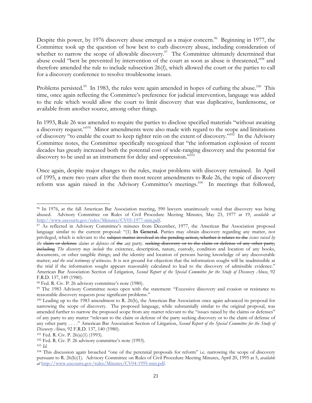Despite this power, by 1976 discovery abuse emerged as a major concern.<sup>96</sup> Beginning in 1977, the Committee took up the question of how best to curb discovery abuse, including consideration of whether to narrow the scope of allowable discovery.<sup>97</sup> The Committee ultimately determined that abuse could "best be prevented by intervention of the court as soon as abuse is threatened,"98 and therefore amended the rule to include subsection 26(f), which allowed the court or the parties to call for a discovery conference to resolve troublesome issues.

Problems persisted.<sup>99</sup> In 1983, the rules were again amended in hopes of curbing the abuse.<sup>100</sup> This time, once again reflecting the Committee's preference for judicial intervention, language was added to the rule which would allow the court to limit discovery that was duplicative, burdensome, or available from another source, among other things.

In 1993, Rule 26 was amended to require the parties to disclose specified materials "without awaiting a discovery request."101 Minor amendments were also made with regard to the scope and limitations of discovery "to enable the court to keep tighter rein on the extent of discovery."102 In the Advisory Committee notes, the Committee specifically recognized that "the information explosion of recent decades has greatly increased both the potential cost of wide-ranging discovery and the potential for discovery to be used as an instrument for delay and oppression."<sup>103</sup>

Once again, despite major changes to the rules, major problems with discovery remained. In April of 1995, a mere two years after the then most recent amendments to Rule 26, the topic of discovery reform was again raised in the Advisory Committee's meetings.<sup>104</sup> In meetings that followed,

l 96 In 1976, at the fall American Bar Association meeting, 590 lawyers unanimously voted that discovery was being abused. Advisory Committee on Rules of Civil Procedure Meeting Minutes, May 23, 1977 at 19, *available at* http://www.uscourts.gov/rules/Minutes/CV05-1977-min.pdf.<br><sup>97</sup> As reflected in Advisory Committee's minutes from December, 1977, the American Bar Association proposed

language similar to the current proposal: "(1) **In General.** Parties may obtain discovery regarding any matter, not privileged, which is relevant to the subject matter involved in the pending action, whether it relates to the *issues raised by the* claim or defense *claims or defenses* of the *any* party. seeking discovery or to the claim or defense of any other party, including *The discovery may include* the existence, description, nature, custody, condition and location of any books, documents, or other tangible things; and the identity and location of persons having knowledge of any discoverable matter; *and the oral testimony of witnesses*. It is not ground for objection that the information sought will be inadmissible at the trial if the information sought appears reasonably calculated to lead to the discovery of admissible evidence." American Bar Association Section of Litigation, *Second Report of the Special Committee for the Study of Discovery Abuse*, 92 F.R.D. 137, 149 (1980).

<sup>98</sup> Fed. R. Civ. P. 26 advisory committee's note (1980).

<sup>99</sup> The 1983 Advisory Committee notes open with the statement: "Excessive discovery and evasion or resistance to reasonable discovery requests pose significant problems."

<sup>100</sup> Leading up to the 1983 amendment to R. 26(b), the American Bar Association once again advanced its proposal for narrowing the scope of discovery. The proposed language, while substantially similar to the original proposal, was amended further to narrow the proposed scope from any matter relevant to the "issues raised by the claims or defenses" of any party to any matter "relevant to the claim or defense of the party seeking discovery or to the claim of defense of any other party . . . ." American Bar Association Section of Litigation, *Second Report of the Special Committee for the Study of Discovery Abuse*, 92 F.R.D. 137, 140 (1980).

<sup>&</sup>lt;sup>101</sup> Fed. R. Civ. P.  $26(a)(1)$  (1993).<br><sup>102</sup> Fed. R. Civ. P. 26 advisory committee's note (1993).

<sup>103</sup> *Id.*

<sup>104</sup> This discussion again broached "one of the perennial proposals for reform" i.e. narrowing the scope of discovery pursuant to R. 26(b)(1). Advisory Committee on Rules of Civil Procedure Meeting Minutes, April 20, 1995 at 5, *available at* http://www.uscourts.gov/rules/Minutes/CV04-1995-min.pdf.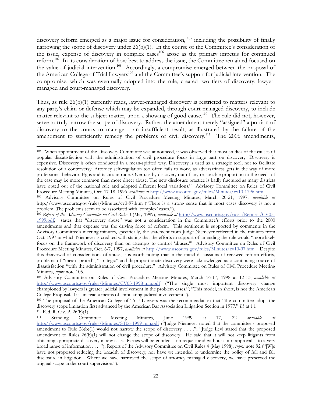discovery reform emerged as a major issue for consideration, <sup>105</sup> including the possibility of finally narrowing the scope of discovery under 26(b)(1). In the course of the Committee's consideration of the issue, expense of discovery in complex cases<sup>106</sup> arose as the primary impetus for continued reform.107 In its consideration of how best to address the issue, the Committee remained focused on the value of judicial intervention.108 Accordingly, a compromise emerged between the proposal of the American College of Trial Lawyers<sup>109</sup> and the Committee's support for judicial intervention. The compromise, which was eventually adopted into the rule, created two tiers of discovery: lawyermanaged and court-managed discovery.

Thus, as rule 26(b)(1) currently reads, lawyer-managed discovery is restricted to matters relevant to any party's claim or defense which may be expanded, through court-managed discovery, to include matter relevant to the subject matter, upon a showing of good cause.<sup>110</sup> The rule did not, however, serve to truly narrow the scope of discovery. Rather, the amendment merely "assigned" a portion of discovery to the courts to manage – an insufficient result, as illustrated by the failure of the amendment to sufficiently remedy the problems of civil discovery.<sup>111</sup> The 2006 amendments,

l 105 "When appointment of the Discovery Committee was announced, it was observed that most studies of the causes of popular dissatisfaction with the administration of civil procedure focus in large part on discovery. Discovery is expensive. Discovery is often conducted in a mean-spirited way. Discovery is used as a strategic tool, not to facilitate resolution of a controversy. Attorney self-regulation too often fails to work, as adversariness gets in the way of more professional behavior. Egos and tactics intrude. Over-use by discovery out of any reasonable proportion to the needs of the case may be more common than more direct abuse. The new disclosure practice is badly fractured as many districts have opted out of the national rule and adopted different local variations." Advisory Committee on Rules of Civil

Procedure Meeting Minutes, Oct. 17-18, 1996, *available at* http://www.uscourts.gov/rules/Minutes/cv10-1796.htm. 106 Advisory Committee on Rules of Civil Procedure Meeting Minutes, March 20-21, 1997, *available at* http://www.uscourts.gov/rules/Minutes/cv3-97.htm ("There is a strong sense that in most cases discovery is not a problem. The problems seem to be associated with 'complex' cases."). 107 *Report of the Advisory Committee on Civil Rules* 3 (May 1999), *available at* http://www.uscourts.gov/rules/Reports/CV05-

<sup>1999.</sup>pdf, states that "discovery abuse" was not a consideration in the Committee's efforts prior to the 2000 amendments and that expense was the driving force of reform. This sentiment is supported by comments in the Advisory Committee's meeting minutes, specifically, the statement from Judge Niemeyer reflected in the minutes from Oct. 1997 in which Niemeyer is credited with stating that the efforts in support of amending the rule would "more likely focus on the framework of discovery than on attempts to control 'abuses.'" Advisory Committee on Rules of Civil Procedure Meeting Minutes, Oct. 6-7, 1997, *available at* http://www.uscourts.gov/rules/Minutes/cv10-97.htm. Despite this disavowal of considerations of abuse, it is worth noting that in the initial discussions of renewed reform efforts, problems of "mean spirited", "strategic" and disproportionate discovery were acknowledged as a continuing source of dissatisfaction "with the administration of civil procedure." Advisory Committee on Rules of Civil Procedure Meeting Minutes, *supra* note 105.

<sup>108</sup> Advisory Committee on Rules of Civil Procedure Meeting Minutes, March 16-17, 1998 at 12-13, *available at* http://www.uscourts.gov/rules/Minutes/CV03-1998-min.pdf ("The single most important discovery change championed by lawyers is greater judicial involvement in the problem cases."; "This model, in short, is not the American College Proposal. It is instead a means of stimulating judicial involvement.").

<sup>&</sup>lt;sup>109</sup> The proposal of the American College of Trial Lawyers was the recommendation that "the committee adopt the discovery scope limitation first advanced by the American Bar Association Litigation Section in 1977." *Id.* at 11. <sup>110</sup> Fed. R. Civ. P. 26(b)(1).

<sup>111</sup> Standing Committee Meeting Minutes, June 1999 at 17, 22 *available at*  http://www.uscourts.gov/rules/Minutes/ST06-1999-min.pdf ("Judge Niemeyer noted that the committee's proposed amendment to Rule 26(b)(1) would not narrow the scope of discovery . . . ."; "Judge Levi stated that the proposed amendment to Rules 26(b)(1) will not change the scope of discovery. He said that it will not keep litigants from obtaining appropriate discovery in any case. Parties will be entitled – on request and without court approval – to a very broad range of information . . . ."); Report of the Advisory Committee on Civil Rules 4 (May 1998), *supra* note 92 ("[W]e have not proposed reducing the breadth of discovery, nor have we intended to undermine the policy of full and fair disclosure in litigation. Where we have narrowed the scope of attorney managed discovery, we have preserved the original scope under court supervision.").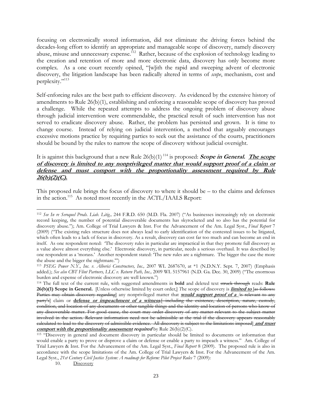focusing on electronically stored information, did not eliminate the driving forces behind the decades-long effort to identify an appropriate and manageable scope of discovery, namely discovery abuse, misuse and unnecessary expense.<sup>112</sup> Rather, because of the explosion of technology leading to the creation and retention of more and more electronic data, discovery has only become more complex. As a one court recently opined, "[w]ith the rapid and sweeping advent of electronic discovery, the litigation landscape has been radically altered in terms of *scope*, mechanism, cost and perplexity."<sup>113</sup>

Self-enforcing rules are the best path to efficient discovery. As evidenced by the extensive history of amendments to Rule 26(b)(1), establishing and enforcing a reasonable scope of discovery has proved a challenge. While the repeated attempts to address the ongoing problem of discovery abuse through judicial intervention were commendable, the practical result of such intervention has not served to eradicate discovery abuse. Rather, the problem has persisted and grown. It is time to change course. Instead of relying on judicial intervention, a method that arguably encourages excessive motions practice by requiring parties to seek out the assistance of the courts, practitioners should be bound by the rules to narrow the scope of discovery without judicial oversight.

## It is against this background that a new Rule  $26(b)(1)^{114}$  is proposed: **Scope in General.** The scope **of discovery is limited to any nonprivileged matter that would support proof of a claim or defense and must comport with the proportionality assessment required by Rule 26(b)(2)(C).**

This proposed rule brings the focus of discovery to where it should be – to the claims and defenses in the action.<sup>115</sup> As noted most recently in the ACTL/IAALS Report:

 $\overline{\phantom{a}}$ <sup>112</sup> *See In re Seroquel Prods. Liab. Litig.,* 244 F.R.D. 650 (M.D. Fla. 2007) ("As businesses increasingly rely on electronic record keeping, the number of potential discoverable documents has skyrocketed and so also has the potential for discovery abuse."); Am. College of Trial Lawyers & Inst. For the Advancement of the Am. Legal Syst., *Final Report* 7 (2009) ("The existing rules structure does not always lead to early identification of the contested issues to be litigated, which often leads to a lack of focus in discovery. As a result, discovery can cost far too much and can become an end in itself. As one respondent noted: 'The discovery rules in particular are impractical in that they promote full discovery as a value above almost everything else.' Electronic discovery, in particular, needs a serious overhaul. It was described by one respondent as a 'morass.' Another respondent stated: 'The new rules are a nightmare. The bigger the case the more the abuse and the bigger the nightmare.'")

<sup>113</sup> *PSEG Power N.Y., Inc. v. Alberici Constructors, Inc.,* 2007 WL 2687670, at \*1 (N.D.N.Y. Sept. 7, 2007) (Emphasis added.); *See also CBT Flint Partners, LLC v. Return Path, Inc.,* 2009 WL 5157961 (N.D. Ga. Dec. 30, 2009) ("The enormous burden and expense of electronic discovery are well known.")

<sup>114</sup> The full text of the current rule, with suggested amendments in **bold** and deleted text struck through reads: **Rule 26(b)(1) Scope in General.** [Unless otherwise limited by court order,] *T*he scope of discovery is **limited to** [as follows: Parties may obtain discovery regarding] any nonprivileged matter that **would support proof of a** *[*is relevant to any party's] claim or **defense or impeachment of a witness***,*[--including the existence, description, nature, custody, condition, and location of any documents or other tangible things and the identity and location of persons who know of any discoverable matter. For good cause, the court may order discovery of any matter relevant to the subject matter involved in the action. Relevant information need not be admissible at the trial if the discovery appears reasonably calculated to lead to the discovery of admissible evidence. All discovery is subject to the limitations imposed] **and must comport with the proportionality assessment required** by Rule 26(b)(2)(C).

<sup>115 &</sup>quot;Discovery in general and document discovery in particular should be limited to documents or information that would enable a party to prove or disprove a claim or defense or enable a party to impeach a witness." Am. College of Trial Lawyers & Inst. For the Advancement of the Am. Legal Syst., *Final Report* 8 (2009). The proposed rule is also in accordance with the scope limitations of the Am. College of Trial Lawyers & Inst. For the Advancement of the Am. Legal Syst., 21st Century Civil Justice System: A roadmap for Reform: Pilot Project Rules 7 (2009):

<sup>10.</sup> Discovery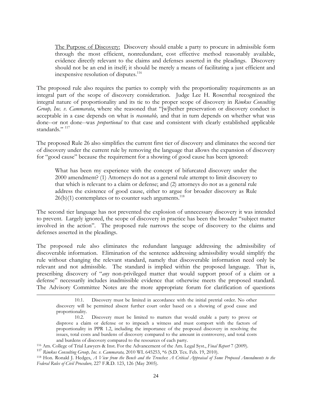The Purpose of Discovery: Discovery should enable a party to procure in admissible form through the most efficient, nonredundant, cost effective method reasonably available, evidence directly relevant to the claims and defenses asserted in the pleadings. Discovery should not be an end in itself; it should be merely a means of facilitating a just efficient and inexpensive resolution of disputes.<sup>116</sup>

The proposed rule also requires the parties to comply with the proportionality requirements as an integral part of the scope of discovery consideration. Judge Lee H. Rosenthal recognized the integral nature of proportionality and its tie to the proper scope of discovery in *Rimkus Consulting Group, Inc. v. Cammarata*, where she reasoned that "[w]hether preservation or discovery conduct is acceptable in a case depends on what is *reasonable,* and that in turn depends on whether what was done--or not done--was *proportional* to that case and consistent with clearly established applicable standards." 117

The proposed Rule 26 also simplifies the current first tier of discovery and eliminates the second tier of discovery under the current rule by removing the language that allows the expansion of discovery for "good cause" because the requirement for a showing of good cause has been ignored:

What has been my experience with the concept of bifurcated discovery under the 2000 amendment? (1) Attorneys do not as a general rule attempt to limit discovery to that which is relevant to a claim or defense; and (2) attorneys do not as a general rule address the existence of good cause, either to argue for broader discovery as Rule  $26(b)(1)$  contemplates or to counter such arguments.<sup>118</sup>

The second tier language has not prevented the explosion of unnecessary discovery it was intended to prevent. Largely ignored, the scope of discovery in practice has been the broader "subject matter involved in the action". The proposed rule narrows the scope of discovery to the claims and defenses asserted in the pleadings.

The proposed rule also eliminates the redundant language addressing the admissibility of discoverable information. Elimination of the sentence addressing admissibility would simplify the rule without changing the relevant standard, namely that discoverable information need only be relevant and not admissible. The standard is implied within the proposed language. That is, prescribing discovery of "*any* non-privileged matter that would support proof of a claim or a defense" necessarily includes inadmissible evidence that otherwise meets the proposed standard. The Advisory Committee Notes are the more appropriate forum for clarification of questions

<sup>10.1.</sup> Discovery must be limited in accordance with the initial pretrial order. No other discovery will be permitted absent further court order based on a showing of good cause and proportionality.

<sup>10.2.</sup> Discovery must be limited to matters that would enable a party to prove or disprove a claim or defense or to impeach a witness and must comport with the factors of proportionality in PPR 1.2, including the importance of the proposed discovery in resolving the issues, total costs and burdens of discovery compared to the amount in controversy, and total costs and burdens of discovery compared to the resources of each party.

<sup>116</sup> Am. College of Trial Lawyers & Inst. For the Advancement of the Am. Legal Syst., *Final Report* 7 (2009). <sup>117</sup> *Rimkus Consulting Group, Inc. v. Cammarata,* 2010 WL 645253, \*6 (S.D. Tex. Feb. 19, 2010).

<sup>118</sup> Hon. Ronald J. Hedges, *A View from the Bench and the Trenches*: *A Critical Appraisal of Some Proposed Amendments to the Federal Rules of Civil Procedure,* 227 F.R.D. 123, 126 (May 2005).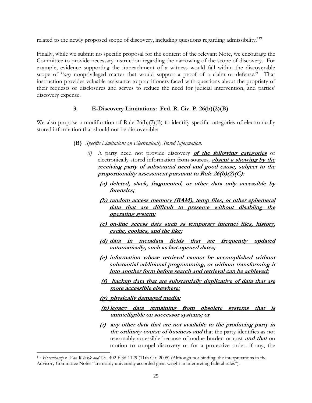related to the newly proposed scope of discovery, including questions regarding admissibility.<sup>119</sup>

Finally, while we submit no specific proposal for the content of the relevant Note, we encourage the Committee to provide necessary instruction regarding the narrowing of the scope of discovery. For example, evidence supporting the impeachment of a witness would fall within the discoverable scope of "*any* nonprivileged matter that would support a proof of a claim or defense." That instruction provides valuable assistance to practitioners faced with questions about the propriety of their requests or disclosures and serves to reduce the need for judicial intervention, and parties' discovery expense.

## **3. E-Discovery Limitations: Fed. R. Civ. P. 26(b)(2)(B)**

We also propose a modification of Rule 26(b)(2)(B) to identify specific categories of electronically stored information that should not be discoverable:

- **(B)** *Specific Limitations on Electronically Stored Information.* 
	- *(i)* A party need not provide discovery **of the following categories** of electronically stored information from sources*,* **absent a showing by the receiving party of substantial need and good cause, subject to the proportionality assessment pursuant to Rule 26(b)(2)(C):**
		- **(a) deleted, slack, fragmented, or other data only accessible by forensics;**
		- **(b) random access memory (RAM), temp files, or other ephemeral data that are difficult to preserve without disabling the operating system;**
		- **(c) on-line access data such as temporary internet files, history, cache, cookies, and the like;**
		- **(d) data in metadata fields that are frequently updated automatically, such as last-opened dates;**
		- **(e) information whose retrieval cannot be accomplished without substantial additional programming, or without transforming it into another form before search and retrieval can be achieved;**
		- **(f) backup data that are substantially duplicative of data that are more accessible elsewhere;**
		- **(g) physically damaged media;**

l

- **(h) legacy data remaining from obsolete systems that is unintelligible on successor systems; or**
- **(i) any other data that are not available to the producing party in the ordinary course of business and** that the party identifies as not reasonably accessible because of undue burden or cost **and that** on motion to compel discovery or for a protective order, if any, the

<sup>119</sup> *Horenkamp v. Van Winkle and Co.,* 402 F.3d 1129 (11th Cir. 2005) (Although not binding, the interpretations in the Advisory Committee Notes "are nearly universally accorded great weight in interpreting federal rules").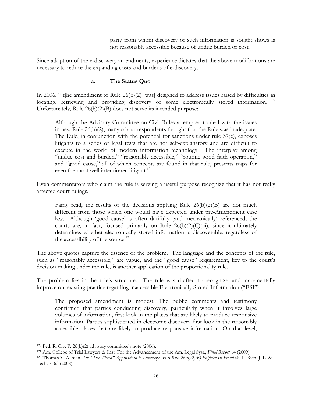party from whom discovery of such information is sought shows is not reasonably accessible because of undue burden or cost.

Since adoption of the e-discovery amendments, experience dictates that the above modifications are necessary to reduce the expanding costs and burdens of e-discovery.

### **a. The Status Quo**

In 2006, "[t]he amendment to Rule 26(b)(2) [was] designed to address issues raised by difficulties in locating, retrieving and providing discovery of some electronically stored information."<sup>120</sup> Unfortunately, Rule 26(b)(2)(B) does not serve its intended purpose:

Although the Advisory Committee on Civil Rules attempted to deal with the issues in new Rule 26(b)(2), many of our respondents thought that the Rule was inadequate. The Rule, in conjunction with the potential for sanctions under rule 37(e), exposes litigants to a series of legal tests that are not self-explanatory and are difficult to execute in the world of modern information technology. The interplay among "undue cost and burden," "reasonably accessible," "routine good faith operation," and "good cause," all of which concepts are found in that rule, presents traps for even the most well intentioned litigant.<sup>121</sup>

Even commentators who claim the rule is serving a useful purpose recognize that it has not really affected court rulings.

Fairly read, the results of the decisions applying Rule  $26(b)(2)(B)$  are not much different from those which one would have expected under pre-Amendment case law. Although 'good cause' is often dutifully (and mechanically) referenced, the courts are, in fact, focused primarily on Rule  $26(b)(2)(C)(iii)$ , since it ultimately determines whether electronically stored information is discoverable, regardless of the accessibility of the source.<sup>122</sup>

The above quotes capture the essence of the problem. The language and the concepts of the rule, such as "reasonably accessible," are vague, and the "good cause" requirement, key to the court's decision making under the rule, is another application of the proportionality rule.

The problem lies in the rule's structure. The rule was drafted to recognize, and incrementally improve on, existing practice regarding inaccessible Electronically Stored Information ("ESI"):

The proposed amendment is modest. The public comments and testimony confirmed that parties conducting discovery, particularly when it involves large volumes of information, first look in the places that are likely to produce responsive information. Parties sophisticated in electronic discovery first look in the reasonably accessible places that are likely to produce responsive information. On that level,

l

 $120$  Fed. R. Civ. P. 26(b)(2) advisory committee's note (2006).

<sup>&</sup>lt;sup>121</sup> Am. College of Trial Lawyers & Inst. For the Advancement of the Am. Legal Syst., Final Report 14 (2009).<br><sup>122</sup> Thomas Y. Allman, *The "Two-Tiered" Approach to E-Discovery: Has Rule 26(b)(2)(B) Fulfilled Its Promise?,* Tech. 7, 63 (2008).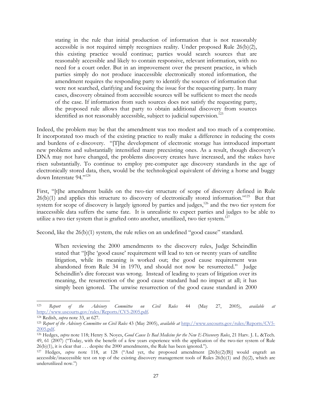stating in the rule that initial production of information that is not reasonably accessible is not required simply recognizes reality. Under proposed Rule 26(b)(2), this existing practice would continue; parties would search sources that are reasonably accessible and likely to contain responsive, relevant information, with no need for a court order. But in an improvement over the present practice, in which parties simply do not produce inaccessible electronically stored information, the amendment requires the responding party to identify the sources of information that were not searched, clarifying and focusing the issue for the requesting party. In many cases, discovery obtained from accessible sources will be sufficient to meet the needs of the case. If information from such sources does not satisfy the requesting party, the proposed rule allows that party to obtain additional discovery from sources identified as not reasonably accessible, subject to judicial supervision.<sup>123</sup>

Indeed, the problem may be that the amendment was too modest and too much of a compromise. It incorporated too much of the existing practice to really make a difference in reducing the costs and burdens of e-discovery. "[T]he development of electronic storage has introduced important new problems and substantially intensified many preexisting ones. As a result, though discovery's DNA may not have changed, the problems discovery creates have increased, and the stakes have risen substantially. To continue to employ pre-computer age discovery standards in the age of electronically stored data, then, would be the technological equivalent of driving a horse and buggy down Interstate 94."124

First, "[t]he amendment builds on the two-tier structure of scope of discovery defined in Rule  $26(b)(1)$  and applies this structure to discovery of electronically stored information."<sup>125</sup> But that system for scope of discovery is largely ignored by parties and judges,<sup>126</sup> and the two tier system for inaccessible data suffers the same fate. It is unrealistic to expect parties and judges to be able to utilize a two tier system that is grafted onto another, unutilized, two tier system.<sup>127</sup>

Second, like the 26(b)(1) system, the rule relies on an undefined "good cause" standard.

When reviewing the 2000 amendments to the discovery rules, Judge Scheindlin stated that "[t]he 'good cause' requirement will lead to ten or twenty years of satellite litigation, while its meaning is worked out; the good cause requirement was abandoned from Rule 34 in 1970, and should not now be resurrected." Judge Scheindlin's dire forecast was wrong. Instead of leading to years of litigation over its meaning, the resurrection of the good cause standard had no impact at all; it has simply been ignored. The unwise resurrection of the good cause standard in 2000

<sup>123</sup> *Report of the Advisory Committee on Civil Rules* 44 (May 27, 2005), *available at* http://www.uscourts.gov/rules/Reports/CV5-2005.pdf. 124 Redish, *supra* note 33, at 627.

<sup>125</sup> *Report of the Advisory Committee on Civil Rules* 43 (May 2005), *available at* http://www.uscourts.gov/rules/Reports/CV5- 2005.pdf. 126 Hedges, *supra* note 118; Henry S. Noyes, *Good Cause Is Bad Medicine for the New E-Discovery Rules*, 21 Harv. J. L. &Tech.

<sup>49, 61 (2007) (&</sup>quot;Today, with the benefit of a few years experience with the application of the two-tier system of Rule  $26(b)(1)$ , it is clear that  $\dots$  despite the 2000 amendments, the Rule has been ignored.").

<sup>127</sup> Hedges, *supra* note 118, at 128 ("And yet, the proposed amendment [26(b)(2)(B)] would engraft an accessible/inaccessible test on top of the existing discovery management tools of Rules  $26(b)(1)$  and  $(b)(2)$ , which are underutilized now.")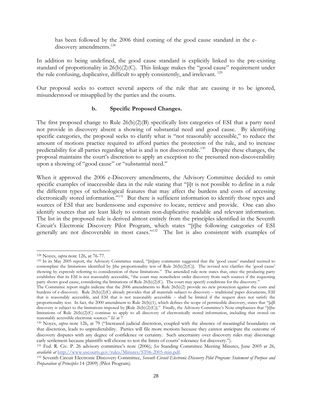has been followed by the 2006 third coming of the good cause standard in the ediscovery amendments.<sup>128</sup>

In addition to being undefined, the good cause standard is explicitly linked to the pre-existing standard of proportionality in 26(b)(2)(C). This linkage makes the "good cause" requirement under the rule confusing, duplicative, difficult to apply consistently, and irrelevant.<sup>129</sup>

Our proposal seeks to correct several aspects of the rule that are causing it to be ignored, misunderstood or misapplied by the parties and the courts.

### **b. Specific Proposed Changes.**

The first proposed change to Rule  $26(b)(2)(B)$  specifically lists categories of ESI that a party need not provide in discovery absent a showing of substantial need and good cause. By identifying specific categories, the proposal seeks to clarify what is "not reasonably accessible," to reduce the amount of motions practice required to afford parties the protection of the rule, and to increase predictability for all parties regarding what is and is not discoverable.<sup>130</sup> Despite these changes, the proposal maintains the court's discretion to apply an exception to the presumed non-discoverability upon a showing of "good cause" or "substantial need."

When it approved the 2006 e-Discovery amendments, the Advisory Committee decided to omit specific examples of inaccessible data in the rule stating that "[i]t is not possible to define in a rule the different types of technological features that may affect the burdens and costs of accessing electronically stored information."<sup>131</sup> But there is sufficient information to identify those types and sources of ESI that are burdensome and expensive to locate, retrieve and provide. One can also identify sources that are least likely to contain non-duplicative readable and relevant information. The list in the proposed rule is derived almost entirely from the principles identified in the Seventh Circuit's Electronic Discovery Pilot Program, which states "[t]he following categories of ESI generally are not discoverable in most cases."132 The list is also consistent with examples of

<sup>128</sup> Noyes, *supra* note 126, at 76-77.

<sup>129</sup> In its May 2005 report, the Advisory Committee stated, "[m]any comments suggested that the 'good cause' standard seemed to contemplate the limitations identified by [the proportionality test of Rule 26(b)(2)(C)]. The revised text clarifies the 'good cause' showing by expressly referring to consideration of these limitations." The amended rule now states that, once the producing party establishes that its ESI is not reasonably accessible, "the court may nonetheless order discovery from such sources if the requesting party shows good cause, considering the limitations of Rule 26(b)(2)(C). The court may specify conditions for the discovery."

The Committee report might indicate that the 2006 amendments to Rule 26(b)(2) provide no new protection against the costs and burdens of e-discovery. Rule 26(b)(2)(C) already provides that all materials subject to discovery – traditional paper documents, ESI that is reasonably accessible, and ESI that is not reasonably accessible – shall be limited if the request does not satisfy the proportionality test. In fact, the 2000 amendment to Rule 26(b)(1), which defines the scope of permissible discovery, states that "[a]ll discovery is subject to the limitations imposed by [Rule 26(b)(2)(C)]." Finally, the Advisory Committee's Note emphasizes that "[t]he limitations of Rule 26(b)(2)(C) continue to apply to all discovery of electronically stored information, including that stored on reasonably accessible electronic sources." *Id*. at 7

<sup>&</sup>lt;sup>130</sup> Noyes, *supra* note 126, at 79 ("Increased judicial discretion, coupled with the absence of meaningful boundaries on that discretion, leads to unpredictability. Parties will file more motions because they cannot anticipate the outcome of discovery disputes with any degree of confidence or certainty. Such uncertainty over discovery rules may discourage early settlement because plaintiffs will choose to test the limits of courts' tolerance for discovery.").

<sup>131</sup> Fed. R. Civ. P. 26 advisory committee's note (2006); *See* Standing Committee Meeting Minutes, June 2005 at 26, *available at* http://www.uscourts.gov/rules/Minutes/ST06-2005-min.pdf.

<sup>132</sup> Seventh Circuit Electronic Discovery Committee, *Seventh Circuit Electronic Discovery Pilot Program: Statement of Purpose and Preparation of Principles* 14 (2009) (Pilot Program).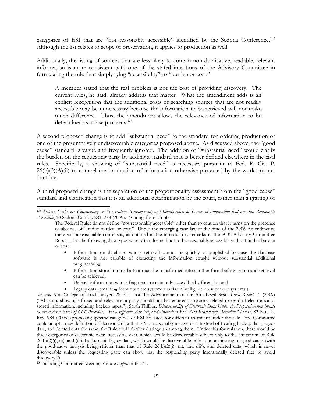categories of ESI that are "not reasonably accessible" identified by the Sedona Conference.<sup>133</sup> Although the list relates to scope of preservation, it applies to production as well.

Additionally, the listing of sources that are less likely to contain non-duplicative, readable, relevant information is more consistent with one of the stated intentions of the Advisory Committee in formulating the rule than simply tying "accessibility" to "burden or cost:"

A member stated that the real problem is not the cost of providing discovery. The current rules, he said, already address that matter. What the amendment adds is an explicit recognition that the additional costs of searching sources that are not readily accessible may be unnecessary because the information to be retrieved will not make much difference. Thus, the amendment allows the relevance of information to be determined as a case proceeds.<sup>134</sup>

A second proposed change is to add "substantial need" to the standard for ordering production of one of the presumptively undiscoverable categories proposed above. As discussed above, the "good cause" standard is vague and frequently ignored. The addition of "substantial need" would clarify the burden on the requesting party by adding a standard that is better defined elsewhere in the civil rules. Specifically, a showing of "substantial need" is necessary pursuant to Fed. R. Civ. P.  $26(b)(3)(A)(ii)$  to compel the production of information otherwise protected by the work-product doctrine.

A third proposed change is the separation of the proportionality assessment from the "good cause" standard and clarification that it is an additional determination by the court, rather than a grafting of

- Information on databases whose retrieval cannot be quickly accomplished because the database software is not capable of extracting the information sought without substantial additional programming;
- Information stored on media that must be transformed into another form before search and retrieval can be achieved;
- Deleted information whose fragments remain only accessible by forensics; and
- Legacy data remaining from obsolete systems that is unintelligible on successor systems.);

<sup>133</sup> *Sedona Conference Commentary on Preservation, Management, and Identification of Sources of Information that are Not Reasonably Accessible*, 10 Sedona Conf. J. 281, 288 (2009). (Stating, for example:

The Federal Rules do not define "not reasonably accessible" other than to caution that it turns on the presence or absence of "undue burden or cost." Under the emerging case law at the time of the 2006 Amendments, there was a reasonable consensus, as outlined in the introductory remarks in the 2005 Advisory Committee Report, that the following data types were often deemed not to be reasonably accessible without undue burden or cost:

*See also* Am. College of Trial Lawyers & Inst. For the Advancement of the Am. Legal Syst., *Final Report* 15 (2009) ("Absent a showing of need and relevance, a party should not be required to restore deleted or residual electronicallystored information, including backup tapes."); Sarah Phillips, *Discoverability of Electronic Data Under the Proposed Amendments to the Federal Rules of Civil Procedure: How Effective Are Proposed Protections For "Not Reasonably Accessible" Data?,* 83 N.C. L. Rev. 984 (2005) (proposing specific categories of ESI be listed for different treatment under the rule, "the Committee could adopt a new definition of electronic data that is 'not reasonably accessible.' Instead of treating backup data, legacy data, and deleted data the same, the Rule could further distinguish among them. Under this formulation, there would be three categories of electronic data: accessible data, which would be discoverable subject only to the limitations of Rule  $26(b)(2)(i)$ , (ii), and (iii); backup and legacy data, which would be discoverable only upon a showing of good cause (with the good-cause analysis being stricter than that of Rule  $26(b)(2)(i)$ , (ii), and (iii)); and deleted data, which is never discoverable unless the requesting party can show that the responding party intentionally deleted files to avoid discovery.")

<sup>134</sup> Standing Committee Meeting Minutes *supra* note 131.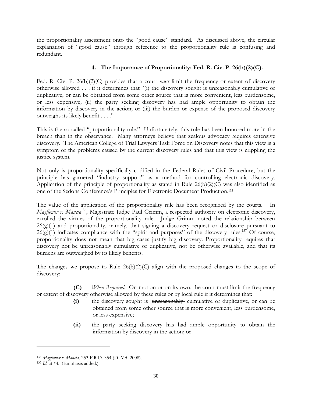the proportionality assessment onto the "good cause" standard. As discussed above, the circular explanation of "good cause" through reference to the proportionality rule is confusing and redundant.

## **4. The Importance of Proportionality: Fed. R. Civ. P. 26(b)(2)(C).**

Fed. R. Civ. P. 26(b)(2)(C) provides that a court *must* limit the frequency or extent of discovery otherwise allowed . . . if it determines that "(i) the discovery sought is unreasonably cumulative or duplicative, or can be obtained from some other source that is more convenient, less burdensome, or less expensive; (ii) the party seeking discovery has had ample opportunity to obtain the information by discovery in the action; or (iii) the burden or expense of the proposed discovery outweighs its likely benefit . . . ."

This is the so-called "proportionality rule." Unfortunately, this rule has been honored more in the breach than in the observance. Many attorneys believe that zealous advocacy requires extensive discovery. The American College of Trial Lawyers Task Force on Discovery notes that this view is a symptom of the problems caused by the current discovery rules and that this view is crippling the justice system.

Not only is proportionality specifically codified in the Federal Rules of Civil Procedure, but the principle has garnered "industry support" as a method for controlling electronic discovery. Application of the principle of proportionality as stated in Rule 26(b)(2)(C) was also identified as one of the Sedona Conference's Principles for Electronic Document Production.135

The value of the application of the proportionality rule has been recognized by the courts. In *Mayflower v. Mancia*<sup>136</sup>, Magistrate Judge Paul Grimm, a respected authority on electronic discovery, extolled the virtues of the proportionality rule. Judge Grimm noted the relationship between 26(g)(1) and proportionality, namely, that signing a discovery request or disclosure pursuant to  $26(g)(1)$  indicates compliance with the "spirit and purposes" of the discovery rules.<sup>137</sup> Of course, proportionality does not mean that big cases justify big discovery. Proportionality requires that discovery not be unreasonably cumulative or duplicative, not be otherwise available, and that its burdens are outweighed by its likely benefits.

The changes we propose to Rule  $26(b)(2)(C)$  align with the proposed changes to the scope of discovery:

 **(C)** *When Required.* On motion or on its own, the court must limit the frequency or extent of discovery otherwise allowed by these rules or by local rule if it determines that:

- **(i)** the discovery sought is [unreasonably] cumulative or duplicative, or can be obtained from some other source that is more convenient, less burdensome, or less expensive;
- **(ii)** the party seeking discovery has had ample opportunity to obtain the information by discovery in the action; or

<sup>136</sup> *Mayflower v. Mancia,* 253 F.R.D. 354 (D. Md. 2008).

<sup>&</sup>lt;sup>137</sup> *Id.* at \*4. (Emphasis added.).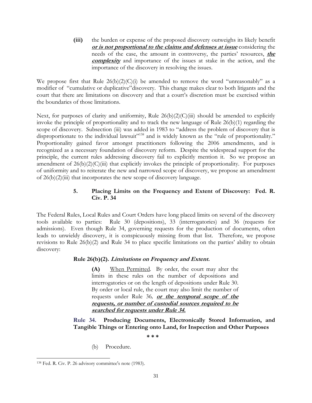**(iii)** the burden or expense of the proposed discovery outweighs its likely benefit **or is not proportional to the claims and defenses at issue** considering the needs of the case, the amount in controversy, the parties' resources, **the complexity** and importance of the issues at stake in the action, and the importance of the discovery in resolving the issues.

We propose first that Rule  $26(b)(2)(C)(i)$  be amended to remove the word "unreasonably" as a modifier of "cumulative or duplicative"discovery. This change makes clear to both litigants and the court that there are limitations on discovery and that a court's discretion must be exercised within the boundaries of those limitations.

Next, for purposes of clarity and uniformity, Rule  $26(b)(2)(C)(iii)$  should be amended to explicitly invoke the principle of proportionality and to track the new language of Rule 26(b)(1) regarding the scope of discovery. Subsection (iii) was added in 1983 to "address the problem of discovery that is disproportionate to the individual lawsuit"<sup>138</sup> and is widely known as the "rule of proportionality." Proportionality gained favor amongst practitioners following the 2006 amendments, and is recognized as a necessary foundation of discovery reform. Despite the widespread support for the principle, the current rules addressing discovery fail to explicitly mention it. So we propose an amendment of  $26(b)(2)(C)(iii)$  that explicitly invokes the principle of proportionality. For purposes of uniformity and to reiterate the new and narrowed scope of discovery, we propose an amendment of  $26(b)(2)(iii)$  that incorporates the new scope of discovery language.

## **5. Placing Limits on the Frequency and Extent of Discovery: Fed. R. Civ. P. 34**

The Federal Rules, Local Rules and Court Orders have long placed limits on several of the discovery tools available to parties: Rule 30 (depositions), 33 (interrogatories) and 36 (requests for admissions). Even though Rule 34, governing requests for the production of documents, often leads to unwieldy discovery, it is conspicuously missing from that list. Therefore, we propose revisions to Rule 26(b)(2) and Rule 34 to place specific limitations on the parties' ability to obtain discovery:

## **Rule 26(b)(2). Limitations on Frequency and Extent.**

**(A)** When Permitted*.* By order, the court may alter the limits in these rules on the number of depositions and interrogatories or on the length of depositions under Rule 30. By order or local rule, the court may also limit the number of requests under Rule 36*,* **or the temporal scope of the requests, or number of custodial sources required to be searched for requests under Rule 34.** 

**Rule 34. Producing Documents, Electronically Stored Information, and Tangible Things or Entering onto Land, for Inspection and Other Purposes** 

**\* \* \***

(b) Procedure.

 $\overline{\phantom{a}}$ 138 Fed. R. Civ. P. 26 advisory committee's note (1983).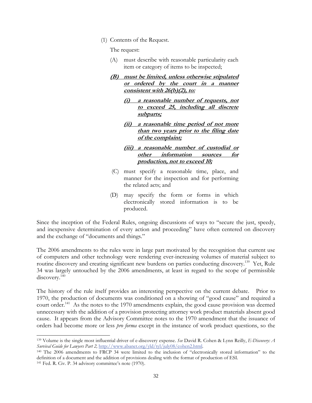(1) Contents of the Request.

The request:

- (A) must describe with reasonable particularity each item or category of items to be inspected;
- **(B) must be limited, unless otherwise stipulated or ordered by the court in a manner consistent with 26(b)(2), to:**
	- **(i) a reasonable number of requests, not to exceed 25, including all discrete subparts;**
	- **(ii) a reasonable time period of not more than two years prior to the filing date of the complaint;**
	- **(iii) a reasonable number of custodial or other information sources for production, not to exceed 10;**
- (C) must specify a reasonable time, place, and manner for the inspection and for performing the related acts; and
- (D) may specify the form or forms in which electronically stored information is to be produced.

Since the inception of the Federal Rules, ongoing discussions of ways to "secure the just, speedy, and inexpensive determination of every action and proceeding" have often centered on discovery and the exchange of "documents and things."

The 2006 amendments to the rules were in large part motivated by the recognition that current use of computers and other technology were rendering ever-increasing volumes of material subject to routine discovery and creating significant new burdens on parties conducting discovery.<sup>139</sup> Yet, Rule 34 was largely untouched by the 2006 amendments, at least in regard to the scope of permissible discovery.<sup>140</sup>

The history of the rule itself provides an interesting perspective on the current debate. Prior to 1970, the production of documents was conditioned on a showing of "good cause" and required a court order.<sup>141</sup> As the notes to the 1970 amendments explain, the good cause provision was deemed unnecessary with the addition of a provision protecting attorney work product materials absent good cause. It appears from the Advisory Committee notes to the 1970 amendment that the issuance of orders had become more or less *pro forma* except in the instance of work product questions, so the

<sup>139</sup> Volume is the single most influential driver of e-discovery expense. *See* David R. Cohen & Lynn Reilly, *E-Discovery: A Survival Guide for Lawyers Part 2,* http://www.abanet.org/yld/tyl/july08/cohen2.html. 140 The 2006 amendments to FRCP 34 were limited to the inclusion of "electronically stored information" to the

definition of a document and the addition of provisions dealing with the format of production of ESI. 141 Fed. R. Civ. P. 34 advisory committee's note (1970).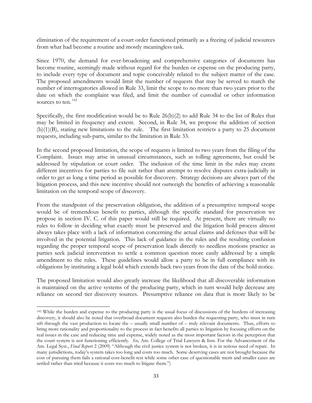elimination of the requirement of a court order functioned primarily as a freeing of judicial resources from what had become a routine and mostly meaningless task.

Since 1970, the demand for ever-broadening and comprehensive categories of documents has become routine, seemingly made without regard for the burden or expense on the producing party, to include every type of document and topic conceivably related to the subject matter of the case. The proposed amendments would limit the number of requests that may be served to match the number of interrogatories allowed in Rule 33, limit the scope to no more than two years prior to the date on which the complaint was filed, and limit the number of custodial or other information sources to ten.<sup>142</sup>

Specifically, the first modification would be to Rule 26(b)(2) to add Rule 34 to the list of Rules that may be limited in frequency and extent. Second, in Rule 34, we propose the addition of section (b)(1)(B), stating new limitations to the rule. The first limitation restricts a party to 25 document requests, including sub-parts, similar to the limitation in Rule 33.

In the second proposed limitation, the scope of requests is limited to two years from the filing of the Complaint. Issues may arise in unusual circumstances, such as tolling agreements, but could be addressed by stipulation or court order. The inclusion of the time limit in the rules may create different incentives for parties to file suit rather than attempt to resolve disputes extra-judicially in order to get as long a time period as possible for discovery. Strategy decisions are always part of the litigation process, and this new incentive should not outweigh the benefits of achieving a reasonable limitation on the temporal scope of discovery.

From the standpoint of the preservation obligation, the addition of a presumptive temporal scope would be of tremendous benefit to parties, although the specific standard for preservation we propose in section IV. C. of this paper would still be required. At present, there are virtually no rules to follow in deciding what exactly must be preserved and the litigation hold process almost always takes place with a lack of information concerning the actual claims and defenses that will be involved in the potential litigation. This lack of guidance in the rules and the resulting confusion regarding the proper temporal scope of preservation leads directly to needless motions practice as parties seek judicial intervention to settle a common question more easily addressed by a simple amendment to the rules. These guidelines would allow a party to be in full compliance with its obligations by instituting a legal hold which extends back two years from the date of the hold notice.

The proposed limitation would also greatly increase the likelihood that all discoverable information is maintained on the active systems of the producing party, which in turn would help decrease any reliance on second tier discovery sources. Presumptive reliance on data that is more likely to be

l

<sup>&</sup>lt;sup>142</sup> While the burden and expense to the producing party is the usual focus of discussions of the burdens of increasing discovery, it should also be noted that overbroad document requests also burden the requesting party, who must in turn sift through the vast production to locate the – usually small number of – truly relevant documents. Thus, efforts to bring more rationality and proportionality to the process in fact benefits all parties to litigation by focusing efforts on the real issues in the case and reducing time and expense, widely noted as the most important factors in the perception that the court system is not functioning efficiently. *See,* Am. College of Trial Lawyers & Inst. For the Advancement of the Am. Legal Syst., *Final Report* 2 (2009) "Although the civil justice system is not broken, it is in serious need of repair. In many jurisdictions, today's system takes too long and costs too much. Some deserving cases are not brought because the cost of pursuing them fails a rational cost-benefit test while some other case of questionable merit and smaller cases are settled rather than tried because it costs too much to litigate them.")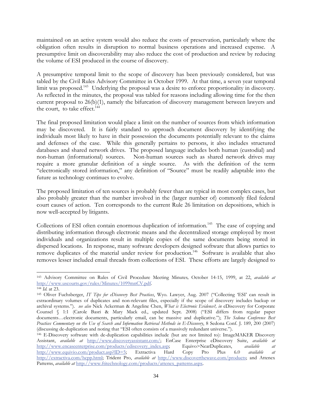maintained on an active system would also reduce the costs of preservation, particularly where the obligation often results in disruption to normal business operations and increased expense. A presumptive limit on discoverability may also reduce the cost of production and review by reducing the volume of ESI produced in the course of discovery.

A presumptive temporal limit to the scope of discovery has been previously considered, but was tabled by the Civil Rules Advisory Committee in October 1999. At that time, a seven year temporal limit was proposed.<sup>143</sup> Underlying the proposal was a desire to enforce proportionality in discovery. As reflected in the minutes, the proposal was tabled for reasons including allowing time for the then current proposal to 26(b)(1), namely the bifurcation of discovery management between lawyers and the court, to take effect.<sup>144</sup>

The final proposed limitation would place a limit on the number of sources from which information may be discovered. It is fairly standard to approach document discovery by identifying the individuals most likely to have in their possession the documents potentially relevant to the claims and defenses of the case. While this generally pertains to persons, it also includes structured databases and shared network drives. The proposed language includes both human (custodial) and non-human (informational) sources. Non-human sources such as shared network drives may require a more granular definition of a single source. As with the definition of the term "electronically stored information," any definition of "Source" must be readily adaptable into the future as technology continues to evolve.

The proposed limitation of ten sources is probably fewer than are typical in most complex cases, but also probably greater than the number involved in the (larger number of) commonly filed federal court causes of action. Ten corresponds to the current Rule 26 limitation on depositions, which is now well-accepted by litigants.

Collections of ESI often contain enormous duplication of information.<sup>145</sup> The ease of copying and distributing information through electronic means and the decentralized storage employed by most individuals and organizations result in multiple copies of the same documents being stored in dispersed locations. In response, many software developers designed software that allows parties to remove duplicates of the material under review for production.<sup>146</sup> Software is available that also removes lesser included email threads from collections of ESI. These efforts are largely designed to

l 143 Advisory Committee on Rules of Civil Procedure Meeting Minutes*,* October 14-15, 1999, at 22, *available at* http://www.uscourts.gov/rules/Minutes/1099mnCV.pdf. 144 *Id.* at 23.

<sup>145</sup> Oliver Fuchsberger, *IT Tips for eDiscovery Best Practices*, Wyo. Lawyer, Aug. 2007 ("Collecting 'ESI' can result in extraordinary volumes of duplicates and non-relevant files, especially if the scope of discovery includes backup or archival systems."). *see also* Nick Ackerman & Angeline Chen, *What is Electronic Evidence?, in* eDiscovery for Corporate Counsel § 1:1 (Carole Basri & Mary Mack ed., updated Sept. 2008) ("ESI differs from regular paper documents…electronic documents, particularly email, can be massive and duplicative."); *The Sedona Conference Best Practices Commentary on the Use of Search and Information Retrieval Methods in E-Discovery*, 8 Sedona Conf. J. 189, 200 (2007) (discussing de-duplication and noting that "ESI often consists of a massively redundant universe.").

<sup>146</sup> E-Discovery software with de-duplication capabilities include (but are not limited to): ImageMAKER Discovery Assistant, *available at* http://www.discoveryassistant.com/; EnCase Enterprise eDiscovery Suite, *available at* http://www.encaseenterprise.com/products/ediscovery\_index.asp; Equivo>NearDuplicates, *available at* http://www.equivio.com/product.asp?ID=5; Extractiva Hard Copy Pro Plus 6.0 *available at* http://extractiva.com/hcpp.html; Trident Pro, *available at* http://www.discoverthewave.com/products; and Attenex Patterns, *available at* http://www.ftitechnology.com/products/attenex\_patterns.aspx.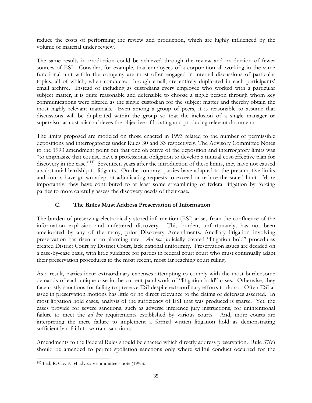reduce the costs of performing the review and production, which are highly influenced by the volume of material under review.

The same results in production could be achieved through the review and production of fewer sources of ESI. Consider, for example, that employees of a corporation all working in the same functional unit within the company are most often engaged in internal discussions of particular topics, all of which, when conducted through email, are entirely duplicated in each participants' email archive. Instead of including as custodians every employee who worked with a particular subject matter, it is quite reasonable and defensible to choose a single person through whom key communications were filtered as the single custodian for the subject matter and thereby obtain the most highly relevant materials. Even among a group of peers, it is reasonable to assume that discussions will be duplicated within the group so that the inclusion of a single manager or supervisor as custodian achieves the objective of locating and producing relevant documents.

The limits proposed are modeled on those enacted in 1993 related to the number of permissible depositions and interrogatories under Rules 30 and 33 respectively. The Advisory Committee Notes to the 1993 amendment point out that one objective of the deposition and interrogatory limits was "to emphasize that counsel have a professional obligation to develop a mutual cost-effective plan for discovery in the case."<sup>147</sup> Seventeen years after the introduction of these limits, they have not caused a substantial hardship to litigants. On the contrary, parties have adapted to the presumptive limits and courts have grown adept at adjudicating requests to exceed or reduce the stated limit. More importantly, they have contributed to at least some streamlining of federal litigation by forcing parties to more carefully assess the discovery needs of their case.

# **C. The Rules Must Address Preservation of Information**

The burden of preserving electronically stored information (ESI) arises from the confluence of the information explosion and unfettered discovery. This burden, unfortunately, has not been ameliorated by any of the many, prior Discovery Amendments. Ancillary litigation involving preservation has risen at an alarming rate. *Ad hoc* judicially created "litigation hold" procedures created District Court by District Court, lack national uniformity. Preservation issues are decided on a case-by-case basis, with little guidance for parties in federal court court who must continually adapt their preservation procedures to the most recent, most far reaching court ruling.

As a result, parties incur extraordinary expenses attempting to comply with the most burdensome demands of each unique case in the current patchwork of "litigation hold" cases. Otherwise, they face costly sanctions for failing to preserve ESI despite extraordinary efforts to do so. Often ESI at issue in preservation motions has little or no direct relevance to the claims or defenses asserted. In most litigation hold cases, analysis of the sufficiency of ESI that was produced is sparse. Yet, the cases provide for severe sanctions, such as adverse inference jury instructions, for unintentional failure to meet the *ad hoc* requirements established by various courts. And, more courts are interpreting the mere failure to implement a formal written litigation hold as demonstrating sufficient bad faith to warrant sanctions.

Amendments to the Federal Rules should be enacted which directly address preservation. Rule 37(e) should be amended to permit spoliation sanctions only where willful conduct occurred for the

 $\overline{\phantom{a}}$ 147 Fed. R. Civ. P. 34 advisory committee's note (1993).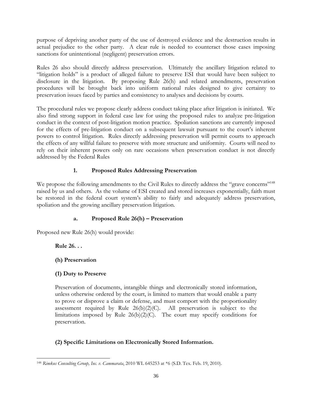purpose of depriving another party of the use of destroyed evidence and the destruction results in actual prejudice to the other party. A clear rule is needed to counteract those cases imposing sanctions for unintentional (negligent) preservation errors.

Rules 26 also should directly address preservation. Ultimately the ancillary litigation related to "litigation holds" is a product of alleged failure to preserve ESI that would have been subject to disclosure in the litigation. By proposing Rule 26(h) and related amendments, preservation procedures will be brought back into uniform national rules designed to give certainty to preservation issues faced by parties and consistency to analyses and decisions by courts.

The procedural rules we propose clearly address conduct taking place after litigation is initiated. We also find strong support in federal case law for using the proposed rules to analyze pre-litigation conduct in the context of post-litigation motion practice. Spoliation sanctions are currently imposed for the effects of pre-litigation conduct on a subsequent lawsuit pursuant to the court's inherent powers to control litigation. Rules directly addressing preservation will permit courts to approach the effects of any willful failure to preserve with more structure and uniformity. Courts will need to rely on their inherent powers only on rare occasions when preservation conduct is not directly addressed by the Federal Rules

# **1. Proposed Rules Addressing Preservation**

We propose the following amendments to the Civil Rules to directly address the "grave concerns"<sup>148</sup> raised by us and others. As the volume of ESI created and stored increases exponentially, faith must be restored in the federal court system's ability to fairly and adequately address preservation, spoliation and the growing ancillary preservation litigation.

## **a. Proposed Rule 26(h) – Preservation**

Proposed new Rule 26(h) would provide:

## **Rule 26. . .**

## **(h) Preservation**

## **(1) Duty to Preserve**

Preservation of documents, intangible things and electronically stored information, unless otherwise ordered by the court, is limited to matters that would enable a party to prove or disprove a claim or defense, and must comport with the proportionality assessment required by Rule  $26(b)(2)(C)$ . All preservation is subject to the limitations imposed by Rule 26(b)(2)(C). The court may specify conditions for preservation.

# **(2) Specific Limitations on Electronically Stored Information.**

 $\overline{\phantom{a}}$ <sup>148</sup> *Rimkus Consulting Group, Inc. v. Cammarata*, 2010 WL 645253 at \*6 (S.D. Tex. Feb. 19, 2010).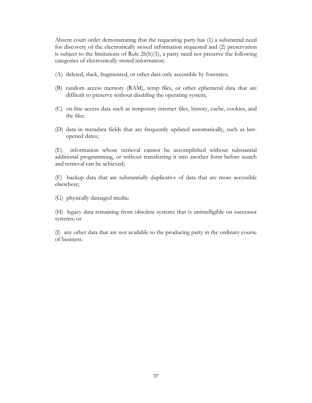Absent court order demonstrating that the requesting party has (1) a substantial need for discovery of the electronically stored information requested and (2) preservation is subject to the limitations of Rule 26(h)(1), a party need not preserve the following categories of electronically stored information:

- (A) deleted, slack, fragmented, or other data only accessible by forensics;
- (B) random access memory (RAM), temp files, or other ephemeral data that are difficult to preserve without disabling the operating system;
- (C) on-line access data such as temporary internet files, history, cache, cookies, and the like;
- (D) data in metadata fields that are frequently updated automatically, such as lastopened dates;

(E) information whose retrieval cannot be accomplished without substantial additional programming, or without transferring it into another form before search and retrieval can be achieved;

(F) backup data that are substantially duplicative of data that are more accessible elsewhere;

(G) physically damaged media;

(H) legacy data remaining from obsolete systems that is unintelligible on successor systems; or

(I) any other data that are not available to the producing party in the ordinary course of business.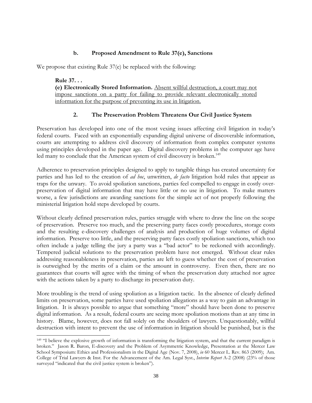## **b. Proposed Amendment to Rule 37(e), Sanctions**

We propose that existing Rule 37(e) be replaced with the following:

**Rule 37. . . (e) Electronically Stored Information.** Absent willful destruction, a court may not impose sanctions on a party for failing to provide relevant electronically stored information for the purpose of preventing its use in litigation.

## **2. The Preservation Problem Threatens Our Civil Justice System**

Preservation has developed into one of the most vexing issues affecting civil litigation in today's federal courts. Faced with an exponentially expanding digital universe of discoverable information, courts are attempting to address civil discovery of information from complex computer systems using principles developed in the paper age. Digital discovery problems in the computer age have led many to conclude that the American system of civil discovery is broken.<sup>149</sup>

Adherence to preservation principles designed to apply to tangible things has created uncertainty for parties and has led to the creation of *ad hoc*, unwritten, *de facto* litigation hold rules that appear as traps for the unwary. To avoid spoliation sanctions, parties feel compelled to engage in costly overpreservation of digital information that may have little or no use in litigation. To make matters worse, a few jurisdictions are awarding sanctions for the simple act of not properly following the ministerial litigation hold steps developed by courts.

Without clearly defined preservation rules, parties struggle with where to draw the line on the scope of preservation. Preserve too much, and the preserving party faces costly procedures, storage costs and the resulting e-discovery challenges of analysis and production of huge volumes of digital information. Preserve too little, and the preserving party faces costly spoliation sanctions, which too often include a judge telling the jury a party was a "bad actor" to be reckoned with accordingly. Tempered judicial solutions to the preservation problem have not emerged. Without clear rules addressing reasonableness in preservation, parties are left to guess whether the cost of preservation is outweighed by the merits of a claim or the amount in controversy. Even then, there are no guarantees that courts will agree with the timing of when the preservation duty attached nor agree with the actions taken by a party to discharge its preservation duty.

More troubling is the trend of using spoliation as a litigation tactic. In the absence of clearly defined limits on preservation, some parties have used spoliation allegations as a way to gain an advantage in litigation. It is always possible to argue that something "more" should have been done to preserve digital information. As a result, federal courts are seeing more spoliation motions than at any time in history. Blame, however, does not fall solely on the shoulders of lawyers. Unquestionably, willful destruction with intent to prevent the use of information in litigation should be punished, but is the

<sup>&</sup>lt;sup>149</sup> "I believe the explosive growth of information is transforming the litigation system, and that the current paradigm is broken." Jason R. Baron, E-discovery and the Problem of Asymmetric Knowledge, Presentation at the Mercer Law School Symposium: Ethics and Professionalism in the Digital Age (Nov. 7, 2008), *in* 60 Mercer L. Rev. 863 (2009); Am. College of Trial Lawyers & Inst. For the Advancement of the Am. Legal Syst., *Interim Report* A-2 (2008) (23% of those surveyed "indicated that the civil justice system is broken").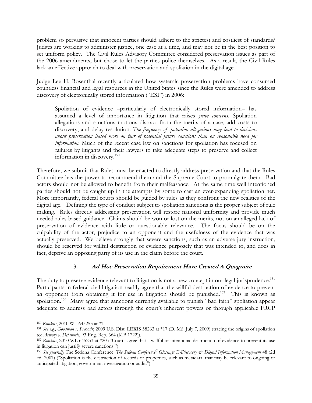problem so pervasive that innocent parties should adhere to the strictest and costliest of standards? Judges are working to administer justice, one case at a time, and may not be in the best position to set uniform policy. The Civil Rules Advisory Committee considered preservation issues as part of the 2006 amendments, but chose to let the parties police themselves. As a result, the Civil Rules lack an effective approach to deal with preservation and spoliation in the digital age.

Judge Lee H. Rosenthal recently articulated how systemic preservation problems have consumed countless financial and legal resources in the United States since the Rules were amended to address discovery of electronically stored information ("ESI") in 2006:

Spoliation of evidence –particularly of electronically stored information– has assumed a level of importance in litigation that raises *grave concerns*. Spoliation allegations and sanctions motions distract from the merits of a case, add costs to discovery, and delay resolution. *The frequency of spoliation allegations may lead to decisions about preservation based more on fear of potential future sanctions than on reasonable need for information.* Much of the recent case law on sanctions for spoliation has focused on failures by litigants and their lawyers to take adequate steps to preserve and collect information in discovery.<sup>150</sup>

Therefore, we submit that Rules must be enacted to directly address preservation and that the Rules Committee has the power to recommend them and the Supreme Court to promulgate them. Bad actors should not be allowed to benefit from their malfeasance. At the same time well intentioned parties should not be caught up in the attempts by some to cast an ever-expanding spoliation net. More importantly, federal courts should be guided by rules as they confront the new realities of the digital age. Defining the type of conduct subject to spoliation sanctions is the proper subject of rule making. Rules directly addressing preservation will restore national uniformity and provide much needed rules based guidance. Claims should be won or lost on the merits, not on an alleged lack of preservation of evidence with little or questionable relevance. The focus should be on the culpability of the actor, prejudice to an opponent and the usefulness of the evidence that was actually preserved. We believe strongly that severe sanctions, such as an adverse jury instruction, should be reserved for willful destruction of evidence purposely that was intended to, and does in fact, deprive an opposing party of its use in the claim before the court.

## 3**. Ad Hoc Preservation Requirement Have Created A Quagmire**

The duty to preserve evidence relevant to litigation is not a new concept in our legal jurisprudence.<sup>151</sup> Participants in federal civil litigation readily agree that the willful destruction of evidence to prevent an opponent from obtaining it for use in litigation should be punished.<sup>152</sup> This is known as spoliation.<sup>153</sup> Many agree that sanctions currently available to punish "bad faith" spoliation appear adequate to address bad actors through the court's inherent powers or through applicable FRCP

<sup>150</sup> *Rimkus*, 2010 WL 645253 at \*1.

<sup>151</sup> *See e.g.*, *Goodman v. Praxair*, 2009 U.S. Dist. LEXIS 58263 at \*17 (D. Md. July 7, 2009) (tracing the origins of spoliation to: *Armory v. Delamirie*, 93 Eng. Rep. 664 (K.B.1722)). 152 *Rimerical destruction* of evidence to prevent its use to  $\frac{152 \text{ R} \cdot \text{m}}{152 \text{ R} \cdot \text{m}}$  and WL 645253 at \*20 ("Courts agree that a willful or intentional

in litigation can justify severe sanctions.")

<sup>153</sup> *See generally* The Sedona Conference*, The Sedona Conference© Glossary: E-Discovery & Digital Information Management* 48 (2d ed. 2007) ("Spoliation is the destruction of records or properties, such as metadata, that may be relevant to ongoing or anticipated litigation, government investigation or audit.")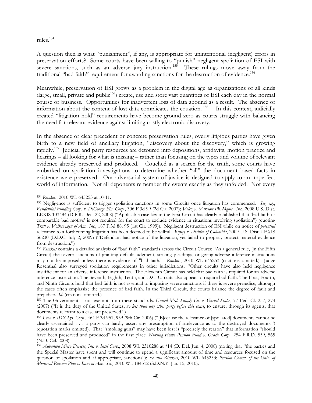## rules.154

A question then is what "punishment", if any, is appropriate for unintentional (negligent) errors in preservation efforts? Some courts have been willing to "punish" negligent spoliation of ESI with severe sanctions, such as an adverse jury instruction.<sup>155</sup> These rulings move away from the traditional "bad faith" requirement for awarding sanctions for the destruction of evidence.<sup>156</sup>

Meanwhile, preservation of ESI grows as a problem in the digital age as organizations of all kinds (large, small, private and public<sup>157</sup>) create, use and store vast quantities of ESI each day in the normal course of business. Opportunities for inadvertent loss of data abound as a result. The absence of information about the content of lost data complicates the equation. <sup>158</sup> In this context, judicially created "litigation hold" requirements have become ground zero as courts struggle with balancing the need for relevant evidence against limiting costly electronic discovery.

In the absence of clear precedent or concrete preservation rules, overly litigious parties have given birth to a new field of ancillary litigation, "discovery about the discovery," which is growing rapidly.<sup>159</sup> Judicial and party resources are detoured into depositions, affidavits, motion practice and hearings – all looking for what is missing – rather than focusing on the types and volume of relevant evidence already preserved and produced. Couched as a search for the truth, some courts have embarked on spoliation investigations to determine whether "all" the document based facts in existence were preserved. Our adversarial system of justice is designed to apply to an imperfect world of information. Not all deponents remember the events exactly as they unfolded. Not every

l <sup>154</sup> *Rimkus*, 2010 WL 645253 at 10-11.

<sup>155</sup> Negligence is sufficient to trigger spoliation sanctions in some Circuits once litigation has commenced. *See, e.g.*, *Residential Funding Corp. v. DeGeorge Fin. Corp*., 306 F.3d 99 (2d Cir. 2002); *Velez v. Marriott PR Mgmt., Inc*., 2008 U.S. Dist. LEXIS 103484 (D.P.R. Dec. 22, 2008) ("Applicable case law in the First Circuit has clearly established that 'bad faith or comparable bad motive' is not required for the court to exclude evidence in situations involving spoliation") (quoting *Trull v. Volkswagen of Am., Inc*., 187 F.3d 88, 95 (1st Cir. 1999)). Negligent destruction of ESI while on notice of *potential*  relevance to a forthcoming litigation has been deemed to be willful. *Ripley v. District of Columbia*, 2009 U.S. Dist. LEXIS 56230 (D.D.C. July 2, 2009) ("Defendant had notice of the litigation, yet failed to properly protect material evidence from destruction.")

<sup>156</sup> *Rimkus* contains a detailed analysis of "bad faith" standards across the Circuit Courts: "As a general rule, [in the Fifth Circuit] the severe sanctions of granting default judgment, striking pleadings, or giving adverse inference instructions may not be imposed unless there is evidence of "bad faith." *Rimkus*, 2010 WL 645253 (citations omitted.) Judge Rosenthal also surveyed spoliation requirements in other jurisdictions: "Other circuits have also held negligence insufficient for an adverse inference instruction. The Eleventh Circuit has held that bad faith is required for an adverse inference instruction. The Seventh, Eighth, Tenth, and D.C. Circuits also appear to require bad faith. The First, Fourth, and Ninth Circuits hold that bad faith is not essential to imposing severe sanctions if there is severe prejudice, although the cases often emphasize the presence of bad faith. In the Third Circuit, the courts balance the degree of fault and prejudice. *Id*. (citations omitted.)

<sup>157</sup> The Government is not exempt from these standards. *United Med. Supply Co. v. United States*, 77 Fed. Cl. 257, 274 (2007) ("It is the duty of the United States, *no less than any other party before this court*, to ensure, through its agents, that documents relevant to a case are preserved.")

<sup>158</sup> *Leon v. IDX Sys. Corp.*, 464 F.3d 951, 959 (9th Cir. 2006) ("[B]ecause the relevance of [spoliated] documents cannot be clearly ascertained . . . a party can hardly assert any presumption of irrelevance as to the destroyed documents.") (quotation marks omitted). That "smoking guns" may have been lost is "precisely the reason" that information "should have been preserved and produced" in the first place. *Nursing Home Pension Fund v. Oracle Corp.,* 254 F.R.D. 559, 565 (N.D. Cal. 2008).

<sup>159</sup> *Advanced Micro Devices, Inc. v. Intel Corp.*, 2008 WL 2310288 at \*14 (D. Del. Jun. 4, 2008) (noting that "the parties and the Special Master have spent and will continue to spend a significant amount of time and resources focused on the question of spoilation and, if appropriate, sanctions"); *see also Rimkus*, 2010 WL 645253; *Pension Comm. of the Univ. of Montreal Pension Plan v. Banc of Am.. Sec.,* 2010 WL 184312 (S.D.N.Y. Jan. 15, 2010).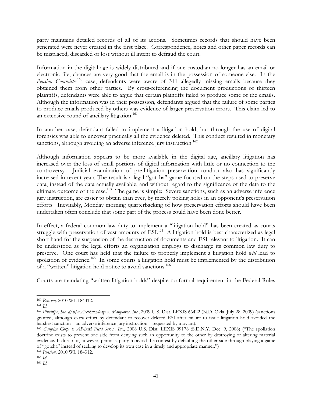party maintains detailed records of all of its actions. Sometimes records that should have been generated were never created in the first place. Correspondence, notes and other paper records can be misplaced, discarded or lost without ill intent to defraud the court.

Information in the digital age is widely distributed and if one custodian no longer has an email or electronic file, chances are very good that the email is in the possession of someone else. In the Pension Committee<sup>160</sup> case, defendants were aware of 311 allegedly missing emails because they obtained them from other parties. By cross-referencing the document productions of thirteen plaintiffs, defendants were able to argue that certain plaintiffs failed to produce some of the emails. Although the information was in their possession, defendants argued that the failure of some parties to produce emails produced by others was evidence of larger preservation errors. This claim led to an extensive round of ancillary litigation.<sup>161</sup>

In another case, defendant failed to implement a litigation hold, but through the use of digital forensics was able to uncover practically all the evidence deleted. This conduct resulted in monetary sanctions, although avoiding an adverse inference jury instruction.<sup>162</sup>

Although information appears to be more available in the digital age, ancillary litigation has increased over the loss of small portions of digital information with little or no connection to the controversy. Judicial examination of pre-litigation preservation conduct also has significantly increased in recent years The result is a legal "gotcha" game focused on the steps used to preserve data, instead of the data actually available, and without regard to the significance of the data to the ultimate outcome of the case.<sup>163</sup> The game is simple: Severe sanctions, such as an adverse inference jury instruction, are easier to obtain than ever, by merely poking holes in an opponent's preservation efforts. Inevitably, Monday morning quarterbacking of how preservation efforts should have been undertaken often conclude that some part of the process could have been done better.

In effect, a federal common law duty to implement a "litigation hold" has been created as courts struggle with preservation of vast amounts of ESI.<sup>164</sup> A litigation hold is best characterized as legal short hand for the suspension of the destruction of documents and ESI relevant to litigation. It can be understood as the legal efforts an organization employs to discharge its common law duty to preserve. One court has held that the failure to properly implement a litigation hold *will* lead to spoliation of evidence.<sup>165</sup> In some courts a litigation hold must be implemented by the distribution of a "written" litigation hold notice to avoid sanctions.<sup>166</sup>

Courts are mandating "written litigation holds" despite no formal requirement in the Federal Rules

l

<sup>164</sup> *Pension,* 2010 WL 184312.

<sup>165</sup> *Id*.

<sup>160</sup> *Pension,* 2010 WL 184312.

<sup>161</sup> *Id*.

<sup>162</sup> *Pinstripe, Inc. d/b/a Acctknowledge v. Manpower, Inc.*, 2009 U.S. Dist. LEXIS 66422 (N.D. Okla. July 28, 2009) (sanctions granted, although extra effort by defendant to recover deleted ESI after failure to issue litigation hold avoided the harshest sanction – an adverse inference jury instruction – requested by movant).

<sup>163</sup> *Calipine Corp. v. AP&M Field Servs., Inc*., 2008 U.S. Dist. LEXIS 99178 (S.D.N.Y. Dec. 9, 2008) ("The spoliation doctrine exists to prevent one side from denying such an opportunity to the other by destroying or altering material evidence. It does not, however, permit a party to avoid the contest by defaulting the other side through playing a game of "gotcha" instead of seeking to develop its own case in a timely and appropriate manner.")

<sup>166</sup> *Id.*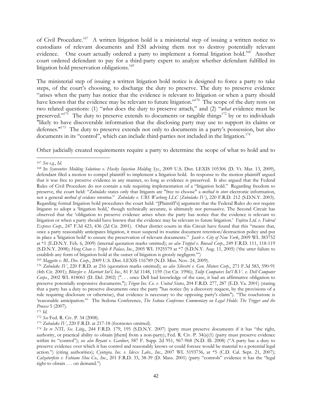of Civil Procedure.<sup>167</sup> A written litigation hold is a ministerial step of issuing a written notice to custodians of relevant documents and ESI advising them not to destroy potentially relevant evidence. One court actually ordered a party to implement a formal litigation hold.<sup>168</sup> Another court ordered defendant to pay for a third-party expert to analyze whether defendant fulfilled its litigation hold preservation obligations.<sup>169</sup>

The ministerial step of issuing a written litigation hold notice is designed to force a party to take steps, of the court's choosing, to discharge the duty to preserve. The duty to preserve evidence "arises when the party has notice that the evidence is relevant to litigation or when a party should have known that the evidence may be relevant to future litigation."<sup>170</sup> The scope of the duty rests on two related questions: (1) "*when* does the duty to preserve attach," and (2) "*what* evidence must be preserved."<sup>171</sup> The duty to preserve extends to documents or tangible things<sup>172</sup> by or to individuals "likely to have discoverable information that the disclosing party may use to support its claims or defenses."<sup>173</sup> The duty to preserve extends not only to documents in a party's possession, but also documents in its "control", which can include third-parties not included in the litigation.<sup>174</sup>

Other judicially created requirements require a party to determine the scope of what to hold and to

l <sup>167</sup> *See e.g.*, *Id*.

<sup>168</sup> In *Synventive Molding Solutions v. Husky Injection Molding Sys.*, 2009 U.S. Dist. LEXIS 105306 (D. Vt. Mar. 13, 2009), defendant filed a motion to compel plaintiff to implement a litigation hold. In response to the motion plaintiff argued that it was free to preserve evidence in any manner, so long as evidence is preserved. It also argued that the Federal Rules of Civil Procedure do not contain a rule requiring implementation of a "litigation hold." Regarding freedom to preserve, the court held: "*Zubulake* states only that litigants are "free to choose" a *method to store* electronic information, not a general *method of evidence retention*." *Zubulake v. UBS Warburg LLC* (*Zubulake IV)*, 220 F.R.D. 212 (S.D.N.Y. 2003). Regarding formal litigation hold procedures the court held: "[Plaintiff's] argument that the Federal Rules do not require litigants to adopt a 'litigation hold,' though technically accurate, is ultimately not persuasive. The Second Circuit has observed that the 'obligation to preserve evidence arises when the party has notice that the evidence is relevant to litigation or when a party should have known that the evidence may be relevant to future litigation.' *Fujitsu Ltd. v. Federal Express Corp.*, 247 F.3d 423, 436 (2d Cir. 2001). Other district courts in this Circuit have found that this "means that, once a party reasonably anticipates litigation, it must suspend its routine document retention/destruction policy and put in place a 'litigation hold' to ensure the preservation of relevant documents." *Jacob v. City of New York*, 2009 WL 383752 at \*1 (E.D.N.Y. Feb. 6, 2009) (internal quotation marks omitted); *see also Treppel v. Biovail Corp.*, 249 F.R.D. 111, 118-119 (S.D.N.Y. 2008); *Heng Chan v. Triple 8 Palace, Inc.*, 2005 WL 1925579 at \*7 (S.D.N.Y. Aug. 11, 2005) ('the utter failure to establish any form of litigation hold at the outset of litigation is grossly negligent.'")

<sup>169</sup> *Maggette v. BL Dev*. *Corp.*, 2009 U.S. Dist. LEXIS 116789 (N.D. Miss. Nov. 24, 2009).

<sup>170</sup> *Zubulake IV*, 220 F.R.D. at 216 (quotation marks omitted); *see also Silvestri v. Gen. Motors Corp.*, 271 F.3d 583, 590-91 (4th Cir. 2001); *Blinzler v. Marriott Int'l, Inc.*, 81 F.3d 1148, 1159 (1st Cir. 1996); *Tulip Computers Int'l B.V. v. Dell Computer Corps.*, 2002 WL 818061 (D. Del. 2002) (". . . once Dell had knowledge of the case, it had an affirmative obligation to preserve potentially responsive documents."); *Trigon Ins. Co. v. United States*, 204 F.R.D. 277, 287 (E.D. Va. 2001) (stating that a party has a duty to preserve documents once the party "has notice (by a discovery request, by the provisions of a rule requiring disclosure or otherwise), that evidence is necessary to the opposing party's claim"). "The touchstone is 'reasonable anticipation.'" The Sedona Conference, *The Sedona Conference Commentary on Legal Holds: The Trigger and the Process* 5 (2007). 171 *Id.*

<sup>172</sup> *See* Fed. R. Civ. P. 34 (2008).

<sup>173</sup> *Zubulake IV*, 220 F.R.D. at 217-18 (footnotes omitted).

<sup>174</sup> *In re NTL Sec. Litig.*, 244 F.R.D. 179, 195 (S.D.N.Y. 2007) (party must preserve documents if it has "the right, authority, or practical ability to obtain [them] from a non-party); Fed. R. Civ. P. 34(a)(1) (party must preserve evidence within its "control"); *see also Bryant v. Gardner*, 587 F. Supp. 2d 951, 967-968 (N.D. Ill. 2008) ("A party has a duty to preserve evidence over which it has control and reasonably knows or could foresee would be material to a potential legal action.") (citing authorities); *Cyntegra, Inc. v. Idexx Labs., Inc.*, 2007 WL 5193736, at \*5 (C.D. Cal. Sept. 21, 2007); *Calzaturficio v. Fabiano Shoe Co., Inc.*, 201 F.R.D. 33, 38-39 (D. Mass. 2001) (party "controls" evidence it has the "legal right to obtain . . . on demand.")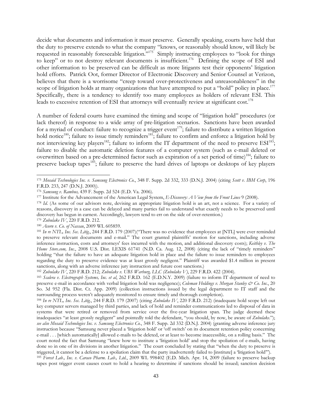decide what documents and information it must preserve. Generally speaking, courts have held that the duty to preserve extends to what the company "knows, or reasonably should know, will likely be requested in reasonably foreseeable litigation."<sup>175</sup> Simply instructing employees to "look for things to keep" or to not destroy relevant documents is insufficient.<sup>176</sup> Defining the scope of ESI and other information to be preserved can be difficult as more litigants test their opponents' litigation hold efforts. Patrick Oot, former Director of Electronic Discovery and Senior Counsel at Verizon, believes that there is a worrisome "creep toward over-protectiveness and unreasonableness" in the scope of litigation holds at many organizations that have attempted to put a "hold" policy in place.<sup>177</sup> Specifically, there is a tendency to identify too many employees as holders of relevant ESI. This leads to excessive retention of ESI that attorneys will eventually review at significant cost.<sup>178</sup>

A number of federal courts have examined the timing and scope of "litigation hold" procedures (or lack thereof) in response to a wide array of pre-litigation scenarios. Sanctions have been awarded for a myriad of conduct: failure to recognize a trigger event<sup>179</sup>; failure to distribute a written litigation hold notice<sup>180</sup>; failure to issue timely reminders<sup>181</sup>; failure to confirm and enforce a litigation hold by not interviewing key players<sup>182</sup>; failure to inform the IT department of the need to preserve  $ESI^{183}$ ; failure to disable the automatic deletion features of a computer system (such as e-mail deleted or overwritten based on a pre-determined factor such as expiration of a set period of time)<sup>184</sup>; failure to preserve backup tapes<sup>185</sup>; failure to preserve the hard drives of laptops or desktops of key players

<sup>175</sup> *Mosaid Technologies Inc. v. Samsung Electronics Co.*, 348 F. Supp. 2d 332, 333 (D.N.J. 2004) (citing *Scott v. IBM Corp*, 196 F.R.D. 233, 247 (D.N.J. 2000)).

<sup>176</sup> *Samsung v. Rambus,* 439 F. Supp. 2d 524 (E.D. Va. 2006).

<sup>177</sup> Institute for the Advancement of the American Legal System, *E-Discovery: A View from the Front Lines* 9 (2008).

<sup>178</sup> *Id*. (As some of our advisors note, devising an appropriate litigation hold is an art, not a science. For a variety of reasons, discovery in a case can be delayed and many parties fail to understand what exactly needs to be preserved until discovery has begun in earnest. Accordingly, lawyers tend to err on the side of over-retention.)

<sup>179</sup> *Zubulake IV*, 220 F.R.D. 212.

<sup>180</sup> *Acorn v. Co. of Nassau*, 2009 WL 605859.

<sup>181</sup> *In re NTL, Inc. Sec. Litig.*, 244 F.R.D. 179 (2007)("There was no evidence that employees at [NTL] were ever reminded to preserve relevant documents and e-mail." The court granted plaintiffs' motion for sanctions, including adverse inference instruction, costs and attorneys' fees incurred with the motion, and additional discovery costs); *Keithley v. The Home Store.com, Inc.*, 2008 U.S. Dist. LEXIS 61741 (N.D. Ca. Aug. 12, 2008) (citing the lack of "timely reminders" holding "that the failure to have an adequate litigation hold in place and the failure to issue reminders to employees regarding the duty to preserve evidence was at least grossly negligent." Plaintiff was awarded \$1.4 million in present sanctions, along with an adverse inference jury instruction and future cost sanctions.)

<sup>182</sup> *Zubulake IV*, 220 F.R.D. 212; *Zubulake v. UBS Warburg, LLC (Zubulake V)*, 229 F.R.D. 422 (2004).

<sup>183</sup> *Scalera v. Electrograph Systems, Inc. et al*, 262 F.R.D. 162 (E.D.N.Y. 2009) (failure to inform IT department of need to preserve e-mail in accordance with verbal litigation hold was negligence); *Coleman Holdings v. Morgan Stanley & Co. Inc.*, 20 So. 3d 952 (Fla. Dist. Ct. App. 2009) (collection instructions issued by the legal department to IT staff and the surrounding process weren't adequately monitored to ensure timely and thorough completion).

<sup>184</sup> *In re NTL, Inc. Sec. Litig.*, 244 F.R.D. 179 (2007) (citing *Zubulake IV*, 220 F.R.D. 212) (inadequate hold scope left out key computer servers managed by third parties, and lack of hold and reminder communications led to disposal of data in systems that were retired or removed from service over the five-year litigation span. The judge deemed these inadequacies "at least grossly negligent" and pointedly told the defendant, "you should, by now, be aware of *Zubulake*."); *see also Mosaid Technologies Inc. v. Samsung Electronics Co.*, 348 F. Supp. 2d 332 (D.N.J. 2004) (granting adverse inference jury instruction because "Samsung never placed a 'litigation hold' or 'off switch' on its document retention policy concerning e-mail . . . [which automatically] allowed e-mails to be deleted, or at least to become inaccessible, on a rolling basis." The court noted the fact that Samsung "knew how to institute a 'litigation hold' and stop the spoliation of e-mails, having done so in one of its divisions in another litigation." The court concluded by stating that "when the duty to preserve is triggered, it cannot be a defense to a spoliation claim that the party inadvertently failed to [institute] a 'litigation hold'").

<sup>185</sup> *Forest Lab*.*, Inc. v. Caraco Pharm*. *Lab*.*, Ltd.*, 2009 WL 998402 (E.D. Mich. Apr. 14, 2009 (failure to preserve backup tapes post trigger event causes court to hold a hearing to determine if sanctions should be issued; sanction decision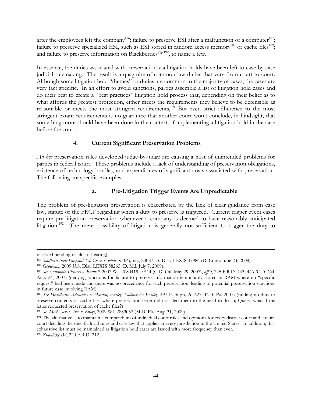after the employees left the company<sup>186</sup>; failure to preserve ESI after a malfunction of a computer<sup>187</sup>; failure to preserve specialized ESI, such as ESI stored in random access memory<sup>188</sup> or cache files<sup>189</sup>; and failure to preserve information on Blackberries™<sup>190</sup>, to name a few.

In essence, the duties associated with preservation via litigation holds have been left to case-by-case judicial rulemaking. The result is a quagmire of common law duties that vary from court to court. Although some litigation hold "themes" or duties are common to the majority of cases, the cases are very fact specific. In an effort to avoid sanctions, parties assemble a list of litigation hold cases and do their best to create a "best practices" litigation hold process that, depending on their belief as to what affords the greatest protection, either meets the requirements they believe to be defensible as reasonable or meets the most stringent requirements,<sup>191</sup> But even strict adherence to the most stringent extant requirements is no guarantee that another court won't conclude, in hindsight, that something more should have been done in the context of implementing a litigation hold in the case before the court.

## **4. Current Significant Preservation Problems**

*Ad hoc* preservation rules developed judge-by-judge are causing a host of unintended problems for parties in federal court. These problems include a lack of understanding of preservation obligations, existence of technology hurdles, and expenditures of significant costs associated with preservation. The following are specific examples.

# **a. Pre-Litigation Trigger Events Are Unpredictable**

The problem of pre-litigation preservation is exacerbated by the lack of clear guidance from case law, statute or the FRCP regarding when a duty to preserve is triggered. Current trigger event cases require pre-litigation preservation whenever a company is deemed to have reasonably anticipated litigation.<sup>192</sup> The mere possibility of litigation is generally not sufficient to trigger the duty to

l

reserved pending results of hearing).

<sup>186</sup> *Southern New England Tel. Co. v. Global NAPS, Inc.*, 2008 U.S. Dist. LEXIS 47986 (D. Conn. June 23, 2008).

<sup>187</sup> *Goodman*, 2009 U.S. Dist. LEXIS 58263 (D. Md. July 7, 2009).

<sup>188</sup> *See Columbia Pictures v. Bunnell,* 2007 WL 2080419 at \*14 (C.D. Cal. May 29, 2007), *aff'd*, 245 F.R.D. 443, 446 (C.D. Cal. Aug. 24, 2007) (denying sanctions for failure to preserve information temporarily stored in RAM where no "specific request" had been made and there was no precedence for such preservation, leading to potential preservation sanctions in future case involving RAM).

<sup>&</sup>lt;sup>189</sup> See Healthcare Advocates v. Hardin, Earley, Follmer & Frailey, 497 F. Supp. 2d 627 (E.D. Pa. 2007) (finding no duty to preserve contents of cache files where preservation letter did not alert them to the need to do so; Query, what if the letter requested preservation of cache files?)

<sup>190</sup> *Se. Mech. Servs., Inc. v. Brody*, 2009 WL 2883057 (M.D. Fla. Aug. 31, 2009).

<sup>&</sup>lt;sup>191</sup> The alternative is to maintain a compendium of individual court rules and opinions for every district court and circuit court detailing the specific local rules and case law that applies in every jurisdiction in the United States. In addition, this exhaustive list must be maintained as litigation hold cases are issued with more frequency than ever.

<sup>192</sup> *Zubulake IV*, 220 F.R.D. 212.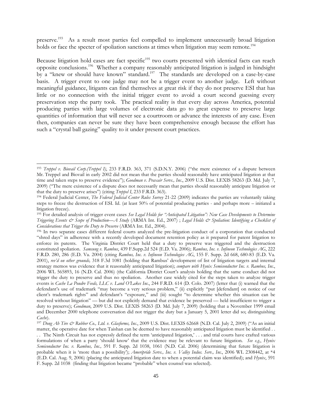preserve.<sup>193</sup> As a result most parties feel compelled to implement unnecessarily broad litigation holds or face the specter of spoliation sanctions at times when litigation may seem remote.<sup>194</sup>

Because litigation hold cases are fact specific<sup>195</sup> two courts presented with identical facts can reach opposite conclusions.196 Whether a company reasonably anticipated litigation is judged in hindsight by a "knew or should have known" standard.<sup>197</sup> The standards are developed on a case-by-case basis. A trigger event to one judge may not be a trigger event to another judge. Left without meaningful guidance, litigants can find themselves at great risk if they do not preserve ESI that has little or no connection with the initial trigger event to avoid a court second guessing every preservation step the party took. The practical reality is that every day across America, potential producing parties with large volumes of electronic data go to great expense to preserve large quantities of information that will never see a courtroom or advance the interests of any case. Even then, companies can never be sure they have been comprehensive enough because the effort has such a "crystal ball gazing" quality to it under present court practices.

<sup>193</sup> *Treppel v. Biovail Corp.(Treppel I)*, 233 F.R.D. 363, 371 (S.D.N.Y. 2006) ("the mere existence of a dispute between Mr. Treppel and Biovail in early 2002 did not mean that the parties should reasonably have anticipated litigation at that time and taken steps to preserve evidence"); *Goodman v. Praxair Servs., Inc*., 2009 U.S. Dist. LEXIS 58263 (D. Md. July 7, 2009) ("The mere existence of a dispute does not necessarily mean that parties should reasonably anticipate litigation or that the duty to preserve arises") (citing *Treppel I*, 233 F.R.D. 363). 194 Federal Judicial Center, *The Federal Judicial Center Rules Survey* 21-22 (2009) indicates the parties are voluntarily taking

steps to freeze the destruction of ESI. Id. (at least 50% of potential producing parties - and perhaps more – initiated a litigation freeze).

<sup>195</sup> For detailed analysis of trigger event cases *See Legal Holds for "Anticipated Litigation": New Case Developments to Determine Triggering Events & Scope of Production—A Study* (ARMA Int. Ed., 2007) ; *Legal Holds & Spoliation: Identifying a Checklist of Considerations that Trigger the Duty to Preserve* (ARMA Int. Ed., 2004).

<sup>196</sup> In two separate cases different federal courts analyzed the pre-litigation conduct of a corporation that conducted "shred days" in adherence with a recently developed document retention policy as it prepared for patent litigation to enforce its patents. The Virginia District Court held that a duty to preserve was triggered and the destruction constituted spoliation. *Samsung v. Rambus*, 439 F.Supp.2d 524 (E.D. Va. 2006); *Rambus, Inc. v. Infineon Technologies AG*, 222 F.R.D. 280, 286 (E.D. Va. 2004) (citing *Rambus, Inc. v. Infineon Technologies AG*, 155 F. Supp. 2d 668, 680-83 (E.D. Va. 2001), *rev'd on other grounds,* 318 F.3d 1081 (holding that Rambus' development of list of litigation targets and internal strategy memos was evidence that it reasonably anticipated litigation); *compare with Hynix Semiconductor Inc. v. Rambus, Inc.*, 2006 WL 565893, 16 (N.D. Cal. 2006) (the California District Court's analysis holding that the same conduct did not trigger the duty to preserve and thus no spoliation. Another case widely cited for the steps taken to analyze trigger events is *Cache La Poudre Feeds, LLC v. Land O'Lakes Inc*., 244 F.R.D. 614 (D. Colo. 2007) (letter that (i) warned that the defendant's use of trademark "may become a very serious problem," (ii) explicitly "put [defendant] on notice of our client's trademark rights" and defendant's "exposure," and (iii) sought "to determine whether this situation can be resolved without litigation" — but did not explicitly demand that evidence be preserved — held insufficient to trigger a duty to preserve); *Goodman*, 2009 U.S. Dist. LEXIS 58263 (D. Md. July 7, 2009) (holding that a November 1999 email and December 2000 telephone conversation did not trigger the duty but a January 5, 2001 letter did so; distinguishing *Cache*).

<sup>197</sup> *Dong Ah Tire & Rubber Co., Ltd. v. Glasforms, Inc*., 2009 U.S. Dist. LEXIS 62668 (N.D. Cal. July 2, 2009) ("As an initial matter, the operative date for when Taishan can be deemed to have reasonably anticipated litigation must be identified . .

<sup>. .</sup> The Ninth Circuit has not expressly defined the term 'anticipated litigation,' . . . and trial courts have crafted various formulations of when a party 'should know' that the evidence may be relevant to future litigation. *See e.g.*, *Hynix Semiconductor Inc. v. Rambus, Inc.,* 591 F. Supp. 2d 1038, 1061 (N.D. Cal. 2006) (determining that future litigation is probable when it is 'more than a possibility'); *Ameripride Servs., Inc. v. Valley Indus. Serv., Inc.*, 2006 WL 2308442, at \*4 (E.D. Cal. Aug. 9, 2006) (placing the anticipated litigation date to when a potential claim was identified); and *Hynix*, 591 F. Supp. 2d 1038 (finding that litigation became "probable" when counsel was selected).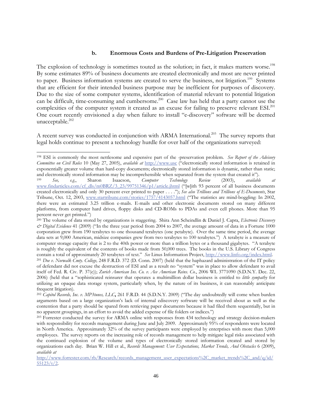#### **b. Enormous Costs and Burdens of Pre-Litigation Preservation**

The explosion of technology is sometimes touted as the solution; in fact, it makes matters worse.<sup>198</sup> By some estimates 89% of business documents are created electronically and most are never printed to paper. Business information systems are created to serve the business, not litigation.<sup>199</sup> Systems that are efficient for their intended business purpose may be inefficient for purposes of discovery. Due to the size of some computer systems, identification of material relevant to potential litigation can be difficult, time-consuming and cumbersome.<sup>200</sup> Case law has held that a party cannot use the complexities of the computer system it created as an excuse for failing to preserve relevant ESI.<sup>201</sup> One court recently envisioned a day when failure to install "e-discovery" software will be deemed unacceptable. $202$ 

A recent survey was conducted in conjunction with ARMA International.203 The survey reports that legal holds continue to present a technology hurdle for over half of the organizations surveyed:

<sup>198</sup> ESI is commonly the most nettlesome and expensive part of the -preservation problem. *See Report of the Advisory Committee on Civil Rules* 10 (May 27, 2005), *available at* http://www.usc ("electronically stored information is retained in exponentially greater volume than hard-copy documents; electronically stored information is dynamic, rather than static; and electronically stored information may be incomprehensible when separated from the system that created it").

<sup>199</sup> *See, e.g.*, Sharon Isaacson, *Computer Technology Review* (2003), *available at*  www.findarticles.com/cf\_dls/m0BRZ/3\_23/99751346/p1/article.jhtml ("[w]ith 93 percent of all business documents created electronically and only 30 percent ever printed to paper . . . ."); *See also Trillions and Trillions of E-Documents*, Star Tribune, Oct. 12, 2003, www.startribune.com/stories/1757/4143057.html ("The statistics are mind-boggling: In 2002, there were an estimated 3.25 trillion e-mails. E-mails and other electronic documents stored on many different platforms, from computer hard drives, floppy disks and CD-ROMs to PDAs and even cell phones. More than 95 percent never get printed.")

<sup>200</sup> The volume of data stored by organizations is staggering. Shira Ann Scheindlin & Daniel J. Capra, *Electronic Discovery & Digital Evidence* 41 (2009) ("In the three year period from 2004 to 2007, the average amount of data in a Fortune 1000 corporation grew from 190 terabytes to one thousand terabytes (one petabyte). Over the same time period, the average data sets at 9,000 American, midsize companies grew from two terabytes to 100 terabytes.") A terabyte is a measure of computer storage capacity that is 2 to the 40th power or more than a trillion bytes or a thousand gigabytes. "A terabyte is roughly the equivalent of the contents of books made from 50,000 trees. The books in the U.S. Library of Congress contain a total of approximately 20 terabytes of text." *See* Linus Information Project, http://www.linfo.org/index.html. <sup>201</sup> *Doe v. Norwalk Cmty. College,* 248 F.R.D. 372 (D. Conn. 2007) (held that the haphazard administration of the IT policy

of defendant did not excuse the destruction of ESI and as a result no "system" was in place to allow defendant to avail itself of Fed. R. Civ. P. 37(e)); *Zurich American Ins. Co. v. Ace American Reins. Co.*, 2006 WL 3771090 (S.D.N.Y. Dec. 22, 2006) (held that a "sophisticated reinsurer that operates a multimillion dollar business is entitled to *little sympathy* for utilizing an opaque data storage system, particularly when, by the nature of its business, it can reasonably anticipate frequent litigation).

<sup>202</sup> *Capitol Records, Inc. v. MP3tunes, LLC***,** 261 F.R.D. 44 (S.D.N.Y. 2009) ("The day undoubtedly will come when burden arguments based on a large organization's lack of internal ediscovery software will be received about as well as the contention that a party should be spared from retrieving paper documents because it had filed them sequentially, but in no apparent groupings, in an effort to avoid the added expense of file folders or indices.")

<sup>&</sup>lt;sup>203</sup> Forrester conducted the survey for ARMA online with responses from 434 technology and strategy decision-makers with responsibility for records management during June and July 2009. Approximately 95% of respondents were located in North America. Approximately 32% of the survey participants were employed by enterprises with more than 5,000 employees. The survey reports on the increasing role of records management to help mitigate legal risks associated with the continued explosion of the volume and types of electronically stored information created and stored by organizations each day. Brian W. Hill et al., *Records Management: User Expectations, Market Trends, And Obstacles* 6 (2009), *available at* 

http://www.forrester.com/rb/Research/records\_management\_user\_expectations%2C\_market\_trends%2C\_and/q/id/  $55123/t/2.$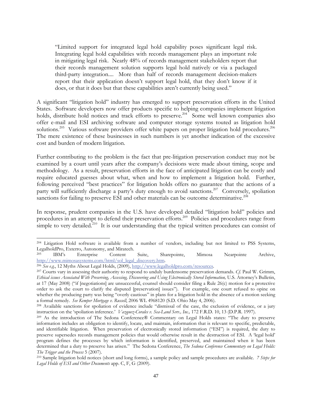"Limited support for integrated legal hold capability poses significant legal risk. Integrating legal hold capabilities with records management plays an important role in mitigating legal risk. Nearly 48% of records management stakeholders report that their records management solution supports legal hold natively or via a packaged third-party integration.... More than half of records management decision-makers report that their application doesn't support legal hold, that they don't know if it does, or that it does but that these capabilities aren't currently being used."

A significant "litigation hold" industry has emerged to support preservation efforts in the United States. Software developers now offer products specific to helping companies implement litigation holds, distribute hold notices and track efforts to preserve.<sup>204</sup> Some well known companies also offer e-mail and ESI archiving software and computer storage systems touted as litigation hold solutions.<sup>205</sup> Various software providers offer white papers on proper litigation hold procedures.<sup>206</sup> The mere existence of these businesses in such numbers is yet another indication of the excessive cost and burden of modern litigation.

Further contributing to the problem is the fact that pre-litigation preservation conduct may not be examined by a court until years after the company's decisions were made about timing, scope and methodology. As a result, preservation efforts in the face of anticipated litigation can be costly and require educated guesses about what, when and how to implement a litigation hold. Further, following perceived "best practices" for litigation holds offers no guarantee that the actions of a party will sufficiently discharge a party's duty enough to avoid sanctions.<sup>207</sup> Conversely, spoliation sanctions for failing to preserve ESI and other materials can be outcome determinative.<sup>208</sup>

In response, prudent companies in the U.S. have developed detailed "litigation hold" policies and procedures in an attempt to defend their preservation efforts.<sup>209</sup> Policies and procedures range from simple to very detailed.<sup>210</sup> It is our understanding that the typical written procedures can consist of

l 204 Litigation Hold software is available from a number of vendors, including but not limited to PSS Systems, LegalholdPro, Exterro, Autonomy, and Miratech.

<sup>205</sup> IBM's Enterprise Content Suite, Sharepointe, Mimosa Nearpointe Archive, http://www.mimosasystems.com/html/sol\_legal\_discovery.htm.

<sup>206</sup> *See e.g.*, 12 Myths About Legal Holds, (2009), http://www.legalholdpro.com/resources.

<sup>207</sup> Courts vary in assessing their authority to respond to unduly burdensome preservation demands. *Cf.* Paul W. Grimm, *Ethical issues Associated With Preserving, Accessing, Discovering and Using Electronically Stored Information,* U.S. Attorney's Bulletin, at 17 (May 2008) ("if [negotiations] are unsuccessful, counsel should consider filing a Rule 26(c) motion for a protective order to ask the court to clarify the disputed [preservation] issues"). For example, one court refused to opine on whether the producing party was being "overly cautious" in plans for a litigation hold in the absence of a motion seeking a formal remedy. *See Kemper Mortgage v. Russell*, 2006 WL 4968120 (S.D. Ohio May 4, 2006).

<sup>208</sup> Available sanctions for spoliation of evidence include "dismissal of the case, the exclusion of evidence, or a jury instruction on the 'spoliation inference.' Vazquez-Corales v. Sea-Land Serv., Inc., 172 F.R.D. 10, 13 (D.P.R. 1997).<br><sup>209</sup> As the introduction of The Sedona Conference® Commentary on Legal Holds states: "The duty to preser

information includes an obligation to identify, locate, and maintain, information that is relevant to specific, predictable, and identifiable litigation. When preservation of electronically stored information ("ESI") is required, the duty to preserve supersedes records management policies that would otherwise result in the destruction of ESI. A 'legal hold' program defines the processes by which information is identified, preserved, and maintained when it has been determined that a duty to preserve has arisen." The Sedona Conference, *The Sedona Conference Commentary on Legal Holds: The Trigger and the Process* 5 (2007).

<sup>210</sup> Sample litigation hold notices (short and long forms), a sample policy and sample procedures are available. *7 Steps for Legal Holds of ESI and Other Documents* app. C, F, G (2009).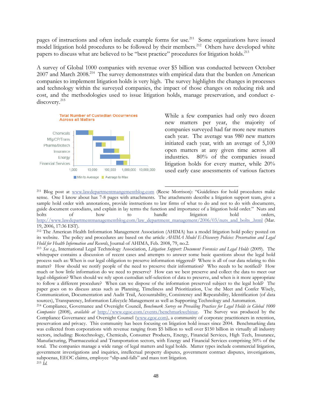pages of instructions and often include example forms for use.<sup>211</sup> Some organizations have issued model litigation hold procedures to be followed by their members.<sup>212</sup> Others have developed white papers to discuss what are believed to be "best practice" procedures for litigation holds.<sup>213</sup>

A survey of Global 1000 companies with revenue over \$5 billion was conducted between October 2007 and March 2008.<sup>214</sup> The survey demonstrates with empirical data that the burden on American companies to implement litigation holds is very high. The survey highlights the changes in processes and technology within the surveyed companies, the impact of those changes on reducing risk and cost, and the methodologies used to issue litigation holds, manage preservation, and conduct ediscovery.<sup>215</sup>



While a few companies had only two dozen new matters per year, the majority of companies surveyed had far more new matters each year. The average was 980 new matters initiated each year, with an average of 5,100 open matters at any given time across all industries. 80% of the companies issued litigation holds for every matter, while 20% used early case assessments of various factors

 $\overline{a}$ 211 Blog post at www.lawdepartmentmangementblog.com (Reese Morrison): "Guidelines for hold procedures make sense. One I know about has 7-8 pages with attachments. The attachments describe a litigation support team, give a sample hold order with annotations, provide instructions to law firms of what to do and not to do with documents, guide document custodians, and explain in lay terms the function and importance of a litigation hold order." Nuts and bolts of how to handle litigation hold orders, http://www.lawdepartmentmanagementblog.com/law\_department\_management/2006/03/nuts\_and\_bolts\_.html (Mar. 19, 2006, 17:36 EST).

<sup>212</sup> The American Health Information Management Association (AHIMA) has a model litigation hold policy posted on its website. The policy and procedures are based on the article *AHIMA Model E-Discovery Policies: Preservation and Legal Hold for Health Information and Records*, Journal of AHIMA, Feb. 2008, 79, no.2.

<sup>213</sup> *See e.g.*, International Legal Technology Association, *Litigation Support: Document Forensics and Legal Holds* (2009). The whitepaper contains a discussion of recent cases and attempts to answer some basic questions about the legal hold process such as: When is our legal obligation to preserve information triggered? Where is all of our data relating to this matter? How should we notify people of the need to preserve their information? Who needs to be notified? How much or how little information do we need to preserve? How can we best preserve and collect the data to meet our legal obligation? When should we rely upon custodian self-selection of data to preserve, and when is it more appropriate to follow a different procedure? When can we dispose of the information preserved subject to the legal hold? The paper goes on to discuss areas such as Planning, Timeliness and Prioritization, Use the Meet and Confer Wisely, Communication, Documentation and Audit Trail, Accountability, Consistency and Repeatability, Identification (of data sources), Transparency, Information Lifecycle Management as well as Supporting Technology and Automation.

214 Compliance, Governance and Oversight Council, *Benchmark Survey on Prevailing Practices for Legal Holds in Global 1000 Companies* (2008), *available at* http://www.cgoc.com/events/benchmarkwebinar. The Survey was produced by the Compliance Governance and Oversight Counsel (www.cgoc.com), a community of corporate practitioners in retention, preservation and privacy. This community has been focusing on litigation hold issues since 2004. Benchmarking data was collected from corporations with revenue ranging from \$5 billion to well over \$150 billion in virtually all industry sectors, including: Biotechnology, Chemicals, Consumer Products, Energy, Financial Services, High Tech, Insurance, Manufacturing, Pharmaceutical and Transportation sectors, with Energy and Financial Services comprising 50% of the total. The companies manage a wide range of legal matters and legal holds. Matter types include commercial litigation, government investigations and inquiries, intellectual property disputes, government contract disputes, investigations, subpoenas, EEOC claims, employee "slip-and-falls" and mass tort litigation. <sup>215</sup> *Id.*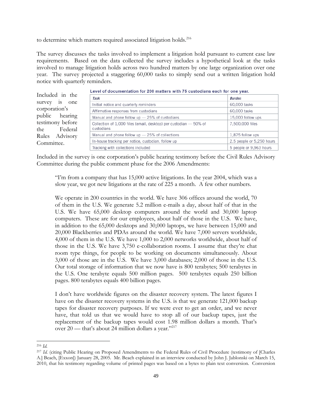to determine which matters required associated litigation holds.<sup>216</sup>

The survey discusses the tasks involved to implement a litigation hold pursuant to current case law requirements. Based on the data collected the survey includes a hypothetical look at the tasks involved to manage litigation holds across two hundred matters by one large organization over one year. The survey projected a staggering 60,000 tasks to simply send out a written litigation hold notice with quarterly reminders.

|                     | Level of documentation for zoo matters with 79 customans each for one year. |                           |
|---------------------|-----------------------------------------------------------------------------|---------------------------|
| Included in the     | Task                                                                        | <b>Burden</b>             |
| survey<br>1S<br>one | Initial notice and quarterly reminders                                      | 60,000 tasks              |
| corporation's       | Affirmative responses from custodians                                       | 60,000 tasks              |
| public<br>hearing   | Manual and phone follow $up - 25\%$ of custodians                           | 15,000 follow ups         |
| testimony before    | Collection of $1,000$ files (email, desktop) per custodian $-50\%$ of       | 7,500,000 files           |
| the<br>Federal      | custodians                                                                  |                           |
| Rules Advisory      | Manual and phone follow up - 25% of collections                             | 1,875 follow ups          |
| Committee.          | In-house tracking per notice, custodian, follow up                          | 2.5 people or 5,250 hours |
|                     | Tracking with collections included                                          | 5 people or 9,963 hours   |

Level of documentation for 200 matters with 75 custodians each for one year

Included in the survey is one corporation's public hearing testimony before the Civil Rules Advisory Committee during the public comment phase for the 2006 Amendments:

"I'm from a company that has 15,000 active litigations. In the year 2004, which was a slow year, we got new litigations at the rate of 225 a month. A few other numbers.

We operate in 200 countries in the world. We have 306 offices around the world, 70 of them in the U.S. We generate 5.2 million e-mails a day, about half of that in the U.S. We have 65,000 desktop computers around the world and 30,000 laptop computers. These are for our employees, about half of those in the U.S. We have, in addition to the 65,000 desktops and 30,000 laptops, we have between 15,000 and 20,000 Blackberries and PDAs around the world. We have 7,000 servers worldwide, 4,000 of them in the U.S. We have 1,000 to 2,000 networks worldwide, about half of those in the U.S. We have 3,750 e-collaboration rooms. I assume that they're chat room type things, for people to be working on documents simultaneously. About 3,000 of those are in the U.S. We have 3,000 databases; 2,000 of those in the U.S. Our total storage of information that we now have is 800 terabytes; 500 terabytes in the U.S. One terabyte equals 500 million pages. 500 terabytes equals 250 billion pages. 800 terabytes equals 400 billion pages.

I don't have worldwide figures on the disaster recovery system. The latest figures I have on the disaster recovery systems in the U.S. is that we generate 121,000 backup tapes for disaster recovery purposes. If we were ever to get an order, and we never have, that told us that we would have to stop all of our backup tapes, just the replacement of the backup tapes would cost 1.98 million dollars a month. That's over 20 — that's about 24 million dollars a year."<sup>217</sup>

l <sup>216</sup> *Id.*

<sup>217</sup> *Id.* (citing Public Hearing on Proposed Amendments to the Federal Rules of Civil Procedure (testimony of [Charles A.] Beach, [Exxon]) January 28, 2005. Mr. Beach explained in an interview conducted by John J. Jablonski on March 15, 2010, that his testimony regarding volume of printed pages was based on a bytes to plain text conversion. Conversion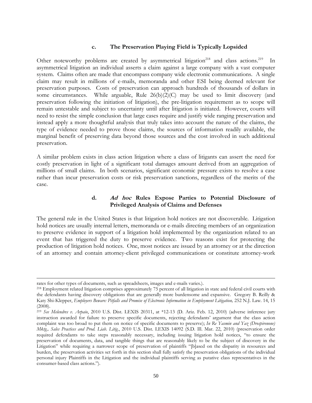#### **c. The Preservation Playing Field is Typically Lopsided**

Other noteworthy problems are created by asymmetrical litigation<sup>218</sup> and class actions.<sup>219</sup> In asymmetrical litigation an individual asserts a claim against a large company with a vast computer system. Claims often are made that encompass company wide electronic communications. A single claim may result in millions of e-mails, memoranda and other ESI being deemed relevant for preservation purposes. Costs of preservation can approach hundreds of thousands of dollars in some circumstances. While arguable, Rule 26(b)(2)(C) may be used to limit discovery (and preservation following the initiation of litigation), the pre-litigation requirement as to scope will remain untestable and subject to uncertainty until after litigation is initiated. However, courts will need to resist the simple conclusion that large cases require and justify wide ranging preservation and instead apply a more thoughtful analysis that truly takes into account the nature of the claims, the type of evidence needed to prove those claims, the sources of information readily available, the marginal benefit of preserving data beyond those sources and the cost involved in such additional preservation.

A similar problem exists in class action litigation where a class of litigants can assert the need for costly preservation in light of a significant total damages amount derived from an aggregation of millions of small claims. In both scenarios, significant economic pressure exists to resolve a case rather than incur preservation costs or risk preservation sanctions, regardless of the merits of the case.

### **d. Ad hoc Rules Expose Parties to Potential Disclosure of Privileged Analysis of Claims and Defenses**

The general rule in the United States is that litigation hold notices are not discoverable. Litigation hold notices are usually internal letters, memoranda or e-mails directing members of an organization to preserve evidence in support of a litigation hold implemented by the organization related to an event that has triggered the duty to preserve evidence. Two reasons exist for protecting the production of litigation hold notices. One, most notices are issued by an attorney or at the direction of an attorney and contain attorney-client privileged communications or constitute attorney-work

rates for other types of documents, such as spreadsheets, images and e-mails varies.).

<sup>218</sup> Employment related litigation comprises approximately 75 percent of all litigation in state and federal civil courts with the defendants having discovery obligations that are generally more burdensome and expansive. Gregory B. Reilly & Katy Shi-Klepper, *Employers Beware: Pitfalls and Promise of Electronic Information in Employment Litigation,* 252 N.J. Law. 14, 15 (2008).

<sup>219</sup> *See Melendres v. Arpaio*, 2010 U.S. Dist. LEXIS 20311, at \*12-13 (D. Ariz. Feb. 12, 2010) (adverse inference jury instruction awarded for failure to preserve specific documents, rejecting defendants' argument that the class action complaint was too broad to put them on notice of specific documents to preserve); *In Re Yasmin and Yaz (Drospirenone) Mktg., Sales Practices and Prod. Liab. Litig.*, 2010 U.S. Dist. LEXIS 14092 (S.D. Ill. Mar. 22, 2010) (preservation order required defendants to take steps reasonably necessary, including issuing litigation hold notices, "to ensure the preservation of documents, data, and tangible things that are reasonably likely to be the subject of discovery in the Litigation" while requiring a narrower scope of preservation of plaintiffs "[b]ased on the disparity in resources and burden, the preservation activities set forth in this section shall fully satisfy the preservation obligations of the individual personal injury Plaintiffs in the Litigation and the individual plaintiffs serving as putative class representatives in the consumer-based class actions.").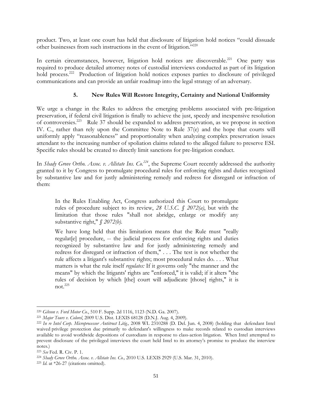product. Two, at least one court has held that disclosure of litigation hold notices "could dissuade other businesses from such instructions in the event of litigation."220

In certain circumstances, however, litigation hold notices are discoverable.<sup>221</sup> One party was required to produce detailed attorney notes of custodial interviews conducted as part of its litigation hold process.<sup>222</sup> Production of litigation hold notices exposes parties to disclosure of privileged communications and can provide an unfair roadmap into the legal strategy of an adversary.

## **5. New Rules Will Restore Integrity, Certainty and National Uniformity**

We urge a change in the Rules to address the emerging problems associated with pre-litigation preservation, if federal civil litigation is finally to achieve the just, speedy and inexpensive resolution of controversies.223 Rule 37 should be expanded to address preservation, as we propose in section IV. C., rather than rely upon the Committee Note to Rule 37(e) and the hope that courts will uniformly apply "reasonableness" and proportionality when analyzing complex preservation issues attendant to the increasing number of spoliation claims related to the alleged failure to preserve ESI. Specific rules should be created to directly limit sanctions for pre-litigation conduct.

In *Shady Grove Ortho. Assoc. v. Allstate Ins. Co.*<sup>224</sup>, the Supreme Court recently addressed the authority granted to it by Congress to promulgate procedural rules for enforcing rights and duties recognized by substantive law and for justly administering remedy and redress for disregard or infraction of them:

In the Rules Enabling Act, Congress authorized this Court to promulgate rules of procedure subject to its review, *28 U.S.C. § 2072(a)*, but with the limitation that those rules "shall not abridge, enlarge or modify any substantive right," *§ 2072(b)*.

We have long held that this limitation means that the Rule must "really regulat[e] procedure, -- the judicial process for enforcing rights and duties recognized by substantive law and for justly administering remedy and redress for disregard or infraction of them," . . . The test is not whether the rule affects a litigant's substantive rights; most procedural rules do. . . . What matters is what the rule itself *regulates:* If it governs only "the manner and the means" by which the litigants' rights are "enforced," it is valid; if it alters "the rules of decision by which [the] court will adjudicate [those] rights," it is not. $^{225}$ 

l

<sup>220</sup> *Gibson v. Ford Motor Co.*, 510 F. Supp. 2d 1116, 1123 (N.D. Ga. 2007).

<sup>221</sup> *Major Tours v. Colorel*, 2009 U.S. Dist. LEXIS 68128 (D.N.J. Aug. 4, 2009).

<sup>222</sup> *In re Intel Corp. Microprocessor Antitrust Litig.,* 2008 WL 2310288 (D. Del. Jun. 4, 2008) (holding that defendant Intel waived privilege protection due primarily to defendant's willingness to make records related to custodian interviews available to avoid worldwide depositions of custodians in response to class-action litigation. When Intel attempted to prevent disclosure of the privileged interviews the court held Intel to its attorney's promise to produce the interview notes.)

<sup>223</sup> *See* Fed. R. Civ. P. 1.

<sup>224</sup> *Shady Grove Ortho. Assoc. v. Allstate Ins. Co.,* 2010 U.S. LEXIS 2929 (U.S. Mar. 31, 2010).

<sup>225</sup> *Id*. at \*26-27 (citations omitted).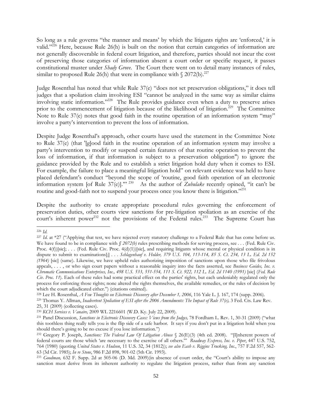So long as a rule governs "the manner and means' by which the litigants rights are 'enforced,' it is valid." $^{226}$  Here, because Rule 26(h) is built on the notion that certain categories of information are not generally discoverable in federal court litigation, and therefore, parties should not incur the cost of preserving those categories of information absent a court order or specific request, it passes constitutional muster under *Shady Grove*. The Court there went on to detail many instances of rules, similar to proposed Rule 26(h) that were in compliance with  $\gamma$  2072(b).<sup>227</sup>

Judge Rosenthal has noted that while Rule 37(e) "does not set preservation obligations," it does tell judges that a spoliation claim involving ESI "cannot be analyzed in the same way as similar claims involving static information."228 The Rule provides guidance even when a duty to preserve arises prior to the commencement of litigation because of the likelihood of litigation.<sup>229</sup> The Committee Note to Rule 37(e) notes that good faith in the routine operation of an information system "may" involve a party's intervention to prevent the loss of information.

Despite Judge Rosenthal's approach, other courts have used the statement in the Committee Note to Rule 37(e) (that '[g]ood faith in the routine operation of an information system may involve a party's intervention to modify or suspend certain features of that routine operation to prevent the loss of information, if that information is subject to a preservation obligation") to ignore the guidance provided by the Rule and to establish a strict litigation hold duty when it comes to ESI. For example, the failure to place a meaningful litigation hold" on relevant evidence was held to have placed defendant's conduct "beyond the scope of 'routine, good faith operation of an electronic information system [of Rule 37(e)].'" 230 As the author of *Zubulake* recently opined, "it can't be routine and good-faith not to suspend your process once you know there is litigation."<sup>231</sup>

Despite the authority to create appropriate procedural rules governing the enforcement of preservation duties, other courts view sanctions for pre-litigation spoliation as an exercise of the court's inherent power<sup>232</sup> not the provisions of the Federal rules.<sup>233</sup> The Supreme Court has

which the court adjudicated either.") (citations omitted).<br><sup>228</sup> Lee H. Rosenthal, *A Few Thoughts on Electronic Discovery after December 1, 2006*, 116 Yale L. J. 167, 174 (supp. 2006).

l <sup>226</sup> *Id*.

<sup>&</sup>lt;sup>227</sup> *Id.* at \*27 ("Applying that test, we have rejected every statutory challenge to a Federal Rule that has come before us. We have found to be in compliance with *§ 2072(b)* rules prescribing methods for serving process, see *. . .* (Fed. Rule Civ. Proc.  $4(f)|$ [sic];  $\ldots$  (Fed. Rule Civ. Proc.  $4(d)(1)|$ [sic], and requiring litigants whose mental or physical condition is in dispute to submit to examinations[;] *. . . Schlagenhauf v. Holder, 379 U.S. 104, 113-114, 85 S. Ct. 234, 13 L. Ed. 2d 152 (1964)* [sic] (same). Likewise, we have upheld rules authorizing imposition of sanctions upon those who file frivolous appeals, *. . .* , or who sign court papers without a reasonable inquiry into the facts asserted, see *Business Guides, Inc. v. Chromatic Communications Enterprises, Inc., 498 U.S. 533, 551-554, 111 S. Ct. 922, 112 L. Ed. 2d 1140 (1991)* [sic] (*Fed. Rule Civ. Proc. 11*). Each of these rules had some practical effect on the parties' rights, but each undeniably regulated only the process for enforcing those rights; none altered the rights themselves, the available remedies, or the rules of decision by

<sup>&</sup>lt;sup>229</sup> Thomas Y. Allman, *Inadvertent Spoliation of ESI after the 2006 Amendments: The Impact of Rule 37(e)*, 3 Fed. Cts. Law Rev. 25, 31 (2009) (collecting cases).

<sup>230</sup> *KCH Services v. Vanaire,* 2009 WL 2216601 (W.D. Ky. July 22, 2009). 231 Panel Discussion, *Sanctions in Electronic Discovery Cases: Views from the Judges,* 78 Fordham L. Rev. 1, 30-31 (2009) ("what this toothless thing really tells you is the flip side of a safe harbor. It says if you don't put in a litigation hold when you should there's going to be no excuse if you lose information.")

<sup>232</sup> Gregory P. Joseph, *Sanctions: The Federal Law Of Litigation Abuse* § 26(E)(3) (4th ed. 2008). "[I]nherent powers of federal courts are those which 'are necessary to the exercise of all others.'" *Roadway Express, Inc. v. Piper*, 447 U.S. 752, 764 (1980) (quoting *United States v. Hudson*, 11 U.S. 32, 34 (1812)); *see also Eash v. Riggins Trucking, Inc*., 757 F.2d 557, 562- 63 (3d Cir. 1985); *In re Stone*, 986 F.2d 898, 901-02 (5th Cir. 1993). 233 *Goodman,* 632 F. Supp. 2d at 505-06 (D. Md. 2009)(in absence of court order, the "Court's ability to impose any

sanction must derive from its inherent authority to regulate the litigation process, rather than from any sanction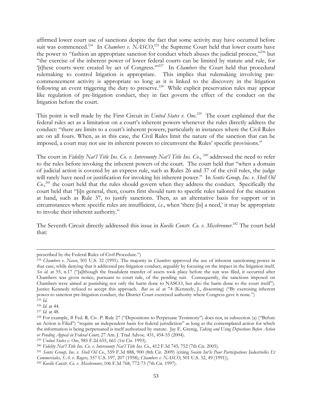affirmed lower court use of sanctions despite the fact that some activity may have occurred before suit was commenced.<sup>234</sup> In *Chambers v. NASCO*,<sup>235</sup> the Supreme Court held that lower courts have the power to "fashion an appropriate sanction for conduct which abuses the judicial process,"<sup>236</sup> but "the exercise of the inherent power of lower federal courts can be limited by statute and rule, for '[t]hese courts were created by act of Congress.'"237 In *Chambers* the Court held that procedural rulemaking to control litigation is appropriate. This implies that rulemaking involving precommencement activity is appropriate so long as it is linked to the discovery in the litigation following an event triggering the duty to preserve.<sup>238</sup> While explicit preservation rules may appear like regulation of pre-litigation conduct, they in fact govern the effect of the conduct on the litigation before the court.

This point is well made by the First Circuit in *United States v. One*. 239 The court explained that the federal rules act as a limitation on a court's inherent powers whenever the rules directly address the conduct: "there are limits to a court's inherent powers, particularly in instances where the Civil Rules are on all fours. When, as in this case, the Civil Rules limit the nature of the sanction that can be imposed, a court may not use its inherent powers to circumvent the Rules' specific provisions."

The court in *Fidelity Nat'l Title Ins. Co. v. Intercounty Nat'l Title Ins. Co.*, <sup>240</sup> addressed the need to refer to the rules before invoking the inherent powers of the court. The court held that "when a domain of judicial action is covered by an express rule, such as Rules 26 and 37 of the civil rules, the judge will rarely have need or justification for invoking his inherent power." In *Sentis Group, Inc. v. Shell Oil Co.*<sup>241</sup>, the court held that the rules should govern when they address the conduct. Specifically the court held that "[i]n general, then, courts first should turn to specific rules tailored for the situation at hand, such as Rule 37, to justify sanctions. Then, as an alternative basis for support or in circumstances where specific rules are insufficient, *i.e*., when 'there [is] a need,' it may be appropriate to invoke their inherent authority."

The Seventh Circuit directly addressed this issue in *Kovilic Constr. Co. v. Missbrenner*. 242 The court held that:

l

prescribed by the Federal Rules of Civil Procedure.")

<sup>234</sup> *Chambers v. Nasco*, 501 U.S. 32 (1991). The majority in *Chambers* approved the use of inherent sanctioning power in that case, while denying that it addressed pre-litigation conduct, arguably by focusing on the impact in the litigation itself. See id. at 55, n.17 ("[a]lthough the fraudulent transfer of assets took place before the suit was filed, it occurred after Chambers was given notice, pursuant to court rule, of the pending suit. Consequently, the sanctions imposed on Chambers were aimed at punishing not only the harm done to NASCO, but also the harm done to the court itself"). Justice Kennedy refused to accept this approach. *But see id.* at 74 (Kennedy, J., dissenting) ("By exercising inherent power to sanction pre-litigation conduct, the District Court exercised authority where Congress gave it none.")

<sup>235</sup> *Id*.

<sup>236</sup> *Id.* at 44.

<sup>237</sup> *Id.* at 48.

<sup>238</sup> For example, # Fed. R. Civ. P. Rule 27 ("Depositions to Perpetuate Testimony") does not, in subsection (a) ("Before an Action is Filed") "require an independent basis for federal jurisdiction" as long as the contemplated action for which the information is being perpetuated is itself authorized by statute. Jay E. Grenig, *Taking and Using Depostions Before Action or Pending Appeal in Federal Court,* 27 Am. J. Trial Advoc. 451, 454-55 (2004).

<sup>239</sup> *United States v. One*, 985 F.2d 655, 661 (1st Cir. 1993).

<sup>240</sup> *Fidelity Nat'l Title Ins. Co. v. Intercounty Nat'l Title Ins. Co*., 412 F.3d 745, 752 (7th Cir. 2005).

<sup>241</sup> *Sentis Group, Inc. v. Shell Oil Co*., 559 F.3d 888, 900 (8th Cir. 2009) (citing *Societe Int'le Pour Participations Industrielles Et Commerciales, S.A. v. Rogers,* 357 U.S. 197, 207 (1958); *Chambers v. NASCO*, 501 U.S. 32, 49 (1991)).

<sup>242</sup> *Kovilic Constr. Co. v. Missbrenner*, 106 F.3d 768, 772-73 (7th Cir. 1997).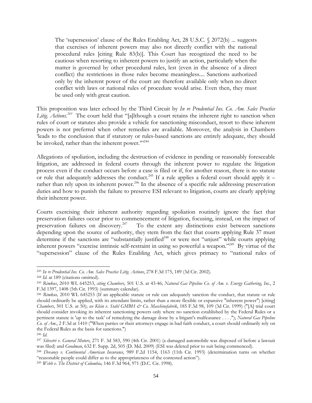The 'supersession' clause of the Rules Enabling Act, 28 U.S.C. § 2072(b) ... suggests that exercises of inherent powers may also not directly conflict with the national procedural rules [citing Rule 83(b)]. This Court has recognized the need to be cautious when resorting to inherent powers to justify an action, particularly when the matter is governed by other procedural rules, lest (even in the absence of a direct conflict) the restrictions in those rules become meaningless.... Sanctions authorized only by the inherent power of the court are therefore available only when no direct conflict with laws or national rules of procedure would arise. Even then, they must be used only with great caution.

This proposition was later echoed by the Third Circuit by *In re Prudential Ins. Co. Am. Sales Practice Litig. Actions.243* The court held that "[a]lthough a court retains the inherent right to sanction when rules of court or statutes also provide a vehicle for sanctioning misconduct, resort to these inherent powers is not preferred when other remedies are available. Moreover, the analysis in Chambers 'leads to the conclusion that if statutory or rules-based sanctions are entirely adequate, they should be invoked, rather than the inherent power."<sup>244</sup>

Allegations of spoliation, including the destruction of evidence in pending or reasonably foreseeable litigation, are addressed in federal courts through the inherent power to regulate the litigation process even if the conduct occurs before a case is filed or if, for another reason, there is no statute or rule that adequately addresses the conduct.<sup>245</sup> If a rule applies a federal court should apply it – rather than rely upon its inherent power.<sup>246</sup> In the absence of a specific rule addressing preservation duties and how to punish the failure to preserve ESI relevant to litigation, courts are clearly applying their inherent power.

Courts exercising their inherent authority regarding spoliation routinely ignore the fact that preservation failures occur prior to commencement of litigation, focusing, instead, on the impact of preservation failures on discovery.<sup>247</sup> To the extent any distinctions exist between sanctions depending upon the source of authority, they stem from the fact that courts applying Rule 37 must determine if the sanctions are "substantially justified<sup>248</sup> or were not "unjust" while courts applying inherent powers "exercise intrinsic self-restraint in using so powerful a weapon."249 By virtue of the "supersession" clause of the Rules Enabling Act, which gives primacy to "national rules of

<sup>243</sup> *In re Prudential Ins. Co. Am. Sales Practice Litig. Actions*, 278 F.3d 175, 189 (3d Cir. 2002).

<sup>244</sup> *Id.* at 189 (citations omitted).

<sup>245</sup> *Rimkus*, 2010 WL 645253, *citing Chambers*, 501 U.S. at 43-46; *Natural Gas Pipeline Co. of Am. v. Energy Gathering, Inc.*, 2 F.3d 1397, 1408 (5th Cir. 1993) (summary calendar).

<sup>246</sup> *Rimkus,* 2010 WL 645253 (If an applicable statute or rule can adequately sanction the conduct, that statute or rule should ordinarily be applied, with its attendant limits, rather than a more flexible or expansive "inherent power") [citing] *Chambers*, 501 U.S. at 50); *see Klein v. Stahl GMBH & Co. Maschinefabrik*, 185 F.3d 98, 109 (3d Cir. 1999) ("[A] trial court should consider invoking its inherent sanctioning powers only where no sanction established by the Federal Rules or a pertinent statute is 'up to the task' of remedying the damage done by a litigant's malfeasance . . . ."); *Natural Gas Pipeline Co. of Am.*, 2 F.3d at 1410 ("When parties or their attorneys engage in bad faith conduct, a court should ordinarily rely on the Federal Rules as the basis for sanctions.")

<sup>246</sup> *Id.* 

<sup>247</sup> *Silvestri v. General Motors*, 271 F. 3d 583, 590 (4th Cir. 2001) (a damaged automobile was disposed of before a lawsuit was filed) and *Goodman*, 632 F. Supp. 2d, 505 (D. Md. 2009) (ESI was deleted prior to suit being commenced).

<sup>248</sup> *Devaney v. Continental American Insurance*, 989 F.2d 1154, 1163 (11th Cir. 1993) (determination turns on whether "reasonable people could differ as to the appropriateness of the contested action").

<sup>249</sup> *Webb v. The District of Columbia,* 146 F.3d 964, 971 (D.C. Cir. 1998).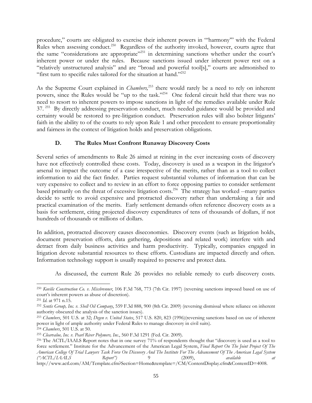procedure," courts are obligated to exercise their inherent powers in "'harmony'" with the Federal Rules when assessing conduct.<sup>250</sup> Regardless of the authority invoked, however, courts agree that the same "considerations are appropriate"<sup>251</sup> in determining sanctions whether under the court's inherent power or under the rules. Because sanctions issued under inherent power rest on a "relatively unstructured analysis" and are "broad and powerful tool[s]," courts are admonished to "first turn to specific rules tailored for the situation at hand." $252$ 

As the Supreme Court explained in *Chambers,*253 there would rarely be a need to rely on inherent powers, since the Rules would be "up to the task."<sup>254</sup> One federal circuit held that there was no need to resort to inherent powers to impose sanctions in light of the remedies available under Rule 37.<sup>255</sup> By directly addressing preservation conduct, much needed guidance would be provided and certainty would be restored to pre-litigation conduct. Preservation rules will also bolster litigants' faith in the ability to of the courts to rely upon Rule 1 and other precedent to ensure proportionality and fairness in the context of litigation holds and preservation obligations.

## **D. The Rules Must Confront Runaway Discovery Costs**

Several series of amendments to Rule 26 aimed at reining in the ever increasing costs of discovery have not effectively controlled these costs. Today, discovery is used as a weapon in the litigator's arsenal to impact the outcome of a case irrespective of the merits, rather than as a tool to collect information to aid the fact finder. Parties request substantial volumes of information that can be very expensive to collect and to review in an effort to force opposing parties to consider settlement based primarily on the threat of excessive litigation costs.256 The strategy has worked --many parties decide to settle to avoid expensive and protracted discovery rather than undertaking a fair and practical examination of the merits. Early settlement demands often reference discovery costs as a basis for settlement, citing projected discovery expenditures of tens of thousands of dollars, if not hundreds of thousands or millions of dollars.

In addition, protracted discovery causes diseconomies. Discovery events (such as litigation holds, document preservation efforts, data gathering, depositions and related work) interfere with and detract from daily business activities and harm productivity. Typically, companies engaged in litigation devote substantial resources to these efforts. Custodians are impacted directly and often. Information technology support is usually required to preserve and protect data.

As discussed, the current Rule 26 provides no reliable remedy to curb discovery costs.

l

<sup>250</sup> *Kovilic Construction Co. v. Missbrenner*, 106 F.3d 768, 773 (7th Cir. 1997) (reversing sanctions imposed based on use of court's inherent powers as abuse of discretion).

<sup>251</sup> *Id*. at 971 n.15.

<sup>252</sup> *Sentis Group, Inc. v. Shell Oil Company*, 559 F.3d 888, 900 (8th Cir. 2009) (reversing dismissal where reliance on inherent authority obscured the analysis of the sanction issues).

<sup>253</sup> *Chambers*, 501 U.S. at 32; *Degen v. United States*, 517 U.S. 820, 823 (1996)(reversing sanctions based on use of inherent power in light of ample authority under Federal Rules to manage discovery in civil suits).

<sup>254</sup> *Chambers*, 501 U.S. at 50.

<sup>255</sup> *Clearvalue, Inc. v. Pearl River Polymers, Inc.*, 560 F.3d 1291 (Fed. Cir. 2009).

<sup>256</sup> The ACTL/IAALS Report notes that in one survey 71% of respondents thought that "discovery is used as a tool to force settlement." Institute for the Advancement of the American Legal System, *Final Report On The Joint Project Of The American College Of Trial Lawyers Task Force On Discovery And The Institute For The Advancement Of The American Legal System ("ACTL/IAALS Report")* 9 (2009), *available at*  http://www.actl.com/AM/Template.cfm?Section=Home&template=/CM/ContentDisplay.cfm&ContentID=4008.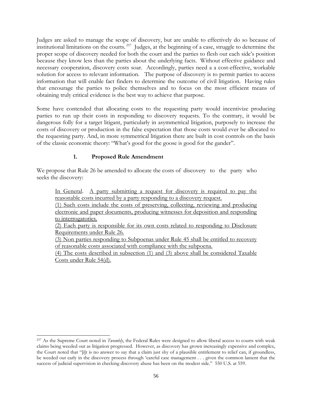Judges are asked to manage the scope of discovery, but are unable to effectively do so because of institutional limitations on the courts.  $257$  Judges, at the beginning of a case, struggle to determine the proper scope of discovery needed for both the court and the parties to flesh out each side's position because they know less than the parties about the underlying facts. Without effective guidance and necessary cooperation, discovery costs soar. Accordingly, parties need a a cost-effective, workable solution for access to relevant information. The purpose of discovery is to permit parties to access information that will enable fact finders to determine the outcome of civil litigation. Having rules that encourage the parties to police themselves and to focus on the most efficient means of obtaining truly critical evidence is the best way to achieve that purpose.

Some have contended that allocating costs to the requesting party would incentivize producing parties to run up their costs in responding to discovery requests. To the contrary, it would be dangerous folly for a target litigant, particularly in asymmetrical litigation, purposely to increase the costs of discovery or production in the false expectation that those costs would ever be allocated to the requesting party. And, in more symmetrical litigation there are built in cost controls on the basis of the classic economic theory: "What's good for the goose is good for the gander".

# **1. Proposed Rule Amendment**

We propose that Rule 26 be amended to allocate the costs of discovery to the party who seeks the discovery:

In General. A party submitting a request for discovery is required to pay the reasonable costs incurred by a party responding to a discovery request.

(1) Such costs include the costs of preserving, collecting, reviewing and producing electronic and paper documents, producing witnesses for deposition and responding to interrogatories.

(2) Each party is responsible for its own costs related to responding to Disclosure Requirements under Rule 26.

(3) Non parties responding to Subpoenas under Rule 45 shall be entitled to recovery of reasonable costs associated with compliance with the subpoena.

(4) The costs described in subsection (1) and (3) above shall be considered Taxable Costs under Rule 54(d).

 $\overline{\phantom{a}}$ 257 As the Supreme Court noted in *Twombly*, the Federal Rules were designed to allow liberal access to courts with weak claims being weeded out as litigation progressed. However, as discovery has grown increasingly expensive and complex, the Court noted that "[i]t is no answer to say that a claim just shy of a plausible entitlement to relief can, if groundless, be weeded out early in the discovery process through 'careful case management . . . given the common lament that the success of judicial supervision in checking discovery abuse has been on the modest side." 550 U.S. at 559.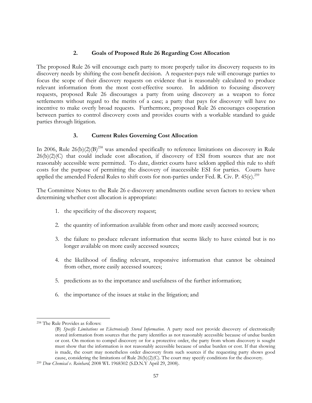### **2. Goals of Proposed Rule 26 Regarding Cost Allocation**

The proposed Rule 26 will encourage each party to more properly tailor its discovery requests to its discovery needs by shifting the cost-benefit decision. A requester-pays rule will encourage parties to focus the scope of their discovery requests on evidence that is reasonably calculated to produce relevant information from the most cost-effective source. In addition to focusing discovery requests, proposed Rule 26 discourages a party from using discovery as a weapon to force settlements without regard to the merits of a case; a party that pays for discovery will have no incentive to make overly broad requests. Furthermore, proposed Rule 26 encourages cooperation between parties to control discovery costs and provides courts with a workable standard to guide parties through litigation.

### **3. Current Rules Governing Cost Allocation**

In 2006, Rule  $26(b)(2)(B)^{258}$  was amended specifically to reference limitations on discovery in Rule 26(b)(2)(C) that could include cost allocation, if discovery of ESI from sources that are not reasonably accessible were permitted. To date, district courts have seldom applied this rule to shift costs for the purpose of permitting the discovery of inaccessible ESI for parties. Courts have applied the amended Federal Rules to shift costs for non-parties under Fed. R. Civ. P.  $45(c)$ .<sup>259</sup>

The Committee Notes to the Rule 26 e-discovery amendments outline seven factors to review when determining whether cost allocation is appropriate:

- 1. the specificity of the discovery request;
- 2. the quantity of information available from other and more easily accessed sources;
- 3. the failure to produce relevant information that seems likely to have existed but is no longer available on more easily accessed sources;
- 4. the likelihood of finding relevant, responsive information that cannot be obtained from other, more easily accessed sources;
- 5. predictions as to the importance and usefulness of the further information;
- 6. the importance of the issues at stake in the litigation; and

l 258 The Rule Provides as follows:

<sup>(</sup>B) *Specific Limitations on Electronically Stored Information*. A party need not provide discovery of electronically stored information from sources that the party identifies as not reasonably accessible because of undue burden or cost. On motion to compel discovery or for a protective order, the party from whom discovery is sought must show that the information is not reasonably accessible because of undue burden or cost. If that showing is made, the court may nonetheless order discovery from such sources if the requesting party shows good cause, considering the limitations of Rule 26(b)(2)(C). The court may specify conditions for the discovery. 259 *Dow Chemical v. Reinhard,* 2008 WL 1968302 (S.D.N.Y April 29, 2008).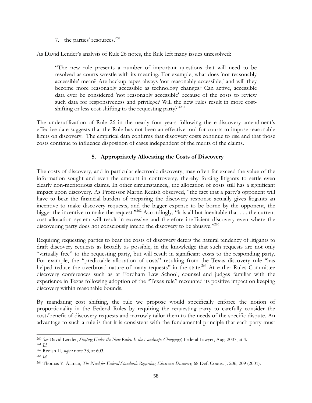7. the parties' resources. $260$ 

As David Lender's analysis of Rule 26 notes, the Rule left many issues unresolved:

"The new rule presents a number of important questions that will need to be resolved as courts wrestle with its meaning. For example, what does 'not reasonably accessible' mean? Are backup tapes always 'not reasonably accessible,' and will they become more reasonably accessible as technology changes? Can active, accessible data ever be considered 'not reasonably accessible' because of the costs to review such data for responsiveness and privilege? Will the new rules result in more costshifting or less cost-shifting to the requesting party?"<sup>261</sup>

The underutilization of Rule 26 in the nearly four years following the e-discovery amendment's effective date suggests that the Rule has not been an effective tool for courts to impose reasonable limits on discovery. The empirical data confirms that discovery costs continue to rise and that those costs continue to influence disposition of cases independent of the merits of the claims.

## **5. Appropriately Allocating the Costs of Discovery**

The costs of discovery, and in particular electronic discovery, may often far exceed the value of the information sought and even the amount in controversy, thereby forcing litigants to settle even clearly non-meritorious claims. In other circumstances,, the allocation of costs still has a significant impact upon discovery. As Professor Martin Redish observed, "the fact that a party's opponent will have to bear the financial burden of preparing the discovery response actually gives litigants an incentive to make discovery requests, and the bigger expense to be borne by the opponent, the bigger the incentive to make the request."<sup>262</sup> Accordingly, "it is all but inevitable that . . . the current cost allocation system will result in excessive and therefore inefficient discovery even where the discovering party does not consciously intend the discovery to be abusive."<sup>263</sup>

Requiring requesting parties to bear the costs of discovery deters the natural tendency of litigants to draft discovery requests as broadly as possible, in the knowledge that such requests are not only "virtually free" to the requesting party, but will result in significant costs to the responding party. For example, the "predictable allocation of costs" resulting from the Texas discovery rule "has helped reduce the overbroad nature of many requests" in the state.<sup>264</sup> At earlier Rules Committee discovery conferences such as at Fordham Law School, counsel and judges familiar with the experience in Texas following adoption of the "Texas rule" recounted its positive impact on keeping discovery within reasonable bounds.

By mandating cost shifting, the rule we propose would specifically enforce the notion of proportionality in the Federal Rules by requiring the requesting party to carefully consider the cost/benefit of discovery requests and narrowly tailor them to the needs of the specific dispute. An advantage to such a rule is that it is consistent with the fundamental principle that each party must

 $\overline{\phantom{a}}$ 

<sup>260</sup> *See* David Lender, *Shifting Under the New Rules: Is the Landscape Changing?*, Federal Lawyer, Aug. 2007, at 4.

<sup>261</sup> *Id*.

<sup>262</sup> Redish II, *supra* note 33, at 603*.*

<sup>263</sup> *Id.* 

<sup>264</sup> Thomas Y. Allman, *The Need for Federal Standards Regarding Electronic Discovery*, 68 Def. Couns. J. 206, 209 (2001).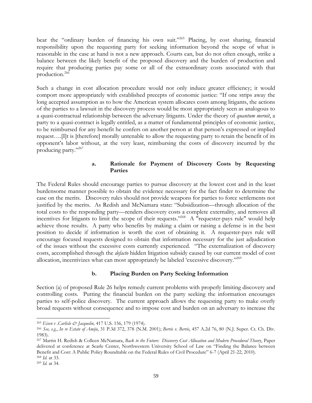bear the "ordinary burden of financing his own suit."<sup>265</sup> Placing, by cost sharing, financial responsibility upon the requesting party for seeking information beyond the scope of what is reasonable in the case at hand is not a new approach. Courts can, but do not often enough, strike a balance between the likely benefit of the proposed discovery and the burden of production and require that producing parties pay some or all of the extraordinary costs associated with that production.266

Such a change in cost allocation procedure would not only induce greater efficiency; it would comport more appropriately with established precepts of economic justice: "If one strips away the long accepted assumption as to how the American system allocates costs among litigants, the actions of the parties to a lawsuit in the discovery process would be most appropriately seen as analogous to a quasi-contractual relationship between the adversary litigants. Under the theory of *quantum meruit*, a party to a quasi-contract is legally entitled, as a matter of fundamental principles of economic justice, to be reimbursed for any benefit he confers on another person at that person's expressed or implied request….[I]t is [therefore] morally untenable to allow the requesting party to retain the benefit of its opponent's labor without, at the very least, reimbursing the costs of discovery incurred by the producing party."267

## **a. Rationale for Payment of Discovery Costs by Requesting Parties**

The Federal Rules should encourage parties to pursue discovery at the lowest cost and in the least burdensome manner possible to obtain the evidence necessary for the fact finder to determine the case on the merits. Discovery rules should not provide weapons for parties to force settlements not justified by the merits. As Redish and McNamara state: "Subsidization—through allocation of the total costs to the responding party—renders discovery costs a complete externality, and removes all incentives for litigants to limit the scope of their requests."<sup>268</sup> A "requester-pays rule" would help achieve those results. A party who benefits by making a claim or raising a defense is in the best position to decide if information is worth the cost of obtaining it. A requester-pays rule will encourage focused requests designed to obtain that information necessary for the just adjudication of the issues without the excessive costs currently experienced. "The externalization of discovery costs, accomplished through the *defacto* hidden litigation subsidy caused by our current model of cost allocation, incentivizes what can most appropriately be labeled 'excessive discovery."<sup>269</sup>

#### **b. Placing Burden on Party Seeking Information**

Section (a) of proposed Rule 26 helps remedy current problems with properly limiting discovery and controlling costs. Putting the financial burden on the party seeking the information encourages parties to self-police discovery. The current approach allows the requesting party to make overly broad requests without consequence and to impose cost and burden on an adversary to increase the

l <sup>265</sup> *Eisen v .Carlisle & Jacquelin,* 417 U.S. 156, 179 (1974).

<sup>266</sup> *See, e.g.*, *In re Estate of Amijo*, 31 P.3d 372, 378 (N.M. 2001); *Berrie v. Berrie*, 457 A.2d 76, 80 (N.J. Super. Ct. Ch. Div. 1983).

<sup>267</sup> Martin H. Redish & Colleen McNamara, *Back to the Future: Discovery Cost Allocation and Modern Procedural Theory*, Paper delivered at conference at Searle Center, Northwestern University School of Law on "Finding the Balance between Benefit and Cost: A Public Policy Roundtable on the Federal Rules of Civil Procedure" 6-7 (April 21-22, 2010).<br><sup>268</sup> Id. at 33.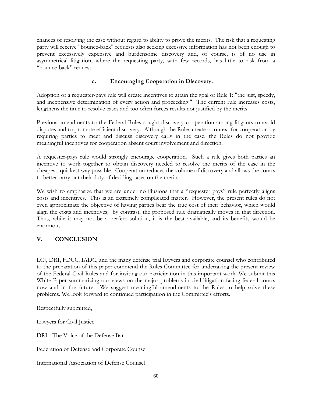chances of resolving the case without regard to ability to prove the merits. The risk that a requesting party will receive "bounce-back" requests also seeking excessive information has not been enough to prevent excessively expensive and burdensome discovery and, of course, is of no use in asymmetrical litigation, where the requesting party, with few records, has little to risk from a "bounce-back" request.

# **c. Encouraging Cooperation in Discovery.**

Adoption of a requester-pays rule will create incentives to attain the goal of Rule 1: "the just, speedy, and inexpensive determination of every action and proceeding." The current rule increases costs, lengthens the time to resolve cases and too often forces results not justified by the merits

Previous amendments to the Federal Rules sought discovery cooperation among litigants to avoid disputes and to promote efficient discovery. Although the Rules create a context for cooperation by requiring parties to meet and discuss discovery early in the case, the Rules do not provide meaningful incentives for cooperation absent court involvement and direction.

A requester-pays rule would strongly encourage cooperation. Such a rule gives both parties an incentive to work together to obtain discovery needed to resolve the merits of the case in the cheapest, quickest way possible. Cooperation reduces the volume of discovery and allows the courts to better carry out their duty of deciding cases on the merits.

We wish to emphasize that we are under no illusions that a "requester pays" rule perfectly aligns costs and incentives. This is an extremely complicated matter. However, the present rules do not even approximate the objective of having parties bear the true cost of their behavior, which would align the costs and incentives; by contrast, the proposed rule dramatically moves in that direction. Thus, while it may not be a perfect solution, it is the best available, and its benefits would be enormous.

# **V. CONCLUSION**

LCJ, DRI, FDCC, IADC, and the many defense trial lawyers and corporate counsel who contributed to the preparation of this paper commend the Rules Committee for undertaking the present review of the Federal Civil Rules and for inviting our participation in this important work. We submit this White Paper summarizing our views on the major problems in civil litigation facing federal courts now and in the future. We suggest meaningful amendments to the Rules to help solve these problems. We look forward to continued participation in the Committee's efforts.

Respectfully submitted,

Lawyers for Civil Justice

DRI - The Voice of the Defense Bar

Federation of Defense and Corporate Counsel

International Association of Defense Counsel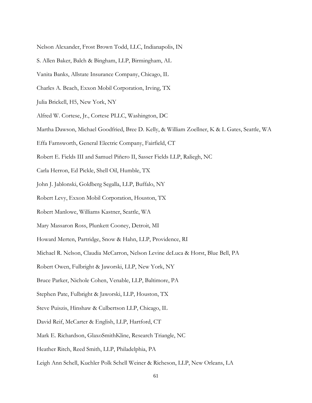- Nelson Alexander, Frost Brown Todd, LLC, Indianapolis, IN
- S. Allen Baker, Balch & Bingham, LLP, Birmingham, AL
- Vanita Banks, Allstate Insurance Company, Chicago, IL
- Charles A. Beach, Exxon Mobil Corporation, Irving, TX
- Julia Brickell, H5, New York, NY
- Alfred W. Cortese, Jr., Cortese PLLC, Washington, DC
- Martha Dawson, Michael Goodfried, Bree D. Kelly, & William Zoellner, K & L Gates, Seattle, WA
- Effa Farnsworth, General Electric Company, Fairfield, CT
- Robert E. Fields III and Samuel Piñero II, Sasser Fields LLP, Raliegh, NC
- Carla Herron, Ed Pickle, Shell Oil, Humble, TX
- John J. Jablonski, Goldberg Segalla, LLP, Buffalo, NY
- Robert Levy, Exxon Mobil Corporation, Houston, TX
- Robert Manlowe, Williams Kastner, Seattle, WA
- Mary Massaron Ross, Plunkett Cooney, Detroit, MI
- Howard Merten, Partridge, Snow & Hahn, LLP, Providence, RI
- Michael R. Nelson, Claudia McCarron, Nelson Levine deLuca & Horst, Blue Bell, PA
- Robert Owen, Fulbright & Jaworski, LLP, New York, NY
- Bruce Parker, Nichole Cohen, Venable, LLP, Baltimore, PA
- Stephen Pate, Fulbright & Jaworski, LLP, Houston, TX
- Steve Puiszis, Hinshaw & Culbertson LLP, Chicago, IL
- David Reif, McCarter & English, LLP, Hartford, CT
- Mark E. Richardson, GlaxoSmithKline, Research Triangle, NC
- Heather Ritch, Reed Smith, LLP, Philadelphia, PA
- Leigh Ann Schell, Kuchler Polk Schell Weiner & Richeson, LLP, New Orleans, LA